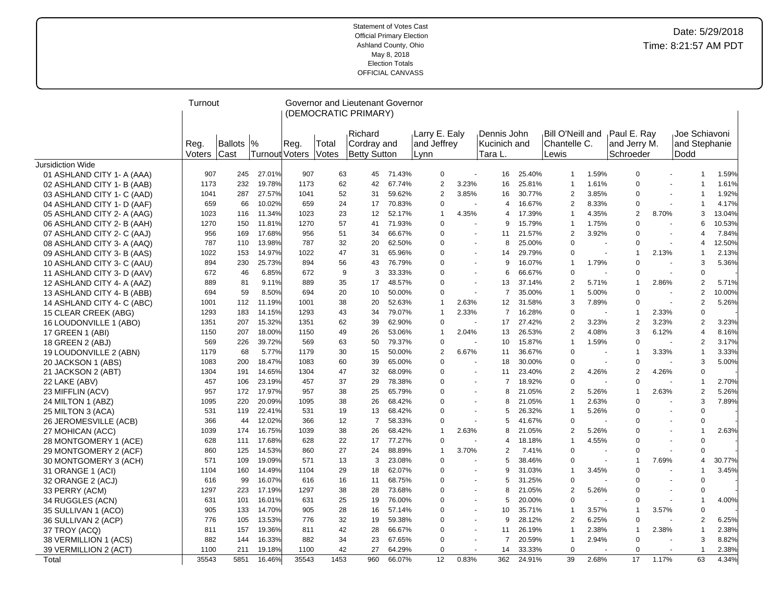|                            | Turnout        |                 |                                 |       |                | Governor and Lieutenant Governor              |        |                                      |                          |                                        |        |                                                   |                          |                                          |                |                                         |        |
|----------------------------|----------------|-----------------|---------------------------------|-------|----------------|-----------------------------------------------|--------|--------------------------------------|--------------------------|----------------------------------------|--------|---------------------------------------------------|--------------------------|------------------------------------------|----------------|-----------------------------------------|--------|
|                            |                |                 |                                 |       |                | (DEMOCRATIC PRIMARY)                          |        |                                      |                          |                                        |        |                                                   |                          |                                          |                |                                         |        |
|                            | Reg.<br>Voters | Ballots<br>Cast | $\frac{9}{6}$<br>Turnout Voters | Reg.  | Total<br>Votes | Richard<br>Cordray and<br><b>Betty Sutton</b> |        | Larry E. Ealy<br>and Jeffrey<br>Lynn |                          | Dennis John<br>Kucinich and<br>Tara L. |        | <b>Bill O'Neill and</b><br>lChantelle C.<br>Lewis |                          | Paul E. Ray<br>and Jerry M.<br>Schroeder |                | Joe Schiavoni<br>and Stephanie<br>Dodd  |        |
| <b>Jursidiction Wide</b>   |                |                 |                                 |       |                |                                               |        |                                      |                          |                                        |        |                                                   |                          |                                          |                |                                         |        |
| 01 ASHLAND CITY 1- A (AAA) | 907            | 245             | 27.01%                          | 907   | 63             | 45                                            | 71.43% | $\mathbf 0$                          | $\tilde{\phantom{a}}$    | 16                                     | 25.40% | $\mathbf{1}$                                      | 1.59%                    | $\mathbf 0$                              |                | 1                                       | 1.59%  |
| 02 ASHLAND CITY 1- B (AAB) | 1173           | 232             | 19.78%                          | 1173  | 62             | 42                                            | 67.74% | $\overline{2}$                       | 3.23%                    | 16                                     | 25.81% | 1                                                 | 1.61%                    | $\Omega$                                 |                | -1                                      | 1.61%  |
| 03 ASHLAND CITY 1- C (AAD) | 1041           | 287             | 27.57%                          | 1041  | 52             | 31                                            | 59.62% | $\overline{2}$                       | 3.85%                    | 16                                     | 30.77% | $\overline{2}$                                    | 3.85%                    | $\Omega$                                 | $\sim$         | $\overline{1}$                          | 1.92%  |
| 04 ASHLAND CITY 1- D (AAF) | 659            | 66              | 10.02%                          | 659   | 24             | 17                                            | 70.83% | $\mathbf 0$                          | $\overline{\phantom{a}}$ | 4                                      | 16.67% | $\overline{2}$                                    | 8.33%                    | $\Omega$                                 |                | $\overline{1}$                          | 4.17%  |
| 05 ASHLAND CITY 2- A (AAG) | 1023           | 116             | 11.34%                          | 1023  | 23             | 12                                            | 52.17% | $\mathbf{1}$                         | 4.35%                    | 4                                      | 17.39% | $\mathbf{1}$                                      | 4.35%                    | 2                                        | 8.70%          | 3                                       | 13.04% |
| 06 ASHLAND CITY 2- B (AAH) | 1270           | 150             | 11.81%                          | 1270  | 57             | 41                                            | 71.93% | $\mathbf 0$                          |                          | 9                                      | 15.79% | $\mathbf{1}$                                      | 1.75%                    | $\Omega$                                 |                | 6                                       | 10.53% |
| 07 ASHLAND CITY 2- C (AAJ) | 956            | 169             | 17.68%                          | 956   | 51             | 34                                            | 66.67% | $\mathbf 0$                          | $\blacksquare$           | 11                                     | 21.57% | $\overline{2}$                                    | 3.92%                    | $\Omega$                                 |                | 4<br>$\blacksquare$                     | 7.84%  |
| 08 ASHLAND CITY 3- A (AAQ) | 787            | 110             | 13.98%                          | 787   | 32             | 20                                            | 62.50% | $\mathbf 0$                          | $\blacksquare$           | 8                                      | 25.00% | $\Omega$                                          | $\blacksquare$           | $\Omega$                                 |                | 4<br>$\blacksquare$                     | 12.50% |
| 09 ASHLAND CITY 3- B (AAS) | 1022           | 153             | 14.97%                          | 1022  | 47             | 31                                            | 65.96% | $\Omega$                             | $\sim$                   | 14                                     | 29.79% | $\Omega$                                          | $\mathbf{r}$             | $\mathbf 1$                              | 2.13%          | -1                                      | 2.13%  |
| 10 ASHLAND CITY 3- C (AAU) | 894            | 230             | 25.73%                          | 894   | 56             | 43                                            | 76.79% | $\mathbf 0$                          | $\blacksquare$           | 9                                      | 16.07% | 1                                                 | 1.79%                    | $\mathbf 0$                              | ÷.             | 3                                       | 5.36%  |
| 11 ASHLAND CITY 3- D (AAV) | 672            | 46              | 6.85%                           | 672   | 9              | 3                                             | 33.33% | $\mathbf 0$                          | $\tilde{\phantom{a}}$    | 6                                      | 66.67% | $\Omega$                                          | $\sim$                   | $\Omega$                                 |                | $\mathbf 0$                             |        |
| 12 ASHLAND CITY 4- A (AAZ) | 889            | 81              | 9.11%                           | 889   | 35             | 17                                            | 48.57% | $\Omega$                             | $\sim$                   | 13                                     | 37.14% | 2                                                 | 5.71%                    | $\mathbf 1$                              | 2.86%          | $\overline{c}$                          | 5.71%  |
| 13 ASHLAND CITY 4- B (ABB) | 694            | 59              | 8.50%                           | 694   | 20             | 10                                            | 50.00% | $\mathbf 0$                          | $\tilde{\phantom{a}}$    | $\overline{7}$                         | 35.00% | $\mathbf{1}$                                      | 5.00%                    | $\mathbf 0$                              |                | $\overline{2}$                          | 10.00% |
| 14 ASHLAND CITY 4- C (ABC) | 1001           | 112             | 11.19%                          | 1001  | 38             | 20                                            | 52.63% | $\mathbf{1}$                         | 2.63%                    | 12                                     | 31.58% | 3                                                 | 7.89%                    | $\Omega$                                 |                | 2<br>$\blacksquare$                     | 5.26%  |
| 15 CLEAR CREEK (ABG)       | 1293           | 183             | 14.15%                          | 1293  | 43             | 34                                            | 79.07% | $\mathbf{1}$                         | 2.33%                    | $\overline{7}$                         | 16.28% | $\mathbf 0$                                       | $\sim$                   |                                          | 2.33%          | $\mathbf 0$                             |        |
| 16 LOUDONVILLE 1 (ABO)     | 1351           | 207             | 15.32%                          | 1351  | 62             | 39                                            | 62.90% | $\mathbf 0$                          | $\sim$                   | 17                                     | 27.42% | $\overline{2}$                                    | 3.23%                    | $\overline{2}$                           | 3.23%          | $\overline{2}$                          | 3.23%  |
| 17 GREEN 1 (ABI)           | 1150           | 207             | 18.00%                          | 1150  | 49             | 26                                            | 53.06% | $\mathbf{1}$                         | 2.04%                    | 13                                     | 26.53% | $\overline{2}$                                    | 4.08%                    | 3                                        | 6.12%          | $\overline{4}$                          | 8.16%  |
| 18 GREEN 2 (ABJ)           | 569            | 226             | 39.72%                          | 569   | 63             | 50                                            | 79.37% | $\mathbf 0$                          |                          | 10                                     | 15.87% | $\mathbf{1}$                                      | 1.59%                    | 0                                        |                | 2                                       | 3.17%  |
| 19 LOUDONVILLE 2 (ABN)     | 1179           | 68              | 5.77%                           | 1179  | 30             | 15                                            | 50.00% | $\overline{2}$                       | 6.67%                    | 11                                     | 36.67% | 0                                                 | $\sim$                   | -1                                       | 3.33%          | $\mathbf{1}$                            | 3.33%  |
| 20 JACKSON 1 (ABS)         | 1083           | 200             | 18.47%                          | 1083  | 60             | 39                                            | 65.00% | $\mathbf 0$                          |                          | 18                                     | 30.00% | $\Omega$                                          | $\overline{\phantom{a}}$ | $\mathbf 0$                              |                | 3                                       | 5.00%  |
| 21 JACKSON 2 (ABT)         | 1304           | 191             | 14.65%                          | 1304  | 47             | 32                                            | 68.09% | $\Omega$                             | $\sim$                   | 11                                     | 23.40% | $\overline{2}$                                    | 4.26%                    | $\overline{2}$                           | 4.26%          | $\mathbf 0$                             |        |
| 22 LAKE (ABV)              | 457            | 106             | 23.19%                          | 457   | 37             | 29                                            | 78.38% | $\mathbf 0$                          | $\mathbf{r}$             | 7                                      | 18.92% | $\mathbf 0$                                       |                          | $\Omega$                                 |                | -1                                      | 2.70%  |
| 23 MIFFLIN (ACV)           | 957            | 172             | 17.97%                          | 957   | 38             | 25                                            | 65.79% | $\mathbf 0$                          | $\mathbf{r}$             | 8                                      | 21.05% | $\overline{2}$                                    | 5.26%                    | $\mathbf{1}$                             | 2.63%          | $\sqrt{2}$                              | 5.26%  |
| 24 MILTON 1 (ABZ)          | 1095           | 220             | 20.09%                          | 1095  | 38             | 26                                            | 68.42% | $\Omega$                             | $\sim$                   | 8                                      | 21.05% | $\mathbf{1}$                                      | 2.63%                    | $\Omega$                                 |                | 3                                       | 7.89%  |
| 25 MILTON 3 (ACA)          | 531            | 119             | 22.41%                          | 531   | 19             | 13                                            | 68.42% | $\Omega$                             | $\sim$                   | 5                                      | 26.32% | $\mathbf{1}$                                      | 5.26%                    | $\Omega$                                 |                | $\mathbf 0$                             |        |
| 26 JEROMESVILLE (ACB)      | 366            | 44              | 12.02%                          | 366   | 12             | $\overline{7}$                                | 58.33% | $\mathbf 0$                          | $\blacksquare$           | 5                                      | 41.67% | $\mathbf 0$                                       |                          | $\Omega$                                 |                | $\mathbf 0$<br>$\sim$                   |        |
| 27 MOHICAN (ACC)           | 1039           | 174             | 16.75%                          | 1039  | 38             | 26                                            | 68.42% | $\mathbf{1}$                         | 2.63%                    | 8                                      | 21.05% | $\overline{2}$                                    | 5.26%                    | $\Omega$                                 |                | $\overline{1}$<br>$\blacksquare$        | 2.63%  |
| 28 MONTGOMERY 1 (ACE)      | 628            | 111             | 17.68%                          | 628   | 22             | 17                                            | 77.27% | $\mathbf 0$                          |                          | 4                                      | 18.18% | $\mathbf{1}$                                      | 4.55%                    | $\Omega$                                 |                | $\mathbf 0$                             |        |
| 29 MONTGOMERY 2 (ACF)      | 860            | 125             | 14.53%                          | 860   | 27             | 24                                            | 88.89% | $\mathbf{1}$                         | 3.70%                    | $\overline{2}$                         | 7.41%  | $\Omega$                                          | $\sim$                   | $\Omega$                                 | $\blacksquare$ | $\Omega$                                |        |
| 30 MONTGOMERY 3 (ACH)      | 571            | 109             | 19.09%                          | 571   | 13             | 3                                             | 23.08% | $\mathbf 0$                          |                          | 5                                      | 38.46% | $\Omega$                                          | $\blacksquare$           | $\mathbf 1$                              | 7.69%          | 4                                       | 30.77% |
| 31 ORANGE 1 (ACI)          | 1104           | 160             | 14.49%                          | 1104  | 29             | 18                                            | 62.07% | $\Omega$                             | $\sim$                   | 9                                      | 31.03% | $\mathbf{1}$                                      | 3.45%                    | $\Omega$                                 |                | 1                                       | 3.45%  |
| 32 ORANGE 2 (ACJ)          | 616            | 99              | 16.07%                          | 616   | 16             | 11                                            | 68.75% | $\mathbf 0$                          | $\blacksquare$           | 5                                      | 31.25% | 0                                                 | $\overline{a}$           | $\Omega$                                 |                | $\mathbf 0$<br>$\overline{\phantom{a}}$ |        |
| 33 PERRY (ACM)             | 1297           | 223             | 17.19%                          | 1297  | 38             | 28                                            | 73.68% | $\Omega$                             | ÷,                       | 8                                      | 21.05% | $\overline{2}$                                    | 5.26%                    | $\Omega$                                 |                | $\mathbf 0$                             |        |
| 34 RUGGLES (ACN)           | 631            | 101             | 16.01%                          | 631   | 25             | 19                                            | 76.00% | $\Omega$                             | $\sim$                   | 5                                      | 20.00% | $\Omega$                                          | $\sim$                   | $\Omega$                                 |                | -1                                      | 4.00%  |
| 35 SULLIVAN 1 (ACO)        | 905            | 133             | 14.70%                          | 905   | 28             | 16                                            | 57.14% | $\mathbf 0$                          | $\sim$                   | 10                                     | 35.71% | $\mathbf{1}$                                      | 3.57%                    | $\mathbf 1$                              | 3.57%          | $\mathbf 0$                             |        |
| 36 SULLIVAN 2 (ACP)        | 776            | 105             | 13.53%                          | 776   | 32             | 19                                            | 59.38% | $\mathbf 0$                          | $\sim$                   | 9                                      | 28.12% | $\overline{2}$                                    | 6.25%                    | $\Omega$                                 | $\blacksquare$ | $\overline{2}$                          | 6.25%  |
| 37 TROY (ACQ)              | 811            | 157             | 19.36%                          | 811   | 42             | 28                                            | 66.67% | $\Omega$                             |                          | 11                                     | 26.19% | $\mathbf{1}$                                      | 2.38%                    |                                          | 2.38%          | $\overline{1}$                          | 2.38%  |
| 38 VERMILLION 1 (ACS)      | 882            | 144             | 16.33%                          | 882   | 34             | 23                                            | 67.65% | $\mathbf 0$                          | $\tilde{\phantom{a}}$    | $\overline{7}$                         | 20.59% | $\mathbf{1}$                                      | 2.94%                    | $\mathbf 0$                              |                | 3                                       | 8.82%  |
| 39 VERMILLION 2 (ACT)      | 1100           | 211             | 19.18%                          | 1100  | 42             | 27                                            | 64.29% | $\mathbf 0$                          | $\sim$                   | 14                                     | 33.33% | $\mathbf 0$                                       |                          | $\Omega$                                 |                | -1                                      | 2.38%  |
| Total                      | 35543          | 5851            | 16.46%                          | 35543 | 1453           | 960                                           | 66.07% | 12                                   | 0.83%                    | 362                                    | 24.91% | 39                                                | 2.68%                    | 17                                       | 1.17%          | 63                                      | 4.34%  |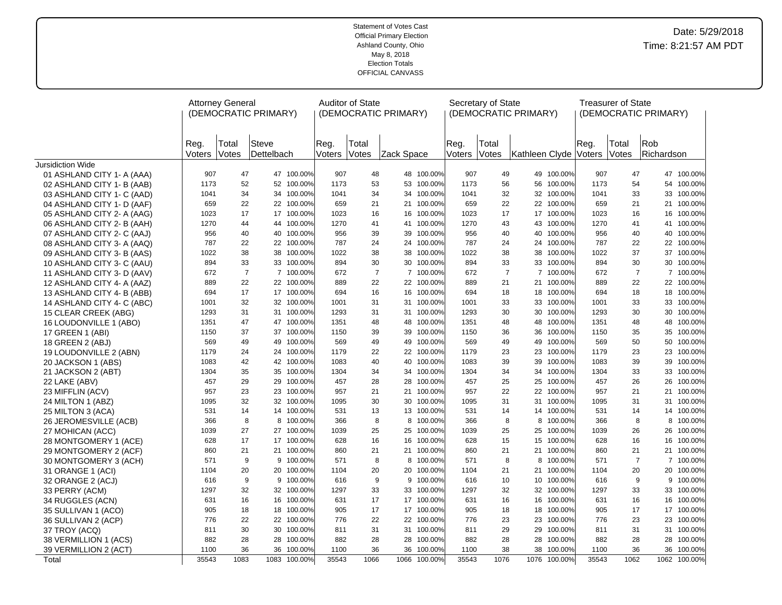|                                            |                | <b>Attorney General</b> | (DEMOCRATIC PRIMARY) |                          |                | <b>Auditor of State</b><br>(DEMOCRATIC PRIMARY) |            |                    |                | Secretary of State    | (DEMOCRATIC PRIMARY) |                    |                | <b>Treasurer of State</b> | (DEMOCRATIC PRIMARY) |                          |
|--------------------------------------------|----------------|-------------------------|----------------------|--------------------------|----------------|-------------------------------------------------|------------|--------------------|----------------|-----------------------|----------------------|--------------------|----------------|---------------------------|----------------------|--------------------------|
|                                            | Reg.<br>Voters | Total<br>Votes          | Steve<br>Dettelbach  |                          | Reg.<br>Voters | Total<br>Votes                                  | Zack Space |                    | Reg.<br>Voters | Total<br><b>Votes</b> | Kathleen Clyde       |                    | Reg.<br>Voters | Total<br>Votes            | Rob<br>Richardson    |                          |
| <b>Jursidiction Wide</b>                   |                |                         |                      |                          |                |                                                 |            |                    |                |                       |                      |                    |                |                           |                      |                          |
| 01 ASHLAND CITY 1- A (AAA)                 | 907            | 47                      |                      | 47 100.00%               | 907            | 48                                              |            | 48 100.00%         | 907            | 49                    | 49                   | 100.00%            | 907            | 47                        |                      | 47 100.00%               |
| 02 ASHLAND CITY 1- B (AAB)                 | 1173           | 52                      |                      | 52 100.00%               | 1173           | 53                                              | 53         | 100.00%            | 1173           | 56                    | 56                   | 100.00%            | 1173           | 54                        |                      | 54 100.00%               |
| 03 ASHLAND CITY 1- C (AAD)                 | 1041           | 34                      |                      | 34 100.00%               | 1041           | 34                                              | 34         | 100.00%            | 1041           | 32                    | 32                   | 100.00%            | 1041           | 33                        |                      | 33 100.00%               |
| 04 ASHLAND CITY 1- D (AAF)                 | 659            | 22                      |                      | 22 100.00%               | 659            | 21                                              |            | 21 100.00%         | 659            | 22                    |                      | 22 100.00%         | 659            | 21                        |                      | 21 100.00%               |
| 05 ASHLAND CITY 2- A (AAG)                 | 1023           | 17                      |                      | 17 100.00%               | 1023           | 16                                              | 16         | 100.00%            | 1023           | 17                    | 17                   | 100.00%            | 1023           | 16                        |                      | 16 100.00%               |
| 06 ASHLAND CITY 2- B (AAH)                 | 1270           | 44                      |                      | 44 100.00%               | 1270           | 41                                              | 41         | 100.00%            | 1270           | 43                    | 43                   | 100.00%            | 1270           | 41                        |                      | 41 100.00%               |
| 07 ASHLAND CITY 2- C (AAJ)                 | 956            | 40                      |                      | 40 100.00%               | 956            | 39                                              | 39         | 100.00%            | 956            | 40                    | 40                   | 100.00%            | 956            | 40                        |                      | 40 100.00%               |
| 08 ASHLAND CITY 3- A (AAQ)                 | 787            | 22                      |                      | 22 100.00%               | 787            | 24                                              | 24         | 100.00%            | 787            | 24                    | 24                   | 100.00%            | 787            | 22                        |                      | 22 100.00%               |
| 09 ASHLAND CITY 3- B (AAS)                 | 1022           | 38                      |                      | 38 100.00%               | 1022           | 38                                              | 38         | 100.00%            | 1022           | 38                    | 38                   | 100.00%            | 1022           | 37                        |                      | 37 100.00%               |
| 10 ASHLAND CITY 3- C (AAU)                 | 894            | 33                      |                      | 33 100.00%               | 894            | 30                                              | 30         | 100.00%            | 894            | 33                    | 33                   | 100.00%            | 894            | 30                        |                      | 30 100.00%               |
| 11 ASHLAND CITY 3- D (AAV)                 | 672            |                         | $\overline{7}$       | 7 100.00%                | 672            | $\overline{7}$                                  |            | 7 100.00%          | 672            | $\overline{7}$        |                      | 7 100.00%          | 672            | $\overline{7}$            |                      | 7 100.00%                |
| 12 ASHLAND CITY 4- A (AAZ)                 | 889            | 22                      |                      | 22 100.00%               | 889            | 22                                              |            | 22 100.00%         | 889            | 21                    | 21                   | 100.00%            | 889            | 22                        |                      | 22 100.00%               |
| 13 ASHLAND CITY 4- B (ABB)                 | 694            | 17                      |                      | 17 100.00%               | 694            | 16                                              |            | 16 100.00%         | 694            | 18                    | 18                   | 100.00%            | 694            | 18                        |                      | 18 100.00%               |
| 14 ASHLAND CITY 4- C (ABC)                 | 1001           | 32                      |                      | 32 100.00%               | 1001           | 31                                              | 31         | 100.00%            | 1001           | 33                    | 33                   | 100.00%            | 1001           | 33                        |                      | 33 100.00%               |
| 15 CLEAR CREEK (ABG)                       | 1293           | 31                      |                      | 31 100.00%               | 1293           | 31                                              | 31         | 100.00%            | 1293           | 30                    | 30                   | 100.00%            | 1293           | 30                        |                      | 30 100.00%               |
| 16 LOUDONVILLE 1 (ABO)                     | 1351           | 47                      |                      | 47 100.00%               | 1351           | 48                                              | 48         | 100.00%            | 1351           | 48                    | 48                   | 100.00%            | 1351           | 48                        |                      | 48 100.00%               |
| 17 GREEN 1 (ABI)                           | 1150           | 37                      |                      | 37 100.00%               | 1150           | 39                                              | 39         | 100.00%            | 1150           | 36                    | 36                   | 100.00%            | 1150           | 35                        |                      | 35 100.00%               |
| 18 GREEN 2 (ABJ)                           | 569            | 49                      |                      | 49 100.00%               | 569            | 49                                              |            | 49 100.00%         | 569            | 49                    | 49                   | 100.00%            | 569            | 50                        |                      | 50 100.00%               |
| 19 LOUDONVILLE 2 (ABN)                     | 1179           | 24                      |                      | 24 100.00%               | 1179           | 22                                              | 22         | 100.00%            | 1179           | 23                    | 23                   | 100.00%            | 1179           | 23                        |                      | 23 100.00%               |
| 20 JACKSON 1 (ABS)                         | 1083           | 42                      |                      | 42 100.00%               | 1083           | 40                                              | 34         | 40 100.00%         | 1083           | 39                    | 39                   | 100.00%            | 1083           | 39                        |                      | 39 100.00%               |
| 21 JACKSON 2 (ABT)                         | 1304<br>457    | 35<br>29                |                      | 35 100.00%               | 1304<br>457    | 34<br>28                                        | 28         | 100.00%<br>100.00% | 1304           | 34                    | 34                   | 100.00%            | 1304           | 33<br>26                  |                      | 33 100.00%               |
| 22 LAKE (ABV)                              | 957            | 23                      |                      | 29 100.00%<br>23 100.00% | 957            | 21                                              | 21         | 100.00%            | 457<br>957     | 25<br>22              | 25<br>22             | 100.00%<br>100.00% | 457<br>957     | 21                        |                      | 26 100.00%<br>21 100.00% |
| 23 MIFFLIN (ACV)                           | 1095           | 32                      |                      | 32 100.00%               | 1095           | 30                                              | 30         | 100.00%            | 1095           | 31                    | 31                   | 100.00%            | 1095           | 31                        |                      | 31 100.00%               |
| 24 MILTON 1 (ABZ)                          | 531            | 14                      |                      | 14 100.00%               | 531            | 13                                              |            | 13 100.00%         | 531            | 14                    |                      | 14 100.00%         | 531            | 14                        |                      | 14 100.00%               |
| 25 MILTON 3 (ACA)<br>26 JEROMESVILLE (ACB) | 366            |                         | 8                    | 8 100.00%                | 366            | 8                                               | 8          | 100.00%            | 366            | 8                     | 8                    | 100.00%            | 366            | 8                         |                      | 8 100.00%                |
| 27 MOHICAN (ACC)                           | 1039           | 27                      |                      | 27 100.00%               | 1039           | 25                                              | 25         | 100.00%            | 1039           | 25                    | 25                   | 100.00%            | 1039           | 26                        |                      | 26 100.00%               |
| 28 MONTGOMERY 1 (ACE)                      | 628            | 17                      |                      | 17 100.00%               | 628            | 16                                              | 16         | 100.00%            | 628            | 15                    | 15                   | 100.00%            | 628            | 16                        |                      | 16 100.00%               |
| 29 MONTGOMERY 2 (ACF)                      | 860            | 21                      |                      | 21 100.00%               | 860            | 21                                              | 21         | 100.00%            | 860            | 21                    | 21                   | 100.00%            | 860            | 21                        |                      | 21 100.00%               |
| 30 MONTGOMERY 3 (ACH)                      | 571            |                         | 9                    | 9 100.00%                | 571            | 8                                               | 8          | 100.00%            | 571            | 8                     | 8                    | 100.00%            | 571            | $\overline{7}$            |                      | 7 100.00%                |
| 31 ORANGE 1 (ACI)                          | 1104           | 20                      |                      | 20 100.00%               | 1104           | 20                                              | 20         | 100.00%            | 1104           | 21                    | 21                   | 100.00%            | 1104           | 20                        |                      | 20 100.00%               |
| 32 ORANGE 2 (ACJ)                          | 616            |                         | 9                    | 9 100.00%                | 616            | 9                                               | 9          | 100.00%            | 616            | 10                    | 10                   | 100.00%            | 616            | 9                         |                      | 9 100.00%                |
| 33 PERRY (ACM)                             | 1297           | 32                      |                      | 32 100.00%               | 1297           | 33                                              | 33         | 100.00%            | 1297           | 32                    | 32                   | 100.00%            | 1297           | 33                        |                      | 33 100.00%               |
| 34 RUGGLES (ACN)                           | 631            | 16                      |                      | 16 100.00%               | 631            | 17                                              |            | 17 100.00%         | 631            | 16                    | 16                   | 100.00%            | 631            | 16                        |                      | 16 100.00%               |
| 35 SULLIVAN 1 (ACO)                        | 905            | 18                      |                      | 18 100.00%               | 905            | 17                                              |            | 17 100.00%         | 905            | 18                    | 18                   | 100.00%            | 905            | 17                        |                      | 17 100.00%               |
| 36 SULLIVAN 2 (ACP)                        | 776            | 22                      |                      | 22 100.00%               | 776            | 22                                              | 22         | 100.00%            | 776            | 23                    | 23                   | 100.00%            | 776            | 23                        |                      | 23 100.00%               |
| 37 TROY (ACQ)                              | 811            | 30                      |                      | 30 100.00%               | 811            | 31                                              |            | 31 100.00%         | 811            | 29                    | 29                   | 100.00%            | 811            | 31                        |                      | 31 100.00%               |
| 38 VERMILLION 1 (ACS)                      | 882            | 28                      |                      | 28 100.00%               | 882            | 28                                              | 28         | 100.00%            | 882            | 28                    | 28                   | 100.00%            | 882            | 28                        |                      | 28 100.00%               |
| 39 VERMILLION 2 (ACT)                      | 1100           | 36                      | 36                   | 100.00%                  | 1100           | 36                                              | 36         | 100.00%            | 1100           | 38                    | 38                   | 100.00%            | 1100           | 36                        | 36                   | 100.00%                  |
| Total                                      | 35543          | 1083                    |                      | 1083 100.00%             | 35543          | 1066                                            | 1066       | 100.00%            | 35543          | 1076                  | 1076                 | 100.00%            | 35543          | 1062                      |                      | 1062 100.00%             |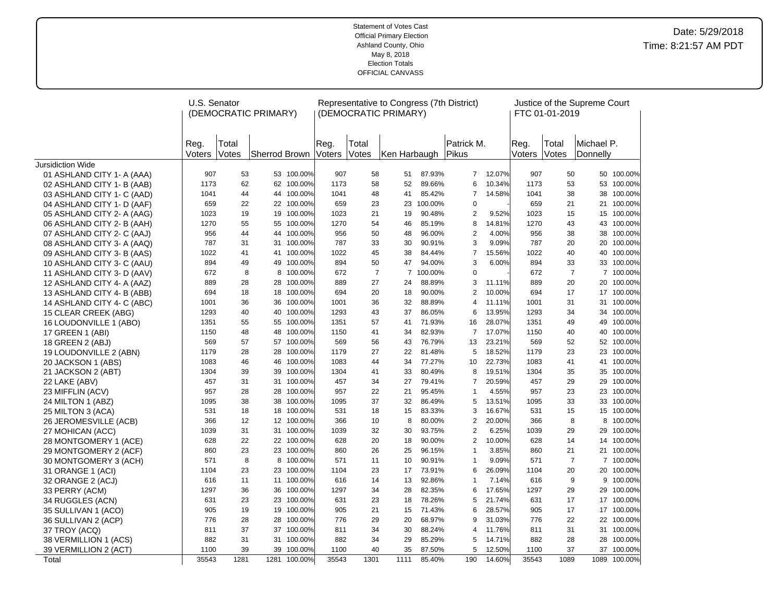|                                            | U.S. Senator   |                | (DEMOCRATIC PRIMARY) |                       |                |                | Representative to Congress (7th District)<br>(DEMOCRATIC PRIMARY) |                  |                                  |                 |                | FTC 01-01-2019 | Justice of the Supreme Court |                      |
|--------------------------------------------|----------------|----------------|----------------------|-----------------------|----------------|----------------|-------------------------------------------------------------------|------------------|----------------------------------|-----------------|----------------|----------------|------------------------------|----------------------|
|                                            | Reg.<br>Voters | Total<br>Votes | Sherrod Brown        |                       | Reg.<br>Voters | Total<br>Votes | Ken Harbaugh                                                      |                  | Patrick M.<br>Pikus              |                 | Reg.<br>Voters | Total<br>Votes | Michael P.<br>Donnelly       |                      |
| <b>Jursidiction Wide</b>                   |                |                |                      |                       |                |                |                                                                   |                  |                                  |                 |                |                |                              |                      |
| 01 ASHLAND CITY 1- A (AAA)                 | 907            | 53             |                      | 53 100.00%            | 907            | 58             | 51                                                                | 87.93%           | $\overline{7}$                   | 12.07%          | 907            | 50             | 50                           | 100.00%              |
| 02 ASHLAND CITY 1- B (AAB)                 | 1173           | 62             |                      | 62 100.00%            | 1173           | 58             | 52                                                                | 89.66%           | 6                                | 10.34%          | 1173           | 53             | 53                           | 100.00%              |
| 03 ASHLAND CITY 1- C (AAD)                 | 1041           | 44             |                      | 44 100.00%            | 1041           | 48             | 41                                                                | 85.42%           | $\overline{7}$                   | 14.58%          | 1041           | 38             | 38                           | 100.00%              |
| 04 ASHLAND CITY 1- D (AAF)                 | 659            | 22             |                      | 22 100.00%            | 659            | 23             | 23                                                                | 100.00%          | $\mathbf 0$                      |                 | 659            | 21             |                              | 21 100.00%           |
| 05 ASHLAND CITY 2- A (AAG)                 | 1023           | 19             | 19                   | 100.00%               | 1023           | 21             | 19                                                                | 90.48%           | 2                                | 9.52%           | 1023           | 15             | 15                           | 100.00%              |
| 06 ASHLAND CITY 2- B (AAH)                 | 1270           | 55             | 55                   | 100.00%               | 1270           | 54             | 46                                                                | 85.19%           | 8                                | 14.81%          | 1270           | 43             | 43                           | 100.00%              |
| 07 ASHLAND CITY 2- C (AAJ)                 | 956            | 44             | 44                   | 100.00%               | 956            | 50             | 48                                                                | 96.00%           | $\overline{2}$                   | 4.00%           | 956            | 38             | 38                           | 100.00%              |
| 08 ASHLAND CITY 3- A (AAQ)                 | 787            | 31             | 31                   | 100.00%               | 787            | 33             | 30                                                                | 90.91%           | 3                                | 9.09%           | 787            | 20             | 20                           | 100.00%              |
| 09 ASHLAND CITY 3- B (AAS)                 | 1022           | 41             | 41                   | 100.00%               | 1022           | 45             | 38                                                                | 84.44%           | $\overline{7}$                   | 15.56%          | 1022           | 40             | 40                           | 100.00%              |
| 10 ASHLAND CITY 3- C (AAU)                 | 894            | 49             | 49                   | 100.00%               | 894            | 50             | 47                                                                | 94.00%           | 3                                | 6.00%           | 894            | 33             | 33                           | 100.00%              |
| 11 ASHLAND CITY 3- D (AAV)                 | 672            | 8              | 8                    | 100.00%               | 672            | $\overline{7}$ |                                                                   | 7 100.00%        | $\mathbf 0$                      |                 | 672            | $\overline{7}$ |                              | 7 100.00%            |
| 12 ASHLAND CITY 4- A (AAZ)                 | 889            | 28             | 28                   | 100.00%               | 889            | 27             | 24                                                                | 88.89%           | 3                                | 11.11%          | 889            | 20             | 20                           | 100.00%              |
| 13 ASHLAND CITY 4- B (ABB)                 | 694            | 18             |                      | 18 100.00%            | 694            | 20             | 18                                                                | 90.00%           | $\overline{2}$                   | 10.00%          | 694            | 17             |                              | 17 100.00%           |
| 14 ASHLAND CITY 4- C (ABC)                 | 1001           | 36             | 36                   | 100.00%               | 1001           | 36             | 32                                                                | 88.89%           | $\overline{4}$                   | 11.11%          | 1001           | 31             | 31                           | 100.00%              |
| 15 CLEAR CREEK (ABG)                       | 1293           | 40             | 40                   | 100.00%               | 1293           | 43             | 37                                                                | 86.05%           | 6                                | 13.95%          | 1293           | 34             | 34                           | 100.00%              |
| 16 LOUDONVILLE 1 (ABO)                     | 1351           | 55             | 55                   | 100.00%               | 1351           | 57             | 41                                                                | 71.93%           | 16                               | 28.07%          | 1351           | 49             | 49                           | 100.00%              |
| 17 GREEN 1 (ABI)                           | 1150           | 48             | 48                   | 100.00%               | 1150           | 41             | 34                                                                | 82.93%           | $\overline{7}$                   | 17.07%          | 1150           | 40             | 40                           | 100.00%              |
| 18 GREEN 2 (ABJ)                           | 569            | 57             |                      | 57 100.00%            | 569            | 56             | 43                                                                | 76.79%           | 13                               | 23.21%          | 569            | 52             |                              | 52 100.00%           |
| 19 LOUDONVILLE 2 (ABN)                     | 1179           | 28             | 28                   | 100.00%               | 1179           | 27             | 22                                                                | 81.48%           | 5                                | 18.52%          | 1179           | 23             | 23                           | 100.00%              |
| 20 JACKSON 1 (ABS)                         | 1083           | 46             | 46                   | 100.00%               | 1083           | 44             | 34                                                                | 77.27%           | 10                               | 22.73%          | 1083           | 41             | 41                           | 100.00%              |
| 21 JACKSON 2 (ABT)                         | 1304           | 39             | 39                   | 100.00%               | 1304           | 41             | 33                                                                | 80.49%           | 8                                | 19.51%          | 1304           | 35             | 35                           | 100.00%              |
| 22 LAKE (ABV)                              | 457            | 31             | 31                   | 100.00%               | 457            | 34             | 27                                                                | 79.41%           | $\overline{7}$                   | 20.59%          | 457            | 29             | 29                           | 100.00%              |
| 23 MIFFLIN (ACV)                           | 957            | 28             | 28                   | 100.00%               | 957            | 22             | 21                                                                | 95.45%           | $\mathbf{1}$                     | 4.55%           | 957            | 23             | 23                           | 100.00%              |
| 24 MILTON 1 (ABZ)                          | 1095           | 38             | 38                   | 100.00%               | 1095           | 37             | 32                                                                | 86.49%           | 5                                | 13.51%          | 1095           | 33             | 33                           | 100.00%              |
| 25 MILTON 3 (ACA)                          | 531            | 18             | 18                   | 100.00%               | 531            | 18             | 15                                                                | 83.33%           | 3                                | 16.67%          | 531            | 15             |                              | 15 100.00%           |
| 26 JEROMESVILLE (ACB)                      | 366            | 12             | 12                   | 100.00%               | 366            | 10             | 8                                                                 | 80.00%           | 2                                | 20.00%          | 366            | 8              | 8                            | 100.00%              |
| 27 MOHICAN (ACC)                           | 1039           | 31             |                      | 31 100.00%            | 1039           | 32             | 30                                                                | 93.75%           | $\overline{2}$<br>$\overline{2}$ | 6.25%           | 1039           | 29             | 29                           | 100.00%              |
| 28 MONTGOMERY 1 (ACE)                      | 628            | 22             | 23                   | 22 100.00%<br>100.00% | 628<br>860     | 20<br>26       | 18<br>25                                                          | 90.00%<br>96.15% | $\mathbf{1}$                     | 10.00%<br>3.85% | 628<br>860     | 14<br>21       | 14<br>21                     | 100.00%              |
| 29 MONTGOMERY 2 (ACF)                      | 860            | 23<br>8        | 8                    |                       |                |                | 10                                                                | 90.91%           | $\mathbf{1}$                     | 9.09%           |                | $\overline{7}$ |                              | 100.00%<br>7 100.00% |
| 30 MONTGOMERY 3 (ACH)                      | 571<br>1104    | 23             | 23                   | 100.00%<br>100.00%    | 571<br>1104    | 11<br>23       | 17                                                                | 73.91%           | 6                                | 26.09%          | 571<br>1104    | 20             | 20                           | 100.00%              |
| 31 ORANGE 1 (ACI)                          | 616            | 11             |                      | 11 100.00%            | 616            | 14             | 13                                                                | 92.86%           | 1                                | 7.14%           | 616            | 9              | 9                            | 100.00%              |
| 32 ORANGE 2 (ACJ)                          | 1297           | 36             | 36                   | 100.00%               | 1297           | 34             | 28                                                                | 82.35%           | 6                                | 17.65%          | 1297           | 29             | 29                           | 100.00%              |
| 33 PERRY (ACM)<br>34 RUGGLES (ACN)         | 631            | 23             | 23                   | 100.00%               | 631            | 23             | 18                                                                | 78.26%           | 5                                | 21.74%          | 631            | 17             |                              | 17 100.00%           |
|                                            | 905            | 19             | 19                   | 100.00%               | 905            | 21             | 15                                                                | 71.43%           | 6                                | 28.57%          | 905            | 17             | 17                           | 100.00%              |
| 35 SULLIVAN 1 (ACO)<br>36 SULLIVAN 2 (ACP) | 776            | 28             | 28                   | 100.00%               | 776            | 29             | 20                                                                | 68.97%           | 9                                | 31.03%          | 776            | 22             |                              | 22 100.00%           |
| 37 TROY (ACQ)                              | 811            | 37             |                      | 37 100.00%            | 811            | 34             | 30                                                                | 88.24%           | 4                                | 11.76%          | 811            | 31             |                              | 31 100.00%           |
| 38 VERMILLION 1 (ACS)                      | 882            | 31             | 31                   | 100.00%               | 882            | 34             | 29                                                                | 85.29%           | 5                                | 14.71%          | 882            | 28             | 28                           | 100.00%              |
| 39 VERMILLION 2 (ACT)                      | 1100           | 39             | 39                   | 100.00%               | 1100           | 40             | 35                                                                | 87.50%           | 5                                | 12.50%          | 1100           | 37             |                              | 37 100.00%           |
| Total                                      | 35543          | 1281           | 1281                 | 100.00%               | 35543          | 1301           | 1111                                                              | 85.40%           | 190                              | 14.60%          | 35543          | 1089           | 1089                         | 100.00%              |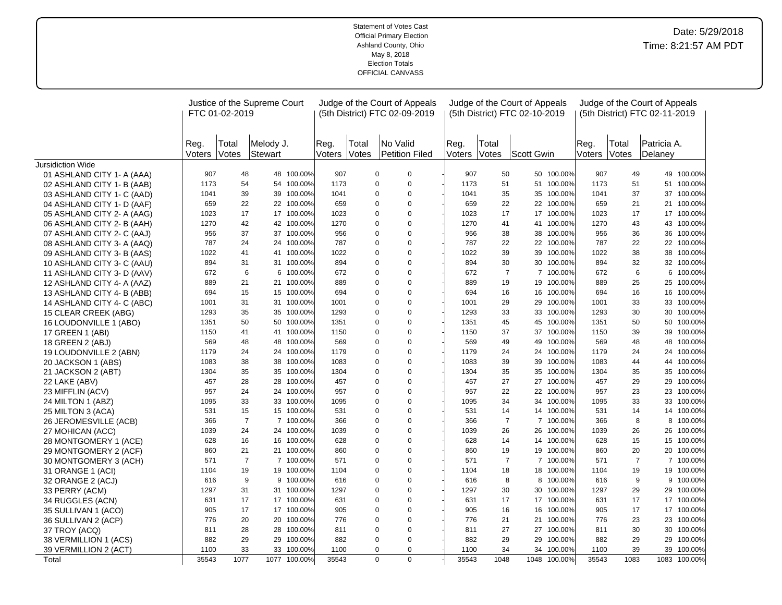|                            |                | FTC 01-02-2019 | Justice of the Supreme Court |              |                |                | Judge of the Court of Appeals<br>(5th District) FTC 02-09-2019 |                |                       | Judge of the Court of Appeals<br>(5th District) FTC 02-10-2019 |              |                |                | Judge of the Court of Appeals<br>(5th District) FTC 02-11-2019 |              |
|----------------------------|----------------|----------------|------------------------------|--------------|----------------|----------------|----------------------------------------------------------------|----------------|-----------------------|----------------------------------------------------------------|--------------|----------------|----------------|----------------------------------------------------------------|--------------|
|                            | Reg.<br>Voters | Total<br>Votes | Melody J.<br>Stewart         |              | Reg.<br>Voters | Total<br>Votes | No Valid<br>Petition Filed                                     | Reg.<br>Voters | Total<br><b>Votes</b> | Scott Gwin                                                     |              | Reg.<br>Voters | Total<br>Votes | Patricia A.<br>Delaney                                         |              |
| Jursidiction Wide          |                |                |                              |              |                |                |                                                                |                |                       |                                                                |              |                |                |                                                                |              |
| 01 ASHLAND CITY 1- A (AAA) | 907            | 48             |                              | 48 100.00%   | 907            |                | $\mathbf 0$<br>$\mathbf 0$                                     | 907            | 50                    |                                                                | 50 100.00%   | 907            | 49             |                                                                | 49 100.00%   |
| 02 ASHLAND CITY 1- B (AAB) | 1173           | 54             |                              | 54 100.00%   | 1173           |                | $\pmb{0}$<br>0                                                 | 1173           | 51                    |                                                                | 51 100.00%   | 1173           | 51             |                                                                | 51 100.00%   |
| 03 ASHLAND CITY 1- C (AAD) | 1041           | 39             |                              | 39 100.00%   | 1041           |                | $\overline{0}$<br>$\mathbf 0$                                  | 1041           | 35                    | 35                                                             | 100.00%      | 1041           | 37             |                                                                | 37 100.00%   |
| 04 ASHLAND CITY 1- D (AAF) | 659            | 22             |                              | 22 100.00%   | 659            |                | 0<br>0                                                         | 659            | 22                    |                                                                | 22 100.00%   | 659            | 21             |                                                                | 21 100.00%   |
| 05 ASHLAND CITY 2- A (AAG) | 1023           | 17             |                              | 17 100.00%   | 1023           |                | 0<br>$\pmb{0}$                                                 | 1023           | 17                    | 17                                                             | 100.00%      | 1023           | 17             |                                                                | 17 100.00%   |
| 06 ASHLAND CITY 2- B (AAH) | 1270           | 42             |                              | 42 100.00%   | 1270           | $\Omega$       | $\overline{0}$                                                 | 1270           | 41                    | 41                                                             | 100.00%      | 1270           | 43             |                                                                | 43 100.00%   |
| 07 ASHLAND CITY 2- C (AAJ) | 956            | 37             |                              | 37 100.00%   | 956            |                | $\mathbf 0$<br>0                                               | 956            | 38                    | 38                                                             | 100.00%      | 956            | 36             | 36                                                             | 100.00%      |
| 08 ASHLAND CITY 3- A (AAQ) | 787            | 24             |                              | 24 100.00%   | 787            |                | $\overline{0}$<br>$\mathbf 0$                                  | 787            | 22                    |                                                                | 22 100.00%   | 787            | 22             |                                                                | 22 100.00%   |
| 09 ASHLAND CITY 3- B (AAS) | 1022           | 41             |                              | 41 100.00%   | 1022           |                | $\mathbf 0$<br>$\mathbf 0$                                     | 1022           | 39                    | 39                                                             | 100.00%      | 1022           | 38             |                                                                | 38 100.00%   |
| 10 ASHLAND CITY 3- C (AAU) | 894            | 31             |                              | 31 100.00%   | 894            |                | 0<br>$\mathbf 0$                                               | 894            | 30                    | 30                                                             | 100.00%      | 894            | 32             |                                                                | 32 100.00%   |
| 11 ASHLAND CITY 3- D (AAV) | 672            | 6              |                              | 6 100.00%    | 672            | $\Omega$       | $\overline{0}$                                                 | 672            |                       | $\overline{7}$                                                 | 7 100.00%    | 672            | 6              |                                                                | 6 100.00%    |
| 12 ASHLAND CITY 4- A (AAZ) | 889            | 21             |                              | 21 100.00%   | 889            | $\Omega$       | $\overline{0}$                                                 | 889            | 19                    | 19                                                             | 100.00%      | 889            | 25             |                                                                | 25 100.00%   |
| 13 ASHLAND CITY 4- B (ABB) | 694            | 15             |                              | 15 100.00%   | 694            | $\Omega$       | $\overline{0}$                                                 | 694            | 16                    |                                                                | 16 100.00%   | 694            | 16             |                                                                | 16 100.00%   |
| 14 ASHLAND CITY 4- C (ABC) | 1001           | 31             |                              | 31 100.00%   | 1001           |                | $\Omega$<br>0                                                  | 1001           | 29                    | 29                                                             | 100.00%      | 1001           | 33             |                                                                | 33 100.00%   |
| 15 CLEAR CREEK (ABG)       | 1293           | 35             |                              | 35 100.00%   | 1293           | $\Omega$       | $\overline{0}$                                                 | 1293           | 33                    | 33                                                             | 100.00%      | 1293           | 30             | 30                                                             | 100.00%      |
| 16 LOUDONVILLE 1 (ABO)     | 1351           | 50             |                              | 50 100.00%   | 1351           | $\Omega$       | $\overline{0}$                                                 | 1351           | 45                    | 45                                                             | 100.00%      | 1351           | 50             | 50                                                             | 100.00%      |
| 17 GREEN 1 (ABI)           | 1150           | 41             |                              | 41 100.00%   | 1150           |                | 0<br>$\mathbf 0$                                               | 1150           | 37                    | 37                                                             | 100.00%      | 1150           | 39             | 39                                                             | 100.00%      |
| 18 GREEN 2 (ABJ)           | 569            | 48             |                              | 48 100.00%   | 569            | $\Omega$       | $\overline{0}$                                                 | 569            | 49                    | 49                                                             | 100.00%      | 569            | 48             | 48                                                             | 100.00%      |
| 19 LOUDONVILLE 2 (ABN)     | 1179           | 24             |                              | 24 100.00%   | 1179           |                | $\Omega$<br>0                                                  | 1179           | 24                    | 24                                                             | 100.00%      | 1179           | 24             |                                                                | 24 100.00%   |
| 20 JACKSON 1 (ABS)         | 1083           | 38             |                              | 38 100.00%   | 1083           |                | $\overline{0}$<br>$\mathbf 0$                                  | 1083           | 39                    | 39                                                             | 100.00%      | 1083           | 44             |                                                                | 44 100.00%   |
| 21 JACKSON 2 (ABT)         | 1304           | 35             |                              | 35 100.00%   | 1304           |                | $\mathbf 0$<br>0                                               | 1304           | 35                    | 35                                                             | 100.00%      | 1304           | 35             | 35                                                             | 100.00%      |
| 22 LAKE (ABV)              | 457            | 28             |                              | 28 100.00%   | 457            |                | $\overline{0}$<br>$\mathbf 0$                                  | 457            | 27                    | 27                                                             | 100.00%      | 457            | 29             | 29                                                             | 100.00%      |
| 23 MIFFLIN (ACV)           | 957            | 24             |                              | 24 100.00%   | 957            |                | $\pmb{0}$<br>$\mathbf 0$                                       | 957            | 22                    |                                                                | 22 100.00%   | 957            | 23             |                                                                | 23 100.00%   |
| 24 MILTON 1 (ABZ)          | 1095           | 33             |                              | 33 100.00%   | 1095           |                | $\mathbf 0$<br>0                                               | 1095           | 34                    | 34                                                             | 100.00%      | 1095           | 33             |                                                                | 33 100.00%   |
| 25 MILTON 3 (ACA)          | 531            | 15             |                              | 15 100.00%   | 531            | $\Omega$       | $\overline{0}$                                                 | 531            | 14                    |                                                                | 14 100.00%   | 531            | 14             |                                                                | 14 100.00%   |
| 26 JEROMESVILLE (ACB)      | 366            | $\overline{7}$ |                              | 7 100.00%    | 366            |                | $\Omega$<br>0                                                  | 366            |                       | $\overline{7}$<br>$\overline{7}$                               | 100.00%      | 366            | 8              | 8                                                              | 100.00%      |
| 27 MOHICAN (ACC)           | 1039           | 24             |                              | 24 100.00%   | 1039           |                | $\overline{0}$<br>$\mathbf 0$                                  | 1039           | 26                    | 26                                                             | 100.00%      | 1039           | 26             |                                                                | 26 100.00%   |
| 28 MONTGOMERY 1 (ACE)      | 628            | 16             |                              | 16 100.00%   | 628            |                | $\mathbf 0$<br>$\mathbf 0$                                     | 628            | 14                    | 14                                                             | 100.00%      | 628            | 15             |                                                                | 15 100.00%   |
| 29 MONTGOMERY 2 (ACF)      | 860            | 21             |                              | 21 100.00%   | 860            |                | 0<br>$\pmb{0}$                                                 | 860            | 19                    | 19                                                             | 100.00%      | 860            | 20             | 20                                                             | 100.00%      |
| 30 MONTGOMERY 3 (ACH)      | 571            | $\overline{7}$ |                              | 7 100.00%    | 571            |                | 0<br>$\mathbf 0$                                               | 571            |                       | $\overline{7}$                                                 | 7 100.00%    | 571            | $\overline{7}$ |                                                                | 7 100.00%    |
| 31 ORANGE 1 (ACI)          | 1104           | 19             |                              | 19 100.00%   | 1104           |                | $\mathbf 0$<br>0                                               | 1104           | 18                    | 18                                                             | 100.00%      | 1104           | 19             |                                                                | 19 100.00%   |
| 32 ORANGE 2 (ACJ)          | 616            | 9              |                              | 9 100.00%    | 616            |                | $\overline{0}$<br>$\mathbf 0$                                  | 616            |                       | 8<br>8                                                         | 100.00%      | 616            | 9              |                                                                | 9 100.00%    |
| 33 PERRY (ACM)             | 1297           | 31             |                              | 31 100.00%   | 1297           |                | 0<br>0                                                         | 1297           | 30                    | 30                                                             | 100.00%      | 1297           | 29             |                                                                | 29 100.00%   |
| 34 RUGGLES (ACN)           | 631            | 17             |                              | 17 100.00%   | 631            |                | $\pmb{0}$<br>0                                                 | 631            | 17                    |                                                                | 17 100.00%   | 631            | 17             |                                                                | 17 100.00%   |
| 35 SULLIVAN 1 (ACO)        | 905            | 17             |                              | 17 100.00%   | 905            |                | $\overline{0}$<br>$\mathbf 0$                                  | 905            | 16                    | 16                                                             | 100.00%      | 905            | 17             |                                                                | 17 100.00%   |
| 36 SULLIVAN 2 (ACP)        | 776            | 20             |                              | 20 100.00%   | 776            |                | $\overline{0}$<br>$\pmb{0}$                                    | 776            | 21                    | 21                                                             | 100.00%      | 776            | 23             |                                                                | 23 100.00%   |
| 37 TROY (ACQ)              | 811            | 28             |                              | 28 100.00%   | 811            |                | $\mathbf 0$<br>0                                               | 811            | 27                    |                                                                | 27 100.00%   | 811            | 30             |                                                                | 30 100.00%   |
| 38 VERMILLION 1 (ACS)      | 882            | 29             |                              | 29 100.00%   | 882            |                | $\Omega$<br>$\overline{0}$                                     | 882            | 29                    | 29                                                             | 100.00%      | 882            | 29             |                                                                | 29 100.00%   |
| 39 VERMILLION 2 (ACT)      | 1100           | 33             |                              | 33 100.00%   | 1100           |                | $\mathbf 0$<br>0                                               | 1100           | 34                    | 34                                                             | 100.00%      | 1100           | 39             | 39                                                             | 100.00%      |
| Total                      | 35543          | 1077           |                              | 1077 100.00% | 35543          |                | $\overline{0}$<br>$\Omega$                                     | 35543          | 1048                  |                                                                | 1048 100.00% | 35543          | 1083           |                                                                | 1083 100.00% |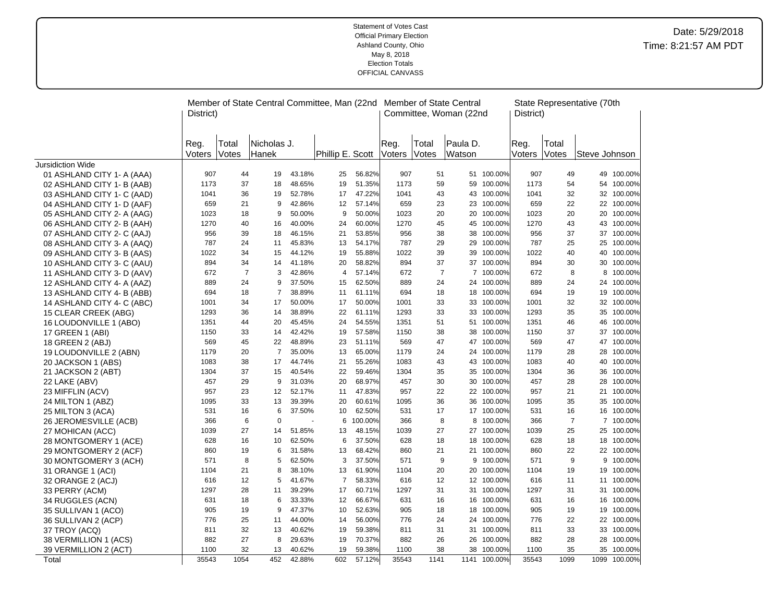|                            |           |                | Member of State Central Committee, Man (22nd |        |                  |         |        |                | Member of State Central |              |           |                | State Representative (70th |              |
|----------------------------|-----------|----------------|----------------------------------------------|--------|------------------|---------|--------|----------------|-------------------------|--------------|-----------|----------------|----------------------------|--------------|
|                            | District) |                |                                              |        |                  |         |        |                | Committee, Woman (22nd  |              | District) |                |                            |              |
|                            |           |                |                                              |        |                  |         |        |                |                         |              |           |                |                            |              |
|                            |           |                |                                              |        |                  |         |        |                |                         |              |           |                |                            |              |
|                            | Reg.      | Total          | Nicholas J.                                  |        |                  |         | Reg.   | Total          | Paula D.                |              | Reg.      | Total          |                            |              |
|                            | Voters    | Votes          | Hanek                                        |        | Phillip E. Scott |         | Voters | Votes          | Watson                  |              | Voters    | Votes          | Steve Johnson              |              |
| Jursidiction Wide          |           |                |                                              |        |                  |         |        |                |                         |              |           |                |                            |              |
| 01 ASHLAND CITY 1- A (AAA) | 907       | 44             | 19                                           | 43.18% | 25               | 56.82%  | 907    | 51             |                         | 51 100.00%   | 907       | 49             |                            | 49 100.00%   |
| 02 ASHLAND CITY 1- B (AAB) | 1173      | 37             | 18                                           | 48.65% | 19               | 51.35%  | 1173   | 59             |                         | 59 100.00%   | 1173      | 54             |                            | 54 100.00%   |
| 03 ASHLAND CITY 1- C (AAD) | 1041      | 36             | 19                                           | 52.78% | 17               | 47.22%  | 1041   | 43             |                         | 43 100.00%   | 1041      | 32             |                            | 32 100.00%   |
| 04 ASHLAND CITY 1- D (AAF) | 659       | 21             | 9                                            | 42.86% | 12               | 57.14%  | 659    | 23             |                         | 23 100.00%   | 659       | 22             |                            | 22 100.00%   |
| 05 ASHLAND CITY 2- A (AAG) | 1023      | 18             | 9                                            | 50.00% | 9                | 50.00%  | 1023   | 20             |                         | 20 100.00%   | 1023      | 20             |                            | 20 100.00%   |
| 06 ASHLAND CITY 2- B (AAH) | 1270      | 40             | 16                                           | 40.00% | 24               | 60.00%  | 1270   | 45             |                         | 45 100.00%   | 1270      | 43             |                            | 43 100.00%   |
| 07 ASHLAND CITY 2- C (AAJ) | 956       | 39             | 18                                           | 46.15% | 21               | 53.85%  | 956    | 38             | 38                      | 100.00%      | 956       | 37             |                            | 37 100.00%   |
| 08 ASHLAND CITY 3- A (AAQ) | 787       | 24             | 11                                           | 45.83% | 13               | 54.17%  | 787    | 29             |                         | 29 100.00%   | 787       | 25             |                            | 25 100.00%   |
| 09 ASHLAND CITY 3- B (AAS) | 1022      | 34             | 15                                           | 44.12% | 19               | 55.88%  | 1022   | 39             | 39                      | 100.00%      | 1022      | 40             |                            | 40 100.00%   |
| 10 ASHLAND CITY 3- C (AAU) | 894       | 34             | 14                                           | 41.18% | 20               | 58.82%  | 894    | 37             |                         | 37 100.00%   | 894       | 30             |                            | 30 100.00%   |
| 11 ASHLAND CITY 3- D (AAV) | 672       | $\overline{7}$ | 3                                            | 42.86% | 4                | 57.14%  | 672    | $\overline{7}$ |                         | 7 100.00%    | 672       | 8              | 8                          | 100.00%      |
| 12 ASHLAND CITY 4- A (AAZ) | 889       | 24             | 9                                            | 37.50% | 15               | 62.50%  | 889    | 24             |                         | 24 100.00%   | 889       | 24             |                            | 24 100.00%   |
| 13 ASHLAND CITY 4- B (ABB) | 694       | 18             | $\overline{7}$                               | 38.89% | 11               | 61.11%  | 694    | 18             |                         | 18 100.00%   | 694       | 19             |                            | 19 100.00%   |
| 14 ASHLAND CITY 4- C (ABC) | 1001      | 34             | 17                                           | 50.00% | 17               | 50.00%  | 1001   | 33             |                         | 33 100.00%   | 1001      | 32             |                            | 32 100.00%   |
| 15 CLEAR CREEK (ABG)       | 1293      | 36             | 14                                           | 38.89% | 22               | 61.11%  | 1293   | 33             |                         | 33 100.00%   | 1293      | 35             |                            | 35 100.00%   |
| 16 LOUDONVILLE 1 (ABO)     | 1351      | 44             | 20                                           | 45.45% | 24               | 54.55%  | 1351   | 51             |                         | 51 100.00%   | 1351      | 46             |                            | 46 100.00%   |
| 17 GREEN 1 (ABI)           | 1150      | 33             | 14                                           | 42.42% | 19               | 57.58%  | 1150   | 38             |                         | 38 100.00%   | 1150      | 37             |                            | 37 100.00%   |
| 18 GREEN 2 (ABJ)           | 569       | 45             | 22                                           | 48.89% | 23               | 51.11%  | 569    | 47             |                         | 47 100.00%   | 569       | 47             |                            | 47 100.00%   |
| 19 LOUDONVILLE 2 (ABN)     | 1179      | 20             | $\overline{7}$                               | 35.00% | 13               | 65.00%  | 1179   | 24             |                         | 24 100.00%   | 1179      | 28             | 28                         | 100.00%      |
| 20 JACKSON 1 (ABS)         | 1083      | 38             | 17                                           | 44.74% | 21               | 55.26%  | 1083   | 43             |                         | 43 100.00%   | 1083      | 40             |                            | 40 100.00%   |
| 21 JACKSON 2 (ABT)         | 1304      | 37             | 15                                           | 40.54% | 22               | 59.46%  | 1304   | 35             |                         | 35 100.00%   | 1304      | 36             |                            | 36 100.00%   |
| 22 LAKE (ABV)              | 457       | 29             | 9                                            | 31.03% | 20               | 68.97%  | 457    | 30             |                         | 30 100.00%   | 457       | 28             |                            | 28 100.00%   |
| 23 MIFFLIN (ACV)           | 957       | 23             | 12                                           | 52.17% | 11               | 47.83%  | 957    | 22             |                         | 22 100.00%   | 957       | 21             |                            | 21 100.00%   |
| 24 MILTON 1 (ABZ)          | 1095      | 33             | 13                                           | 39.39% | 20               | 60.61%  | 1095   | 36             |                         | 36 100.00%   | 1095      | 35             |                            | 35 100.00%   |
| 25 MILTON 3 (ACA)          | 531       | 16             | 6                                            | 37.50% | 10               | 62.50%  | 531    | 17             |                         | 17 100.00%   | 531       | 16             |                            | 16 100.00%   |
| 26 JEROMESVILLE (ACB)      | 366       | 6              | $\mathbf 0$                                  |        | 6                | 100.00% | 366    | 8              |                         | 8 100.00%    | 366       | $\overline{7}$ |                            | 7 100.00%    |
| 27 MOHICAN (ACC)           | 1039      | 27             | 14                                           | 51.85% | 13               | 48.15%  | 1039   | 27             |                         | 27 100.00%   | 1039      | 25             |                            | 25 100.00%   |
| 28 MONTGOMERY 1 (ACE)      | 628       | 16             | 10                                           | 62.50% | 6                | 37.50%  | 628    | 18             |                         | 18 100.00%   | 628       | 18             |                            | 18 100.00%   |
| 29 MONTGOMERY 2 (ACF)      | 860       | 19             | 6                                            | 31.58% | 13               | 68.42%  | 860    | 21             | 21                      | 100.00%      | 860       | 22             |                            | 22 100.00%   |
| 30 MONTGOMERY 3 (ACH)      | 571       | 8              | 5                                            | 62.50% | 3                | 37.50%  | 571    | 9              | 9                       | 100.00%      | 571       | 9              | 9                          | 100.00%      |
| 31 ORANGE 1 (ACI)          | 1104      | 21             | 8                                            | 38.10% | 13               | 61.90%  | 1104   | 20             | 20                      | 100.00%      | 1104      | 19             |                            | 19 100.00%   |
| 32 ORANGE 2 (ACJ)          | 616       | 12             | 5                                            | 41.67% | $\overline{7}$   | 58.33%  | 616    | 12             |                         | 12 100.00%   | 616       | 11             |                            | 11 100.00%   |
| 33 PERRY (ACM)             | 1297      | 28             | 11                                           | 39.29% | 17               | 60.71%  | 1297   | 31             |                         | 31 100.00%   | 1297      | 31             |                            | 31 100.00%   |
| 34 RUGGLES (ACN)           | 631       | 18             | 6                                            | 33.33% | 12               | 66.67%  | 631    | 16             |                         | 16 100.00%   | 631       | 16             |                            | 16 100.00%   |
| 35 SULLIVAN 1 (ACO)        | 905       | 19             | 9                                            | 47.37% | 10               | 52.63%  | 905    | 18             | 18                      | 100.00%      | 905       | 19             | 19                         | 100.00%      |
| 36 SULLIVAN 2 (ACP)        | 776       | 25             | 11                                           | 44.00% | 14               | 56.00%  | 776    | 24             |                         | 24 100.00%   | 776       | 22             |                            | 22 100.00%   |
| 37 TROY (ACQ)              | 811       | 32             | 13                                           | 40.62% | 19               | 59.38%  | 811    | 31             |                         | 31 100.00%   | 811       | 33             |                            | 33 100.00%   |
| 38 VERMILLION 1 (ACS)      | 882       | 27             | 8                                            | 29.63% | 19               | 70.37%  | 882    | 26             |                         | 26 100.00%   | 882       | 28             |                            | 28 100.00%   |
| 39 VERMILLION 2 (ACT)      | 1100      | 32             | 13                                           | 40.62% | 19               | 59.38%  | 1100   | 38             | 38                      | 100.00%      | 1100      | 35             |                            | 35 100.00%   |
| Total                      | 35543     | 1054           | 452                                          | 42.88% | 602              | 57.12%  | 35543  | 1141           |                         | 1141 100.00% | 35543     | 1099           |                            | 1099 100.00% |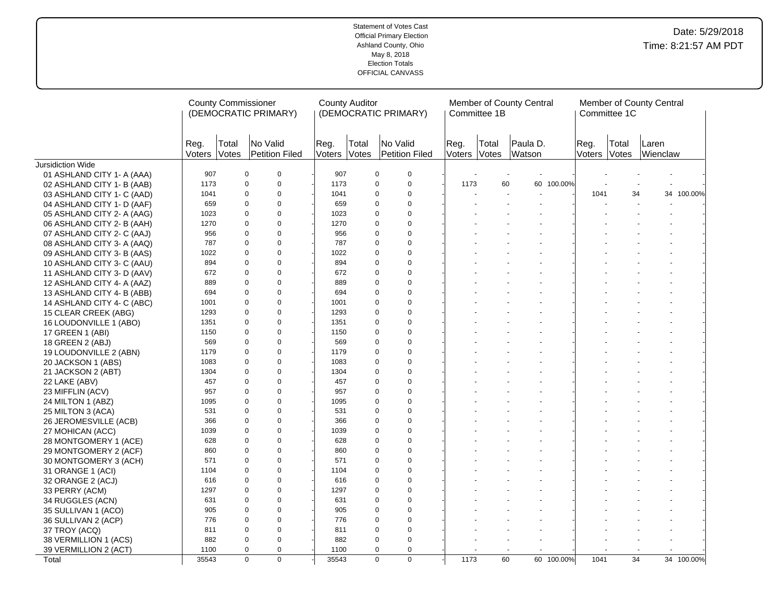|                            |                      |       | <b>County Commissioner</b><br>(DEMOCRATIC PRIMARY) |                      | <b>County Auditor</b> | (DEMOCRATIC PRIMARY)       |                      | Committee 1B | Member of County Central |                | Committee 1C   | Member of County Central |            |
|----------------------------|----------------------|-------|----------------------------------------------------|----------------------|-----------------------|----------------------------|----------------------|--------------|--------------------------|----------------|----------------|--------------------------|------------|
|                            | Reg.<br>Voters Votes | Total | No Valid<br>Petition Filed                         | Reg.<br>Voters Votes | Total                 | No Valid<br>Petition Filed | Reg.<br>Voters Votes | Total        | Paula D.<br>Watson       | Reg.<br>Voters | Total<br>Votes | Laren<br>Wienclaw        |            |
| Jursidiction Wide          |                      |       |                                                    |                      |                       |                            |                      |              |                          |                |                |                          |            |
| 01 ASHLAND CITY 1- A (AAA) | 907                  |       | 0<br>0                                             | 907                  |                       | $\mathbf 0$<br>$\mathbf 0$ |                      |              |                          |                |                |                          |            |
| 02 ASHLAND CITY 1- B (AAB) | 1173                 |       | $\mathsf 0$<br>0                                   | 1173                 |                       | $\mathbf 0$<br>$\mathbf 0$ | 1173                 | 60           | 60 100.00%               |                |                |                          |            |
| 03 ASHLAND CITY 1- C (AAD) | 1041                 |       | $\Omega$<br>$\mathbf 0$                            | 1041                 |                       | 0<br>0                     |                      |              |                          | 1041           | 34             |                          | 34 100.00% |
| 04 ASHLAND CITY 1- D (AAF) | 659                  |       | $\mathbf 0$<br>0                                   | 659                  |                       | $\mathbf 0$<br>$\mathbf 0$ |                      |              |                          |                |                |                          |            |
| 05 ASHLAND CITY 2- A (AAG) | 1023                 |       | $\mathbf 0$<br>$\Omega$                            | 1023                 |                       | $\Omega$<br>$\mathbf 0$    |                      |              |                          |                |                |                          |            |
| 06 ASHLAND CITY 2- B (AAH) | 1270                 |       | $\Omega$<br>$\Omega$                               | 1270                 |                       | $\Omega$<br>$\Omega$       |                      |              |                          |                |                |                          |            |
| 07 ASHLAND CITY 2- C (AAJ) | 956                  |       | $\mathbf 0$<br>$\Omega$                            | 956                  |                       | $\Omega$<br>$\Omega$       |                      |              |                          |                |                |                          |            |
| 08 ASHLAND CITY 3- A (AAQ) | 787                  |       | $\mathbf 0$<br>0                                   | 787                  |                       | $\mathbf 0$<br>$\mathbf 0$ |                      |              |                          |                |                |                          |            |
| 09 ASHLAND CITY 3- B (AAS) | 1022                 |       | $\mathbf 0$<br>$\Omega$                            | 1022                 |                       | $\Omega$<br>0              |                      |              |                          |                |                |                          |            |
| 10 ASHLAND CITY 3- C (AAU) | 894                  |       | $\mathbf 0$<br>$\Omega$                            | 894                  |                       | $\mathbf 0$<br>0           |                      |              |                          |                |                |                          |            |
| 11 ASHLAND CITY 3- D (AAV) | 672                  |       | $\mathbf 0$<br>$\Omega$                            | 672                  |                       | $\mathbf 0$<br>0           |                      |              |                          |                |                |                          |            |
| 12 ASHLAND CITY 4- A (AAZ) | 889                  |       | $\Omega$<br>$\overline{0}$                         | 889                  |                       | $\Omega$<br>$\Omega$       |                      |              |                          |                |                |                          |            |
| 13 ASHLAND CITY 4- B (ABB) | 694                  |       | $\mathbf 0$<br>$\Omega$                            | 694                  |                       | $\Omega$<br>$\Omega$       |                      |              |                          |                |                |                          |            |
| 14 ASHLAND CITY 4- C (ABC) | 1001                 |       | $\mathbf 0$<br>0                                   | 1001                 |                       | $\Omega$<br>$\mathbf 0$    |                      |              |                          |                |                |                          |            |
| 15 CLEAR CREEK (ABG)       | 1293                 |       | 0<br>$\mathbf 0$                                   | 1293                 |                       | $\mathbf 0$<br>0           |                      |              |                          |                |                |                          |            |
| 16 LOUDONVILLE 1 (ABO)     | 1351                 |       | $\mathbf 0$<br>$\Omega$                            | 1351                 |                       | $\Omega$<br>0              |                      |              |                          |                |                |                          |            |
| 17 GREEN 1 (ABI)           | 1150                 |       | $\Omega$<br>$\mathbf 0$                            | 1150                 |                       | $\Omega$<br>$\mathbf 0$    |                      |              |                          |                |                |                          |            |
| 18 GREEN 2 (ABJ)           | 569                  |       | $\Omega$<br>$\Omega$                               | 569                  |                       | $\Omega$<br>$\Omega$       |                      |              |                          |                |                |                          |            |
| 19 LOUDONVILLE 2 (ABN)     | 1179                 |       | $\Omega$<br>$\mathbf 0$                            | 1179                 |                       | $\mathbf 0$<br>$\Omega$    |                      |              |                          |                |                |                          |            |
| 20 JACKSON 1 (ABS)         | 1083                 |       | $\Omega$<br>$\mathbf 0$                            | 1083                 |                       | 0<br>$\mathbf 0$           |                      |              |                          |                |                |                          |            |
| 21 JACKSON 2 (ABT)         | 1304                 |       | $\mathbf 0$<br>0                                   | 1304                 |                       | 0<br>$\mathbf 0$           |                      |              |                          |                |                |                          |            |
| 22 LAKE (ABV)              | 457                  |       | $\mathbf 0$<br>$\Omega$                            | 457                  |                       | $\mathbf 0$<br>0           |                      |              |                          |                |                |                          |            |
| 23 MIFFLIN (ACV)           | 957                  |       | $\mathbf 0$<br>$\Omega$                            | 957                  |                       | $\Omega$<br>$\Omega$       |                      |              |                          |                |                |                          |            |
| 24 MILTON 1 (ABZ)          | 1095                 |       | 0<br>$\mathbf 0$                                   | 1095                 |                       | $\mathbf 0$<br>0           |                      |              |                          |                |                |                          |            |
| 25 MILTON 3 (ACA)          | 531                  |       | $\Omega$<br>$\Omega$                               | 531                  |                       | $\Omega$<br>$\Omega$       |                      |              |                          |                |                |                          |            |
| 26 JEROMESVILLE (ACB)      | 366                  |       | $\mathbf 0$<br>$\Omega$                            | 366                  |                       | $\Omega$<br>$\Omega$       |                      |              |                          |                |                |                          |            |
| 27 MOHICAN (ACC)           | 1039                 |       | $\mathbf 0$<br>$\Omega$                            | 1039                 |                       | $\Omega$<br>$\Omega$       |                      |              |                          |                |                |                          |            |
| 28 MONTGOMERY 1 (ACE)      | 628                  |       | $\mathbf 0$<br>0                                   | 628                  |                       | $\mathbf 0$<br>$\mathbf 0$ |                      |              |                          |                |                |                          |            |
| 29 MONTGOMERY 2 (ACF)      | 860                  |       | $\mathbf 0$<br>$\Omega$                            | 860                  |                       | $\Omega$<br>$\mathbf 0$    |                      |              |                          |                |                |                          |            |
| 30 MONTGOMERY 3 (ACH)      | 571                  |       | $\mathbf 0$<br>$\Omega$                            | 571                  |                       | $\Omega$<br>$\mathbf 0$    |                      |              |                          |                |                |                          |            |
| 31 ORANGE 1 (ACI)          | 1104                 |       | $\Omega$<br>$\mathbf 0$                            | 1104                 |                       | $\mathbf 0$<br>0           |                      |              |                          |                |                |                          |            |
| 32 ORANGE 2 (ACJ)          | 616                  |       | $\Omega$<br>$\Omega$                               | 616                  |                       | $\Omega$<br>$\Omega$       |                      |              |                          |                |                |                          |            |
| 33 PERRY (ACM)             | 1297                 |       | $\mathbf 0$<br>0                                   | 1297                 |                       | $\mathbf 0$<br>$\mathbf 0$ |                      |              |                          |                |                |                          |            |
| 34 RUGGLES (ACN)           | 631                  |       | 0<br>$\mathbf 0$                                   | 631                  |                       | $\mathbf 0$<br>$\Omega$    |                      |              |                          |                |                |                          |            |
| 35 SULLIVAN 1 (ACO)        | 905                  |       | $\mathbf 0$<br>0                                   | 905                  |                       | $\mathbf 0$<br>0           |                      |              |                          |                |                |                          |            |
| 36 SULLIVAN 2 (ACP)        | 776                  |       | $\mathbf 0$<br>$\Omega$                            | 776                  |                       | $\Omega$<br>$\mathbf 0$    |                      |              |                          |                |                |                          |            |
| 37 TROY (ACQ)              | 811                  |       | $\mathbf 0$<br>0                                   | 811                  |                       | $\mathbf 0$<br>$\mathbf 0$ |                      |              |                          |                |                |                          |            |
| 38 VERMILLION 1 (ACS)      | 882                  |       | $\Omega$<br>$\Omega$                               | 882                  |                       | $\mathbf 0$<br>$\Omega$    |                      |              |                          |                |                |                          |            |
| 39 VERMILLION 2 (ACT)      | 1100                 |       | $\Omega$<br>0                                      | 1100                 |                       | $\mathbf 0$<br>$\mathbf 0$ |                      |              | $\overline{a}$           |                |                |                          |            |
| Total                      | 35543                |       | $\overline{0}$<br>$\overline{0}$                   | 35543                |                       | $\overline{0}$<br>$\Omega$ | 1173                 | 60           | 60 100.00%               | 1041           | 34             |                          | 34 100.00% |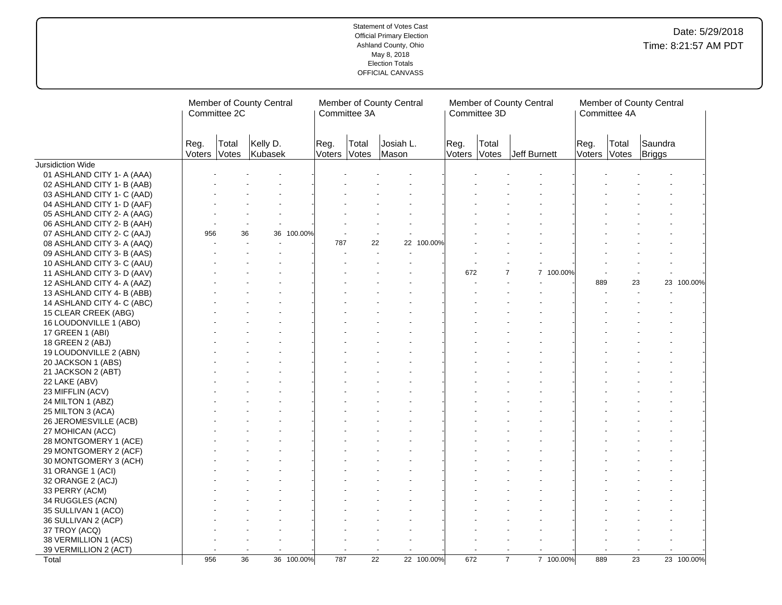|                                                |                | Member of County Central<br>Committee 2C |                     |            |                      | Committee 3A    | Member of County Central |            |                | Committee 3D   | Member of County Central |           |                | Committee 4A    | Member of County Central |            |
|------------------------------------------------|----------------|------------------------------------------|---------------------|------------|----------------------|-----------------|--------------------------|------------|----------------|----------------|--------------------------|-----------|----------------|-----------------|--------------------------|------------|
|                                                | Reg.<br>Voters | Total<br>Votes                           | Kelly D.<br>Kubasek |            | Reg.<br>Voters Votes | Total           | Josiah L.<br>Mason       |            | Reg.<br>Voters | Total<br>Votes | Jeff Burnett             |           | Reg.<br>Voters | Total<br>Votes  | Saundra<br>Briggs        |            |
| Jursidiction Wide                              |                |                                          |                     |            |                      |                 |                          |            |                |                |                          |           |                |                 |                          |            |
| 01 ASHLAND CITY 1- A (AAA)                     |                |                                          |                     |            |                      |                 |                          |            |                |                |                          |           |                |                 |                          |            |
| 02 ASHLAND CITY 1- B (AAB)                     |                |                                          |                     |            |                      |                 |                          |            |                |                |                          |           |                |                 |                          |            |
| 03 ASHLAND CITY 1- C (AAD)                     |                |                                          |                     |            |                      |                 |                          |            |                |                |                          |           |                |                 |                          |            |
| 04 ASHLAND CITY 1- D (AAF)                     |                |                                          |                     |            |                      |                 |                          |            |                |                |                          |           |                |                 |                          |            |
| 05 ASHLAND CITY 2- A (AAG)                     |                |                                          |                     |            |                      |                 |                          |            |                |                |                          |           |                |                 |                          |            |
| 06 ASHLAND CITY 2- B (AAH)                     |                |                                          |                     |            |                      |                 |                          |            |                |                |                          |           |                |                 |                          |            |
| 07 ASHLAND CITY 2- C (AAJ)                     | 956            |                                          | 36<br>36            | 100.00%    |                      |                 |                          |            |                |                |                          |           |                |                 |                          |            |
| 08 ASHLAND CITY 3- A (AAQ)                     |                |                                          |                     |            | 787                  | 22              |                          | 22 100.00% |                |                |                          |           |                |                 |                          |            |
| 09 ASHLAND CITY 3- B (AAS)                     |                |                                          |                     |            |                      |                 |                          |            |                |                |                          |           |                |                 |                          |            |
| 10 ASHLAND CITY 3- C (AAU)                     |                |                                          |                     |            |                      |                 |                          |            |                |                |                          |           |                |                 |                          |            |
| 11 ASHLAND CITY 3- D (AAV)                     |                |                                          |                     |            |                      |                 |                          |            | 672            |                | $\overline{7}$           | 7 100.00% |                |                 |                          |            |
| 12 ASHLAND CITY 4- A (AAZ)                     |                |                                          |                     |            |                      |                 |                          |            |                |                |                          |           | 889            | 23              |                          | 23 100.00% |
| 13 ASHLAND CITY 4- B (ABB)                     |                |                                          |                     |            |                      |                 |                          |            |                |                |                          |           |                |                 |                          |            |
| 14 ASHLAND CITY 4- C (ABC)                     |                |                                          |                     |            |                      |                 |                          |            |                |                |                          |           |                |                 |                          |            |
| 15 CLEAR CREEK (ABG)                           |                |                                          |                     |            |                      |                 |                          |            |                |                |                          |           |                |                 |                          |            |
| 16 LOUDONVILLE 1 (ABO)                         |                |                                          |                     |            |                      |                 |                          |            |                |                |                          |           |                |                 |                          |            |
| 17 GREEN 1 (ABI)                               |                |                                          |                     |            |                      |                 |                          |            |                |                |                          |           |                |                 |                          |            |
| 18 GREEN 2 (ABJ)                               |                |                                          |                     |            |                      |                 |                          |            |                |                |                          |           |                |                 |                          |            |
| 19 LOUDONVILLE 2 (ABN)                         |                |                                          |                     |            |                      |                 |                          |            |                |                |                          |           |                |                 |                          |            |
| 20 JACKSON 1 (ABS)                             |                |                                          |                     |            |                      |                 |                          |            |                |                |                          |           |                |                 |                          |            |
| 21 JACKSON 2 (ABT)                             |                |                                          |                     |            |                      |                 |                          |            |                |                |                          |           |                |                 |                          |            |
| 22 LAKE (ABV)                                  |                |                                          |                     |            |                      |                 |                          |            |                |                |                          |           |                |                 |                          |            |
| 23 MIFFLIN (ACV)                               |                |                                          |                     |            |                      |                 |                          |            |                |                |                          |           |                |                 |                          |            |
| 24 MILTON 1 (ABZ)                              |                |                                          |                     |            |                      |                 |                          |            |                |                |                          |           |                |                 |                          |            |
| 25 MILTON 3 (ACA)                              |                |                                          |                     |            |                      |                 |                          |            |                |                |                          |           |                |                 |                          |            |
| 26 JEROMESVILLE (ACB)                          |                |                                          |                     |            |                      |                 |                          |            |                |                |                          |           |                |                 |                          |            |
|                                                |                |                                          |                     |            |                      |                 |                          |            |                |                |                          |           |                |                 |                          |            |
| 27 MOHICAN (ACC)                               |                |                                          |                     |            |                      |                 |                          |            |                |                |                          |           |                |                 |                          |            |
| 28 MONTGOMERY 1 (ACE)                          |                |                                          |                     |            |                      |                 |                          |            |                |                |                          |           |                |                 |                          |            |
| 29 MONTGOMERY 2 (ACF)<br>30 MONTGOMERY 3 (ACH) |                |                                          |                     |            |                      |                 |                          |            |                |                |                          |           |                |                 |                          |            |
|                                                |                |                                          |                     |            |                      |                 |                          |            |                |                |                          |           |                |                 |                          |            |
| 31 ORANGE 1 (ACI)                              |                |                                          |                     |            |                      |                 |                          |            |                |                |                          |           |                |                 |                          |            |
| 32 ORANGE 2 (ACJ)                              |                |                                          |                     |            |                      |                 |                          |            |                |                |                          |           |                |                 |                          |            |
| 33 PERRY (ACM)                                 |                |                                          |                     |            |                      |                 |                          |            |                |                |                          |           |                |                 |                          |            |
| 34 RUGGLES (ACN)                               |                |                                          |                     |            |                      |                 |                          |            |                |                |                          |           |                |                 |                          |            |
| 35 SULLIVAN 1 (ACO)                            |                |                                          |                     |            |                      |                 |                          |            |                |                |                          |           |                |                 |                          |            |
| 36 SULLIVAN 2 (ACP)                            |                |                                          |                     |            |                      |                 |                          |            |                |                |                          |           |                |                 |                          |            |
| 37 TROY (ACQ)                                  |                |                                          |                     |            |                      |                 |                          |            |                |                |                          |           |                |                 |                          |            |
| 38 VERMILLION 1 (ACS)                          |                |                                          |                     |            |                      |                 |                          |            |                |                |                          |           |                |                 |                          |            |
| 39 VERMILLION 2 (ACT)                          |                |                                          |                     |            |                      |                 |                          |            |                |                |                          |           |                |                 |                          |            |
| Total                                          | 956            |                                          | $\overline{36}$     | 36 100.00% | 787                  | $\overline{22}$ |                          | 22 100.00% | 672            |                | $\overline{7}$           | 7 100.00% | 889            | $\overline{23}$ |                          | 23 100.00% |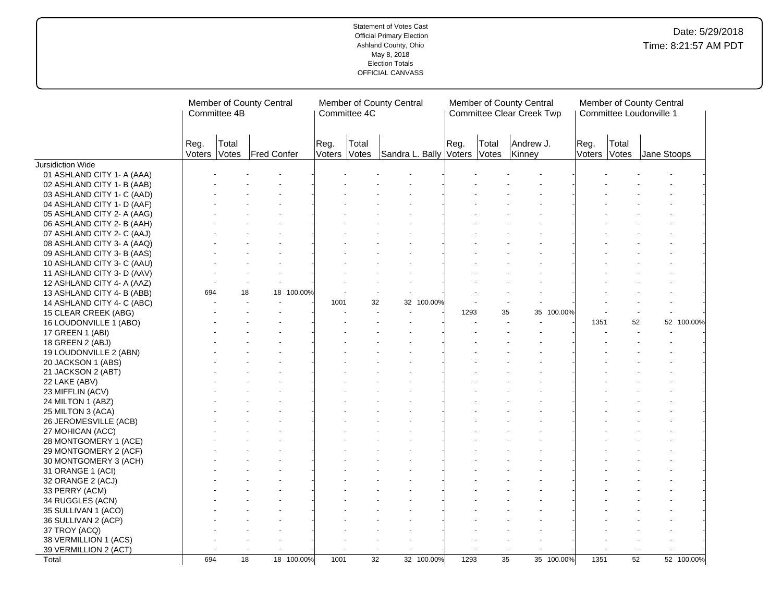|                            | Member of County Central<br>Committee 4B |                |                    |  | Committee 4C         | Member of County Central |                        |            |      | Member of County Central<br><b>Committee Clear Creek Twp</b> |                     |         |                | Member of County Central<br>Committee Loudonville 1 |             |            |  |
|----------------------------|------------------------------------------|----------------|--------------------|--|----------------------|--------------------------|------------------------|------------|------|--------------------------------------------------------------|---------------------|---------|----------------|-----------------------------------------------------|-------------|------------|--|
|                            | Reg.<br>Voters                           | Total<br>Votes | <b>Fred Confer</b> |  | Reg.<br>Voters Votes | Total                    | Sandra L. Bally Voters |            | Reg. | Total<br>Votes                                               | Andrew J.<br>Kinney |         | Reg.<br>Voters | Total<br>Votes                                      | Jane Stoops |            |  |
| Jursidiction Wide          |                                          |                |                    |  |                      |                          |                        |            |      |                                                              |                     |         |                |                                                     |             |            |  |
| 01 ASHLAND CITY 1- A (AAA) |                                          |                |                    |  |                      |                          |                        |            |      |                                                              |                     |         |                |                                                     |             |            |  |
| 02 ASHLAND CITY 1- B (AAB) |                                          |                |                    |  |                      |                          |                        |            |      |                                                              |                     |         |                |                                                     |             |            |  |
| 03 ASHLAND CITY 1- C (AAD) |                                          |                |                    |  |                      |                          |                        |            |      |                                                              |                     |         |                |                                                     |             |            |  |
| 04 ASHLAND CITY 1- D (AAF) |                                          |                |                    |  |                      |                          |                        |            |      |                                                              |                     |         |                |                                                     |             |            |  |
| 05 ASHLAND CITY 2- A (AAG) |                                          |                |                    |  |                      |                          |                        |            |      |                                                              |                     |         |                |                                                     |             |            |  |
| 06 ASHLAND CITY 2- B (AAH) |                                          |                |                    |  |                      |                          |                        |            |      |                                                              |                     |         |                |                                                     |             |            |  |
| 07 ASHLAND CITY 2- C (AAJ) |                                          |                |                    |  |                      |                          |                        |            |      |                                                              |                     |         |                |                                                     |             |            |  |
| 08 ASHLAND CITY 3- A (AAQ) |                                          |                |                    |  |                      |                          |                        |            |      |                                                              |                     |         |                |                                                     |             |            |  |
| 09 ASHLAND CITY 3- B (AAS) |                                          |                |                    |  |                      |                          |                        |            |      |                                                              |                     |         |                |                                                     |             |            |  |
| 10 ASHLAND CITY 3- C (AAU) |                                          |                |                    |  |                      |                          |                        |            |      |                                                              |                     |         |                |                                                     |             |            |  |
| 11 ASHLAND CITY 3- D (AAV) |                                          |                |                    |  |                      |                          |                        |            |      |                                                              |                     |         |                |                                                     |             |            |  |
| 12 ASHLAND CITY 4- A (AAZ) |                                          |                |                    |  |                      |                          |                        |            |      |                                                              |                     |         |                |                                                     |             |            |  |
| 13 ASHLAND CITY 4- B (ABB) | 694                                      |                | 18 100.00%<br>18   |  |                      |                          |                        |            |      |                                                              |                     |         |                |                                                     |             |            |  |
| 14 ASHLAND CITY 4- C (ABC) |                                          |                |                    |  | 1001                 | 32                       |                        | 32 100.00% |      |                                                              |                     |         |                |                                                     |             |            |  |
| 15 CLEAR CREEK (ABG)       |                                          |                |                    |  |                      |                          |                        |            | 1293 | 35                                                           | 35                  | 100.00% |                |                                                     |             |            |  |
| 16 LOUDONVILLE 1 (ABO)     |                                          |                |                    |  |                      |                          |                        |            |      |                                                              |                     |         | 1351           | 52                                                  |             | 52 100.00% |  |
| 17 GREEN 1 (ABI)           |                                          |                |                    |  |                      |                          |                        |            |      |                                                              |                     |         |                |                                                     |             |            |  |
| 18 GREEN 2 (ABJ)           |                                          |                |                    |  |                      |                          |                        |            |      |                                                              |                     |         |                |                                                     |             |            |  |
| 19 LOUDONVILLE 2 (ABN)     |                                          |                |                    |  |                      |                          |                        |            |      |                                                              |                     |         |                |                                                     |             |            |  |
| 20 JACKSON 1 (ABS)         |                                          |                |                    |  |                      |                          |                        |            |      |                                                              |                     |         |                |                                                     |             |            |  |
| 21 JACKSON 2 (ABT)         |                                          |                |                    |  |                      |                          |                        |            |      |                                                              |                     |         |                |                                                     |             |            |  |
| 22 LAKE (ABV)              |                                          |                |                    |  |                      |                          |                        |            |      |                                                              |                     |         |                |                                                     |             |            |  |
| 23 MIFFLIN (ACV)           |                                          |                |                    |  |                      |                          |                        |            |      |                                                              |                     |         |                |                                                     |             |            |  |
| 24 MILTON 1 (ABZ)          |                                          |                |                    |  |                      |                          |                        |            |      |                                                              |                     |         |                |                                                     |             |            |  |
| 25 MILTON 3 (ACA)          |                                          |                |                    |  |                      |                          |                        |            |      |                                                              |                     |         |                |                                                     |             |            |  |
| 26 JEROMESVILLE (ACB)      |                                          |                |                    |  |                      |                          |                        |            |      |                                                              |                     |         |                |                                                     |             |            |  |
| 27 MOHICAN (ACC)           |                                          |                |                    |  |                      |                          |                        |            |      |                                                              |                     |         |                |                                                     |             |            |  |
| 28 MONTGOMERY 1 (ACE)      |                                          |                |                    |  |                      |                          |                        |            |      |                                                              |                     |         |                |                                                     |             |            |  |
| 29 MONTGOMERY 2 (ACF)      |                                          |                |                    |  |                      |                          |                        |            |      |                                                              |                     |         |                |                                                     |             |            |  |
| 30 MONTGOMERY 3 (ACH)      |                                          |                |                    |  |                      |                          |                        |            |      |                                                              |                     |         |                |                                                     |             |            |  |
| 31 ORANGE 1 (ACI)          |                                          |                |                    |  |                      |                          |                        |            |      |                                                              |                     |         |                |                                                     |             |            |  |
| 32 ORANGE 2 (ACJ)          |                                          |                |                    |  |                      |                          |                        |            |      |                                                              |                     |         |                |                                                     |             |            |  |
| 33 PERRY (ACM)             |                                          |                |                    |  |                      |                          |                        |            |      |                                                              |                     |         |                |                                                     |             |            |  |
| 34 RUGGLES (ACN)           |                                          |                |                    |  |                      |                          |                        |            |      |                                                              |                     |         |                |                                                     |             |            |  |
| 35 SULLIVAN 1 (ACO)        |                                          |                |                    |  |                      |                          |                        |            |      |                                                              |                     |         |                |                                                     |             |            |  |
| 36 SULLIVAN 2 (ACP)        |                                          |                |                    |  |                      |                          |                        |            |      |                                                              |                     |         |                |                                                     |             |            |  |
| 37 TROY (ACQ)              |                                          |                |                    |  |                      |                          |                        |            |      |                                                              |                     |         |                |                                                     |             |            |  |
| 38 VERMILLION 1 (ACS)      |                                          |                |                    |  |                      |                          |                        |            |      |                                                              |                     |         |                |                                                     |             |            |  |
| 39 VERMILLION 2 (ACT)      |                                          |                |                    |  |                      |                          |                        |            |      |                                                              |                     |         |                |                                                     |             |            |  |
| Total                      | 694                                      |                | 18<br>18 100.00%   |  | 1001                 | $\overline{32}$          |                        | 32 100.00% | 1293 | $\overline{35}$                                              | 35 100.00%          |         | 1351           | $\overline{52}$                                     |             | 52 100.00% |  |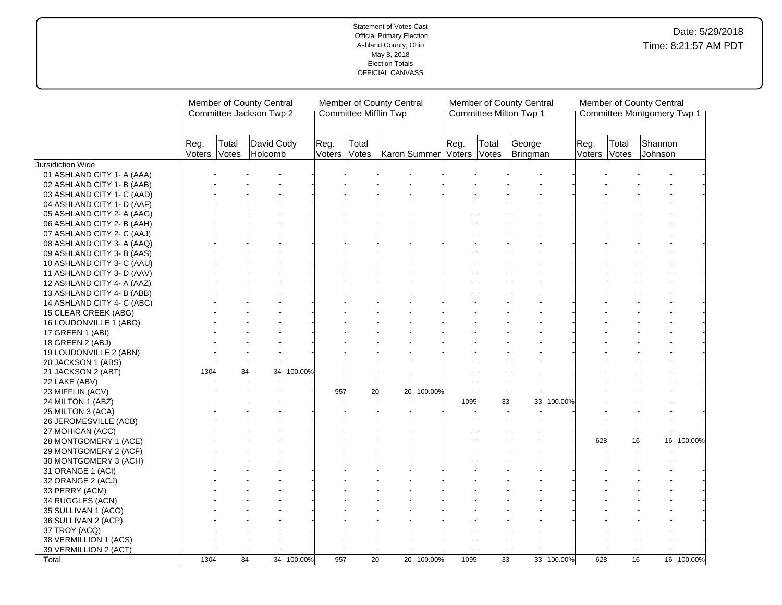|                            |                      | Member of County Central<br>Committee Jackson Twp 2<br>David Cody |         |            |                | Committee Mifflin Twp | Member of County Central  |            |      |                 | Member of County Central<br>Committee Milton Twp 1 |            |                      |       | Member of County Central | Committee Montgomery Twp 1 |
|----------------------------|----------------------|-------------------------------------------------------------------|---------|------------|----------------|-----------------------|---------------------------|------------|------|-----------------|----------------------------------------------------|------------|----------------------|-------|--------------------------|----------------------------|
|                            | Reg.<br>Voters Votes | Total                                                             | Holcomb |            | Reg.<br>Voters | Total<br>Votes        | Karon Summer Voters Votes |            | Reg. | Total           | George<br>Bringman                                 |            | Reg.<br>Voters Votes | Total | Shannon<br>Johnson       |                            |
| Jursidiction Wide          |                      |                                                                   |         |            |                |                       |                           |            |      |                 |                                                    |            |                      |       |                          |                            |
| 01 ASHLAND CITY 1- A (AAA) |                      |                                                                   |         |            |                |                       |                           |            |      |                 |                                                    |            |                      |       |                          |                            |
| 02 ASHLAND CITY 1- B (AAB) |                      |                                                                   |         |            |                |                       |                           |            |      |                 |                                                    |            |                      |       |                          |                            |
| 03 ASHLAND CITY 1- C (AAD) |                      |                                                                   |         |            |                |                       |                           |            |      |                 |                                                    |            |                      |       |                          |                            |
| 04 ASHLAND CITY 1- D (AAF) |                      |                                                                   |         |            |                |                       |                           |            |      |                 |                                                    |            |                      |       |                          |                            |
| 05 ASHLAND CITY 2- A (AAG) |                      |                                                                   |         |            |                |                       |                           |            |      |                 |                                                    |            |                      |       |                          |                            |
| 06 ASHLAND CITY 2- B (AAH) |                      |                                                                   |         |            |                |                       |                           |            |      |                 |                                                    |            |                      |       |                          |                            |
| 07 ASHLAND CITY 2- C (AAJ) |                      |                                                                   |         |            |                |                       |                           |            |      |                 |                                                    |            |                      |       |                          |                            |
| 08 ASHLAND CITY 3- A (AAQ) |                      |                                                                   |         |            |                |                       |                           |            |      |                 |                                                    |            |                      |       |                          |                            |
| 09 ASHLAND CITY 3- B (AAS) |                      |                                                                   |         |            |                |                       |                           |            |      |                 |                                                    |            |                      |       |                          |                            |
| 10 ASHLAND CITY 3- C (AAU) |                      |                                                                   |         |            |                |                       |                           |            |      |                 |                                                    |            |                      |       |                          |                            |
| 11 ASHLAND CITY 3- D (AAV) |                      |                                                                   |         |            |                |                       |                           |            |      |                 |                                                    |            |                      |       |                          |                            |
| 12 ASHLAND CITY 4- A (AAZ) |                      |                                                                   |         |            |                |                       |                           |            |      |                 |                                                    |            |                      |       |                          |                            |
| 13 ASHLAND CITY 4- B (ABB) |                      |                                                                   |         |            |                |                       |                           |            |      |                 |                                                    |            |                      |       |                          |                            |
| 14 ASHLAND CITY 4- C (ABC) |                      |                                                                   |         |            |                |                       |                           |            |      |                 |                                                    |            |                      |       |                          |                            |
| 15 CLEAR CREEK (ABG)       |                      |                                                                   |         |            |                |                       |                           |            |      |                 |                                                    |            |                      |       |                          |                            |
| 16 LOUDONVILLE 1 (ABO)     |                      |                                                                   |         |            |                |                       |                           |            |      |                 |                                                    |            |                      |       |                          |                            |
| 17 GREEN 1 (ABI)           |                      |                                                                   |         |            |                |                       |                           |            |      |                 |                                                    |            |                      |       |                          |                            |
| 18 GREEN 2 (ABJ)           |                      |                                                                   |         |            |                |                       |                           |            |      |                 |                                                    |            |                      |       |                          |                            |
| 19 LOUDONVILLE 2 (ABN)     |                      |                                                                   |         |            |                |                       |                           |            |      |                 |                                                    |            |                      |       |                          |                            |
| 20 JACKSON 1 (ABS)         |                      |                                                                   |         |            |                |                       |                           |            |      |                 |                                                    |            |                      |       |                          |                            |
| 21 JACKSON 2 (ABT)         | 1304                 | 34                                                                | 34      | 100.00%    |                |                       |                           |            |      |                 |                                                    |            |                      |       |                          |                            |
| 22 LAKE (ABV)              |                      |                                                                   |         |            |                |                       |                           |            |      |                 |                                                    |            |                      |       |                          |                            |
| 23 MIFFLIN (ACV)           |                      |                                                                   |         |            | 957            | 20                    |                           | 20 100.00% |      |                 |                                                    |            |                      |       |                          |                            |
| 24 MILTON 1 (ABZ)          |                      |                                                                   |         |            |                |                       |                           |            | 1095 | 33              | 33                                                 | 100.00%    |                      |       |                          |                            |
| 25 MILTON 3 (ACA)          |                      |                                                                   |         |            |                |                       |                           |            |      |                 |                                                    |            |                      |       |                          |                            |
| 26 JEROMESVILLE (ACB)      |                      |                                                                   |         |            |                |                       |                           |            |      |                 |                                                    |            |                      |       |                          |                            |
| 27 MOHICAN (ACC)           |                      |                                                                   |         |            |                |                       |                           |            |      |                 |                                                    |            |                      |       |                          |                            |
| 28 MONTGOMERY 1 (ACE)      |                      |                                                                   |         |            |                |                       |                           |            |      |                 |                                                    |            | 628                  | 16    |                          | 16 100.00%                 |
| 29 MONTGOMERY 2 (ACF)      |                      |                                                                   |         |            |                |                       |                           |            |      |                 |                                                    |            |                      |       |                          |                            |
| 30 MONTGOMERY 3 (ACH)      |                      |                                                                   |         |            |                |                       |                           |            |      |                 |                                                    |            |                      |       |                          |                            |
| 31 ORANGE 1 (ACI)          |                      |                                                                   |         |            |                |                       |                           |            |      |                 |                                                    |            |                      |       |                          |                            |
| 32 ORANGE 2 (ACJ)          |                      |                                                                   |         |            |                |                       |                           |            |      |                 |                                                    |            |                      |       |                          |                            |
| 33 PERRY (ACM)             |                      |                                                                   |         |            |                |                       |                           |            |      |                 |                                                    |            |                      |       |                          |                            |
| 34 RUGGLES (ACN)           |                      |                                                                   |         |            |                |                       |                           |            |      |                 |                                                    |            |                      |       |                          |                            |
| 35 SULLIVAN 1 (ACO)        |                      |                                                                   |         |            |                |                       |                           |            |      |                 |                                                    |            |                      |       |                          |                            |
| 36 SULLIVAN 2 (ACP)        |                      |                                                                   |         |            |                |                       |                           |            |      |                 |                                                    |            |                      |       |                          |                            |
| 37 TROY (ACQ)              |                      |                                                                   |         |            |                |                       |                           |            |      |                 |                                                    |            |                      |       |                          |                            |
| 38 VERMILLION 1 (ACS)      |                      |                                                                   |         |            |                |                       |                           |            |      |                 |                                                    |            |                      |       |                          |                            |
| 39 VERMILLION 2 (ACT)      |                      |                                                                   |         |            |                |                       |                           |            |      |                 |                                                    |            |                      |       | $\blacksquare$           |                            |
| Total                      | 1304                 | $\overline{34}$                                                   |         | 34 100.00% | 957            | $\overline{20}$       |                           | 20 100.00% | 1095 | $\overline{33}$ |                                                    | 33 100.00% | 628                  | 16    |                          | 16 100.00%                 |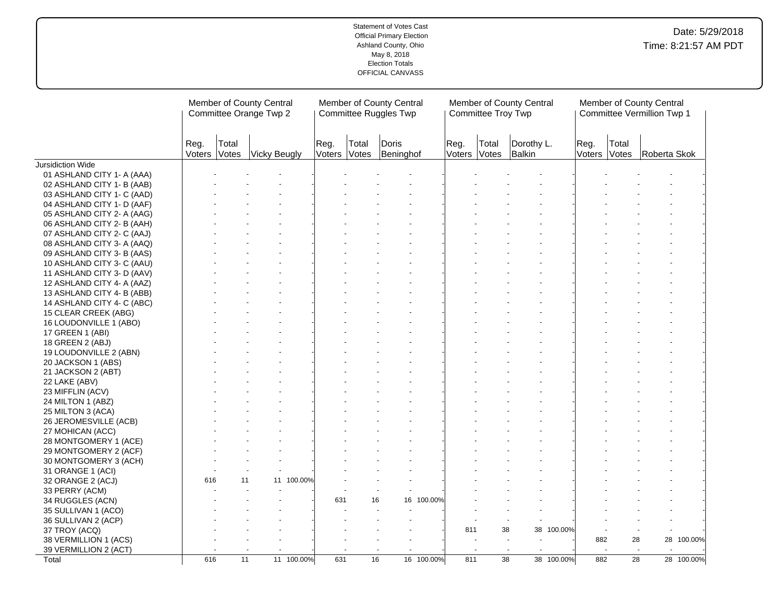|                            |      | Member of County Central<br>Committee Orange Twp 2 |                           |            |                |                | Member of County Central<br>Committee Ruggles Twp |            |                      | Committee Troy Twp | Member of County Central |            |      |                       | Member of County Central<br>Committee Vermillion Twp 1 |            |
|----------------------------|------|----------------------------------------------------|---------------------------|------------|----------------|----------------|---------------------------------------------------|------------|----------------------|--------------------|--------------------------|------------|------|-----------------------|--------------------------------------------------------|------------|
|                            | Reg. | Total                                              | Voters Votes Vicky Beugly |            | Reg.<br>Voters | Total<br>Votes | Doris<br>Beninghof                                |            | Reg.<br>Voters Votes | Total              | Dorothy L.<br>Balkin     |            | Reg. | Total<br>Voters Votes | Roberta Skok                                           |            |
| Jursidiction Wide          |      |                                                    |                           |            |                |                |                                                   |            |                      |                    |                          |            |      |                       |                                                        |            |
| 01 ASHLAND CITY 1- A (AAA) |      |                                                    |                           |            |                |                |                                                   |            |                      |                    |                          |            |      |                       |                                                        |            |
| 02 ASHLAND CITY 1- B (AAB) |      |                                                    |                           |            |                |                |                                                   |            |                      |                    |                          |            |      |                       |                                                        |            |
| 03 ASHLAND CITY 1- C (AAD) |      |                                                    |                           |            |                |                |                                                   |            |                      |                    |                          |            |      |                       |                                                        |            |
| 04 ASHLAND CITY 1- D (AAF) |      |                                                    |                           |            |                |                |                                                   |            |                      |                    |                          |            |      |                       |                                                        |            |
| 05 ASHLAND CITY 2- A (AAG) |      |                                                    |                           |            |                |                |                                                   |            |                      |                    |                          |            |      |                       |                                                        |            |
| 06 ASHLAND CITY 2- B (AAH) |      |                                                    |                           |            |                |                |                                                   |            |                      |                    |                          |            |      |                       |                                                        |            |
| 07 ASHLAND CITY 2- C (AAJ) |      |                                                    |                           |            |                |                |                                                   |            |                      |                    |                          |            |      |                       |                                                        |            |
| 08 ASHLAND CITY 3- A (AAQ) |      |                                                    |                           |            |                |                |                                                   |            |                      |                    |                          |            |      |                       |                                                        |            |
| 09 ASHLAND CITY 3- B (AAS) |      |                                                    |                           |            |                |                |                                                   |            |                      |                    |                          |            |      |                       |                                                        |            |
| 10 ASHLAND CITY 3- C (AAU) |      |                                                    |                           |            |                |                |                                                   |            |                      |                    |                          |            |      |                       |                                                        |            |
| 11 ASHLAND CITY 3- D (AAV) |      |                                                    |                           |            |                |                |                                                   |            |                      |                    |                          |            |      |                       |                                                        |            |
| 12 ASHLAND CITY 4- A (AAZ) |      |                                                    |                           |            |                |                |                                                   |            |                      |                    |                          |            |      |                       |                                                        |            |
| 13 ASHLAND CITY 4- B (ABB) |      |                                                    |                           |            |                |                |                                                   |            |                      |                    |                          |            |      |                       |                                                        |            |
| 14 ASHLAND CITY 4- C (ABC) |      |                                                    |                           |            |                |                |                                                   |            |                      |                    |                          |            |      |                       |                                                        |            |
| 15 CLEAR CREEK (ABG)       |      |                                                    |                           |            |                |                |                                                   |            |                      |                    |                          |            |      |                       |                                                        |            |
| 16 LOUDONVILLE 1 (ABO)     |      |                                                    |                           |            |                |                |                                                   |            |                      |                    |                          |            |      |                       |                                                        |            |
| 17 GREEN 1 (ABI)           |      |                                                    |                           |            |                |                |                                                   |            |                      |                    |                          |            |      |                       |                                                        |            |
| 18 GREEN 2 (ABJ)           |      |                                                    |                           |            |                |                |                                                   |            |                      |                    |                          |            |      |                       |                                                        |            |
| 19 LOUDONVILLE 2 (ABN)     |      |                                                    |                           |            |                |                |                                                   |            |                      |                    |                          |            |      |                       |                                                        |            |
| 20 JACKSON 1 (ABS)         |      |                                                    |                           |            |                |                |                                                   |            |                      |                    |                          |            |      |                       |                                                        |            |
| 21 JACKSON 2 (ABT)         |      |                                                    |                           |            |                |                |                                                   |            |                      |                    |                          |            |      |                       |                                                        |            |
| 22 LAKE (ABV)              |      |                                                    |                           |            |                |                |                                                   |            |                      |                    |                          |            |      |                       |                                                        |            |
| 23 MIFFLIN (ACV)           |      |                                                    |                           |            |                |                |                                                   |            |                      |                    |                          |            |      |                       |                                                        |            |
| 24 MILTON 1 (ABZ)          |      |                                                    |                           |            |                |                |                                                   |            |                      |                    |                          |            |      |                       |                                                        |            |
| 25 MILTON 3 (ACA)          |      |                                                    |                           |            |                |                |                                                   |            |                      |                    |                          |            |      |                       |                                                        |            |
| 26 JEROMESVILLE (ACB)      |      |                                                    |                           |            |                |                |                                                   |            |                      |                    |                          |            |      |                       |                                                        |            |
| 27 MOHICAN (ACC)           |      |                                                    |                           |            |                |                |                                                   |            |                      |                    |                          |            |      |                       |                                                        |            |
| 28 MONTGOMERY 1 (ACE)      |      |                                                    |                           |            |                |                |                                                   |            |                      |                    |                          |            |      |                       |                                                        |            |
| 29 MONTGOMERY 2 (ACF)      |      |                                                    |                           |            |                |                |                                                   |            |                      |                    |                          |            |      |                       |                                                        |            |
| 30 MONTGOMERY 3 (ACH)      |      |                                                    |                           |            |                |                |                                                   |            |                      |                    |                          |            |      |                       |                                                        |            |
|                            |      |                                                    |                           |            |                |                |                                                   |            |                      |                    |                          |            |      |                       |                                                        |            |
| 31 ORANGE 1 (ACI)          | 616  |                                                    | 11                        | 11 100.00% |                |                |                                                   |            |                      |                    |                          |            |      |                       |                                                        |            |
| 32 ORANGE 2 (ACJ)          |      |                                                    |                           |            |                |                |                                                   |            |                      |                    |                          |            |      |                       |                                                        |            |
| 33 PERRY (ACM)             |      |                                                    |                           |            | 631            |                | 16                                                | 16 100.00% |                      |                    |                          |            |      |                       |                                                        |            |
| 34 RUGGLES (ACN)           |      |                                                    |                           |            |                |                |                                                   |            |                      |                    |                          |            |      |                       |                                                        |            |
| 35 SULLIVAN 1 (ACO)        |      |                                                    |                           |            |                |                |                                                   |            |                      |                    |                          |            |      |                       |                                                        |            |
| 36 SULLIVAN 2 (ACP)        |      |                                                    |                           |            |                |                |                                                   |            |                      |                    |                          |            |      |                       |                                                        |            |
| 37 TROY (ACQ)              |      |                                                    |                           |            |                |                |                                                   |            | 811                  | 38                 |                          | 38 100.00% |      |                       |                                                        |            |
| 38 VERMILLION 1 (ACS)      |      |                                                    |                           |            |                |                |                                                   |            |                      |                    |                          |            | 882  | 28                    |                                                        | 28 100.00% |
| 39 VERMILLION 2 (ACT)      |      |                                                    |                           |            |                |                |                                                   |            |                      |                    |                          |            |      | $\sim$                | $\sim$                                                 |            |
| Total                      | 616  |                                                    | $\overline{11}$           | 11 100.00% | 631            |                | $\overline{16}$                                   | 16 100.00% | 811                  | $\overline{38}$    |                          | 38 100.00% | 882  | $\overline{28}$       |                                                        | 28 100.00% |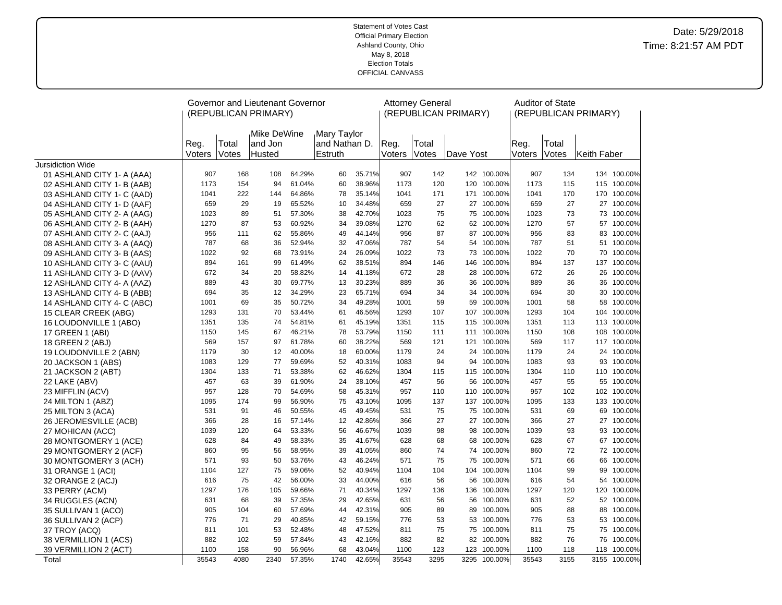| (REPUBLICAN PRIMARY)<br>(REPUBLICAN PRIMARY)<br>(REPUBLICAN PRIMARY)<br>Mike DeWine<br>Mary Taylor<br>Total<br>and Jon<br>and Nathan D.<br>Total<br>Reg.<br>Total<br>Reg.<br>Reg.<br>Votes<br>Husted<br>Estruth<br>Voters<br>Votes<br>Voters<br>Votes<br>Keith Faber<br>Voters<br>Dave Yost<br><b>Jursidiction Wide</b><br>907<br>64.29%<br>35.71%<br>907<br>142<br>142 100.00%<br>907<br>134<br>134 100.00%<br>168<br>108<br>60<br>01 ASHLAND CITY 1- A (AAA)<br>115 100.00%<br>1173<br>154<br>94<br>61.04%<br>60<br>38.96%<br>1173<br>120<br>120 100.00%<br>1173<br>02 ASHLAND CITY 1- B (AAB)<br>115<br>64.86%<br>35.14%<br>1041<br>1041<br>170 100.00%<br>1041<br>222<br>144<br>78<br>171<br>171 100.00%<br>170<br>03 ASHLAND CITY 1- C (AAD)<br>659<br>29<br>19<br>65.52%<br>34.48%<br>659<br>27<br>27 100.00%<br>659<br>27<br>27 100.00%<br>10<br>04 ASHLAND CITY 1- D (AAF)<br>73<br>1023<br>89<br>51<br>57.30%<br>38<br>42.70%<br>1023<br>75<br>75 100.00%<br>1023<br>73<br>05 ASHLAND CITY 2- A (AAG)<br>87<br>60.92%<br>39.08%<br>1270<br>62<br>1270<br>57 100.00%<br>1270<br>53<br>34<br>62 100.00%<br>57<br>06 ASHLAND CITY 2- B (AAH)<br>956<br>62<br>55.86%<br>49<br>44.14%<br>956<br>87<br>87 100.00%<br>956<br>83<br>83<br>111<br>07 ASHLAND CITY 2- C (AAJ)<br>787<br>68<br>36<br>52.94%<br>47.06%<br>787<br>54<br>54 100.00%<br>787<br>51<br>51 100.00%<br>32<br>08 ASHLAND CITY 3- A (AAQ)<br>1022<br>92<br>73.91%<br>26.09%<br>1022<br>73<br>100.00%<br>1022<br>70<br>70<br>68<br>24<br>73<br>09 ASHLAND CITY 3- B (AAS) |  | Governor and Lieutenant Governor |  |  | <b>Attorney General</b> |  | Auditor of State |         |
|----------------------------------------------------------------------------------------------------------------------------------------------------------------------------------------------------------------------------------------------------------------------------------------------------------------------------------------------------------------------------------------------------------------------------------------------------------------------------------------------------------------------------------------------------------------------------------------------------------------------------------------------------------------------------------------------------------------------------------------------------------------------------------------------------------------------------------------------------------------------------------------------------------------------------------------------------------------------------------------------------------------------------------------------------------------------------------------------------------------------------------------------------------------------------------------------------------------------------------------------------------------------------------------------------------------------------------------------------------------------------------------------------------------------------------------------------------------------------------------------------------------------------------------------|--|----------------------------------|--|--|-------------------------|--|------------------|---------|
|                                                                                                                                                                                                                                                                                                                                                                                                                                                                                                                                                                                                                                                                                                                                                                                                                                                                                                                                                                                                                                                                                                                                                                                                                                                                                                                                                                                                                                                                                                                                              |  |                                  |  |  |                         |  |                  |         |
|                                                                                                                                                                                                                                                                                                                                                                                                                                                                                                                                                                                                                                                                                                                                                                                                                                                                                                                                                                                                                                                                                                                                                                                                                                                                                                                                                                                                                                                                                                                                              |  |                                  |  |  |                         |  |                  |         |
|                                                                                                                                                                                                                                                                                                                                                                                                                                                                                                                                                                                                                                                                                                                                                                                                                                                                                                                                                                                                                                                                                                                                                                                                                                                                                                                                                                                                                                                                                                                                              |  |                                  |  |  |                         |  |                  |         |
|                                                                                                                                                                                                                                                                                                                                                                                                                                                                                                                                                                                                                                                                                                                                                                                                                                                                                                                                                                                                                                                                                                                                                                                                                                                                                                                                                                                                                                                                                                                                              |  |                                  |  |  |                         |  |                  |         |
|                                                                                                                                                                                                                                                                                                                                                                                                                                                                                                                                                                                                                                                                                                                                                                                                                                                                                                                                                                                                                                                                                                                                                                                                                                                                                                                                                                                                                                                                                                                                              |  |                                  |  |  |                         |  |                  |         |
|                                                                                                                                                                                                                                                                                                                                                                                                                                                                                                                                                                                                                                                                                                                                                                                                                                                                                                                                                                                                                                                                                                                                                                                                                                                                                                                                                                                                                                                                                                                                              |  |                                  |  |  |                         |  |                  |         |
|                                                                                                                                                                                                                                                                                                                                                                                                                                                                                                                                                                                                                                                                                                                                                                                                                                                                                                                                                                                                                                                                                                                                                                                                                                                                                                                                                                                                                                                                                                                                              |  |                                  |  |  |                         |  |                  |         |
|                                                                                                                                                                                                                                                                                                                                                                                                                                                                                                                                                                                                                                                                                                                                                                                                                                                                                                                                                                                                                                                                                                                                                                                                                                                                                                                                                                                                                                                                                                                                              |  |                                  |  |  |                         |  |                  | 100.00% |
|                                                                                                                                                                                                                                                                                                                                                                                                                                                                                                                                                                                                                                                                                                                                                                                                                                                                                                                                                                                                                                                                                                                                                                                                                                                                                                                                                                                                                                                                                                                                              |  |                                  |  |  |                         |  |                  |         |
|                                                                                                                                                                                                                                                                                                                                                                                                                                                                                                                                                                                                                                                                                                                                                                                                                                                                                                                                                                                                                                                                                                                                                                                                                                                                                                                                                                                                                                                                                                                                              |  |                                  |  |  |                         |  |                  | 100.00% |
|                                                                                                                                                                                                                                                                                                                                                                                                                                                                                                                                                                                                                                                                                                                                                                                                                                                                                                                                                                                                                                                                                                                                                                                                                                                                                                                                                                                                                                                                                                                                              |  |                                  |  |  |                         |  |                  |         |
|                                                                                                                                                                                                                                                                                                                                                                                                                                                                                                                                                                                                                                                                                                                                                                                                                                                                                                                                                                                                                                                                                                                                                                                                                                                                                                                                                                                                                                                                                                                                              |  |                                  |  |  |                         |  |                  | 100.00% |
| 894<br>161<br>99<br>61.49%<br>62<br>38.51%<br>894<br>146<br>146<br>100.00%<br>894<br>137<br>137<br>10 ASHLAND CITY 3- C (AAU)                                                                                                                                                                                                                                                                                                                                                                                                                                                                                                                                                                                                                                                                                                                                                                                                                                                                                                                                                                                                                                                                                                                                                                                                                                                                                                                                                                                                                |  |                                  |  |  |                         |  |                  | 100.00% |
| 672<br>34<br>20<br>58.82%<br>14<br>41.18%<br>672<br>28<br>100.00%<br>672<br>26<br>26<br>28<br>11 ASHLAND CITY 3- D (AAV)                                                                                                                                                                                                                                                                                                                                                                                                                                                                                                                                                                                                                                                                                                                                                                                                                                                                                                                                                                                                                                                                                                                                                                                                                                                                                                                                                                                                                     |  |                                  |  |  |                         |  |                  | 100.00% |
| 889<br>43<br>30<br>69.77%<br>30.23%<br>889<br>36<br>100.00%<br>889<br>36<br>36<br>13<br>36<br>12 ASHLAND CITY 4- A (AAZ)                                                                                                                                                                                                                                                                                                                                                                                                                                                                                                                                                                                                                                                                                                                                                                                                                                                                                                                                                                                                                                                                                                                                                                                                                                                                                                                                                                                                                     |  |                                  |  |  |                         |  |                  | 100.00% |
| 694<br>35<br>12<br>34.29%<br>23<br>65.71%<br>694<br>34<br>34 100.00%<br>694<br>30<br>30<br>13 ASHLAND CITY 4- B (ABB)                                                                                                                                                                                                                                                                                                                                                                                                                                                                                                                                                                                                                                                                                                                                                                                                                                                                                                                                                                                                                                                                                                                                                                                                                                                                                                                                                                                                                        |  |                                  |  |  |                         |  |                  | 100.00% |
| 69<br>50.72%<br>1001<br>35<br>34<br>49.28%<br>1001<br>59<br>100.00%<br>1001<br>58<br>58<br>14 ASHLAND CITY 4- C (ABC)<br>59                                                                                                                                                                                                                                                                                                                                                                                                                                                                                                                                                                                                                                                                                                                                                                                                                                                                                                                                                                                                                                                                                                                                                                                                                                                                                                                                                                                                                  |  |                                  |  |  |                         |  |                  | 100.00% |
| 53.44%<br>46.56%<br>1293<br>107<br>107 100.00%<br>1293<br>104<br>104 100.00%<br>15 CLEAR CREEK (ABG)<br>1293<br>131<br>70<br>61                                                                                                                                                                                                                                                                                                                                                                                                                                                                                                                                                                                                                                                                                                                                                                                                                                                                                                                                                                                                                                                                                                                                                                                                                                                                                                                                                                                                              |  |                                  |  |  |                         |  |                  |         |
| 1351<br>135<br>54.81%<br>45.19%<br>1351<br>115<br>100.00%<br>1351<br>113<br>113<br>74<br>61<br>115<br>16 LOUDONVILLE 1 (ABO)                                                                                                                                                                                                                                                                                                                                                                                                                                                                                                                                                                                                                                                                                                                                                                                                                                                                                                                                                                                                                                                                                                                                                                                                                                                                                                                                                                                                                 |  |                                  |  |  |                         |  |                  | 100.00% |
| 1150<br>1150<br>145<br>67<br>46.21%<br>78<br>53.79%<br>1150<br>111<br>111 100.00%<br>108<br>108<br>17 GREEN 1 (ABI)                                                                                                                                                                                                                                                                                                                                                                                                                                                                                                                                                                                                                                                                                                                                                                                                                                                                                                                                                                                                                                                                                                                                                                                                                                                                                                                                                                                                                          |  |                                  |  |  |                         |  |                  | 100.00% |
| 61.78%<br>60<br>38.22%<br>569<br>569<br>117 100.00%<br>18 GREEN 2 (ABJ)<br>569<br>157<br>97<br>121<br>121 100.00%<br>117                                                                                                                                                                                                                                                                                                                                                                                                                                                                                                                                                                                                                                                                                                                                                                                                                                                                                                                                                                                                                                                                                                                                                                                                                                                                                                                                                                                                                     |  |                                  |  |  |                         |  |                  |         |
| 1179<br>30<br>12<br>40.00%<br>60.00%<br>1179<br>24<br>24 100.00%<br>1179<br>24<br>24 100.00%<br>18<br>19 LOUDONVILLE 2 (ABN)                                                                                                                                                                                                                                                                                                                                                                                                                                                                                                                                                                                                                                                                                                                                                                                                                                                                                                                                                                                                                                                                                                                                                                                                                                                                                                                                                                                                                 |  |                                  |  |  |                         |  |                  |         |
| 1083<br>129<br>77<br>59.69%<br>52<br>40.31%<br>1083<br>94<br>94 100.00%<br>1083<br>93<br>93 100.00%<br>20 JACKSON 1 (ABS)                                                                                                                                                                                                                                                                                                                                                                                                                                                                                                                                                                                                                                                                                                                                                                                                                                                                                                                                                                                                                                                                                                                                                                                                                                                                                                                                                                                                                    |  |                                  |  |  |                         |  |                  |         |
| 1304<br>133<br>71<br>53.38%<br>62<br>46.62%<br>1304<br>115 100.00%<br>1304<br>110<br>21 JACKSON 2 (ABT)<br>115<br>110                                                                                                                                                                                                                                                                                                                                                                                                                                                                                                                                                                                                                                                                                                                                                                                                                                                                                                                                                                                                                                                                                                                                                                                                                                                                                                                                                                                                                        |  |                                  |  |  |                         |  |                  | 100.00% |
| 457<br>63<br>39<br>61.90%<br>24<br>38.10%<br>457<br>56<br>56 100.00%<br>457<br>55<br>55 100.00%<br>22 LAKE (ABV)                                                                                                                                                                                                                                                                                                                                                                                                                                                                                                                                                                                                                                                                                                                                                                                                                                                                                                                                                                                                                                                                                                                                                                                                                                                                                                                                                                                                                             |  |                                  |  |  |                         |  |                  |         |
| 957<br>128<br>70<br>54.69%<br>58<br>45.31%<br>957<br>110 100.00%<br>957<br>102<br>102 100.00%<br>110<br>23 MIFFLIN (ACV)                                                                                                                                                                                                                                                                                                                                                                                                                                                                                                                                                                                                                                                                                                                                                                                                                                                                                                                                                                                                                                                                                                                                                                                                                                                                                                                                                                                                                     |  |                                  |  |  |                         |  |                  |         |
| 1095<br>174<br>99<br>56.90%<br>43.10%<br>1095<br>137<br>137 100.00%<br>1095<br>133<br>133<br>24 MILTON 1 (ABZ)<br>75                                                                                                                                                                                                                                                                                                                                                                                                                                                                                                                                                                                                                                                                                                                                                                                                                                                                                                                                                                                                                                                                                                                                                                                                                                                                                                                                                                                                                         |  |                                  |  |  |                         |  |                  | 100.00% |
| 531<br>91<br>50.55%<br>45<br>49.45%<br>531<br>75<br>75 100.00%<br>531<br>69<br>69 100.00%<br>46<br>25 MILTON 3 (ACA)                                                                                                                                                                                                                                                                                                                                                                                                                                                                                                                                                                                                                                                                                                                                                                                                                                                                                                                                                                                                                                                                                                                                                                                                                                                                                                                                                                                                                         |  |                                  |  |  |                         |  |                  |         |
| 42.86%<br>366<br>27<br>100.00%<br>27<br>27<br>366<br>28<br>16<br>57.14%<br>12<br>27<br>366<br>26 JEROMESVILLE (ACB)                                                                                                                                                                                                                                                                                                                                                                                                                                                                                                                                                                                                                                                                                                                                                                                                                                                                                                                                                                                                                                                                                                                                                                                                                                                                                                                                                                                                                          |  |                                  |  |  |                         |  |                  | 100.00% |
| 1039<br>120<br>53.33%<br>46.67%<br>1039<br>98<br>98 100.00%<br>1039<br>93<br>93 100.00%<br>27 MOHICAN (ACC)<br>64<br>56                                                                                                                                                                                                                                                                                                                                                                                                                                                                                                                                                                                                                                                                                                                                                                                                                                                                                                                                                                                                                                                                                                                                                                                                                                                                                                                                                                                                                      |  |                                  |  |  |                         |  |                  |         |
| 41.67%<br>628<br>84<br>49<br>58.33%<br>35<br>628<br>68<br>100.00%<br>628<br>67<br>68<br>67<br>28 MONTGOMERY 1 (ACE)                                                                                                                                                                                                                                                                                                                                                                                                                                                                                                                                                                                                                                                                                                                                                                                                                                                                                                                                                                                                                                                                                                                                                                                                                                                                                                                                                                                                                          |  |                                  |  |  |                         |  |                  | 100.00% |
| 860<br>95<br>58.95%<br>39<br>41.05%<br>74<br>74 100.00%<br>72<br>72 100.00%<br>56<br>860<br>860<br>29 MONTGOMERY 2 (ACF)                                                                                                                                                                                                                                                                                                                                                                                                                                                                                                                                                                                                                                                                                                                                                                                                                                                                                                                                                                                                                                                                                                                                                                                                                                                                                                                                                                                                                     |  |                                  |  |  |                         |  |                  |         |
| 571<br>93<br>50<br>53.76%<br>43<br>46.24%<br>571<br>75<br>75<br>100.00%<br>571<br>66<br>30 MONTGOMERY 3 (ACH)<br>66                                                                                                                                                                                                                                                                                                                                                                                                                                                                                                                                                                                                                                                                                                                                                                                                                                                                                                                                                                                                                                                                                                                                                                                                                                                                                                                                                                                                                          |  |                                  |  |  |                         |  |                  | 100.00% |
| 1104<br>127<br>75<br>59.06%<br>52<br>40.94%<br>1104<br>104<br>104<br>100.00%<br>1104<br>99<br>99<br>31 ORANGE 1 (ACI)                                                                                                                                                                                                                                                                                                                                                                                                                                                                                                                                                                                                                                                                                                                                                                                                                                                                                                                                                                                                                                                                                                                                                                                                                                                                                                                                                                                                                        |  |                                  |  |  |                         |  |                  | 100.00% |
| 75<br>56.00%<br>44.00%<br>56<br>54 100.00%<br>616<br>42<br>33<br>616<br>56<br>100.00%<br>616<br>54<br>32 ORANGE 2 (ACJ)                                                                                                                                                                                                                                                                                                                                                                                                                                                                                                                                                                                                                                                                                                                                                                                                                                                                                                                                                                                                                                                                                                                                                                                                                                                                                                                                                                                                                      |  |                                  |  |  |                         |  |                  |         |
| 1297<br>176<br>105<br>59.66%<br>71<br>40.34%<br>1297<br>136<br>136<br>100.00%<br>1297<br>120<br>120<br>33 PERRY (ACM)<br>57.35%<br>42.65%                                                                                                                                                                                                                                                                                                                                                                                                                                                                                                                                                                                                                                                                                                                                                                                                                                                                                                                                                                                                                                                                                                                                                                                                                                                                                                                                                                                                    |  |                                  |  |  |                         |  |                  | 100.00% |
| 631<br>68<br>39<br>29<br>631<br>56<br>56 100.00%<br>631<br>52<br>52 100.00%<br>34 RUGGLES (ACN)                                                                                                                                                                                                                                                                                                                                                                                                                                                                                                                                                                                                                                                                                                                                                                                                                                                                                                                                                                                                                                                                                                                                                                                                                                                                                                                                                                                                                                              |  |                                  |  |  |                         |  |                  |         |
| 57.69%<br>905<br>104<br>60<br>44<br>42.31%<br>905<br>89<br>89<br>100.00%<br>905<br>88<br>88<br>35 SULLIVAN 1 (ACO)                                                                                                                                                                                                                                                                                                                                                                                                                                                                                                                                                                                                                                                                                                                                                                                                                                                                                                                                                                                                                                                                                                                                                                                                                                                                                                                                                                                                                           |  |                                  |  |  |                         |  |                  | 100.00% |
| 776<br>71<br>29<br>40.85%<br>42<br>59.15%<br>776<br>53<br>53<br>100.00%<br>776<br>53<br>53 100.00%<br>36 SULLIVAN 2 (ACP)<br>811<br>101<br>53<br>52.48%<br>48<br>47.52%<br>811<br>75<br>75 100.00%<br>811<br>75<br>75 100.00%                                                                                                                                                                                                                                                                                                                                                                                                                                                                                                                                                                                                                                                                                                                                                                                                                                                                                                                                                                                                                                                                                                                                                                                                                                                                                                                |  |                                  |  |  |                         |  |                  |         |
| 37 TROY (ACQ)<br>882<br>102<br>59<br>43<br>42.16%<br>882<br>82<br>100.00%<br>882<br>76<br>76<br>57.84%<br>82                                                                                                                                                                                                                                                                                                                                                                                                                                                                                                                                                                                                                                                                                                                                                                                                                                                                                                                                                                                                                                                                                                                                                                                                                                                                                                                                                                                                                                 |  |                                  |  |  |                         |  |                  | 100.00% |
| 38 VERMILLION 1 (ACS)<br>1100<br>90<br>56.96%<br>68<br>43.04%<br>1100<br>123<br>123<br>100.00%<br>1100<br>118<br>39 VERMILLION 2 (ACT)<br>158<br>118                                                                                                                                                                                                                                                                                                                                                                                                                                                                                                                                                                                                                                                                                                                                                                                                                                                                                                                                                                                                                                                                                                                                                                                                                                                                                                                                                                                         |  |                                  |  |  |                         |  |                  | 100.00% |
| 35543<br>4080<br>2340<br>57.35%<br>1740<br>42.65%<br>35543<br>3295<br>3295 100.00%<br>35543<br>3155<br>3155 100.00%<br>Total                                                                                                                                                                                                                                                                                                                                                                                                                                                                                                                                                                                                                                                                                                                                                                                                                                                                                                                                                                                                                                                                                                                                                                                                                                                                                                                                                                                                                 |  |                                  |  |  |                         |  |                  |         |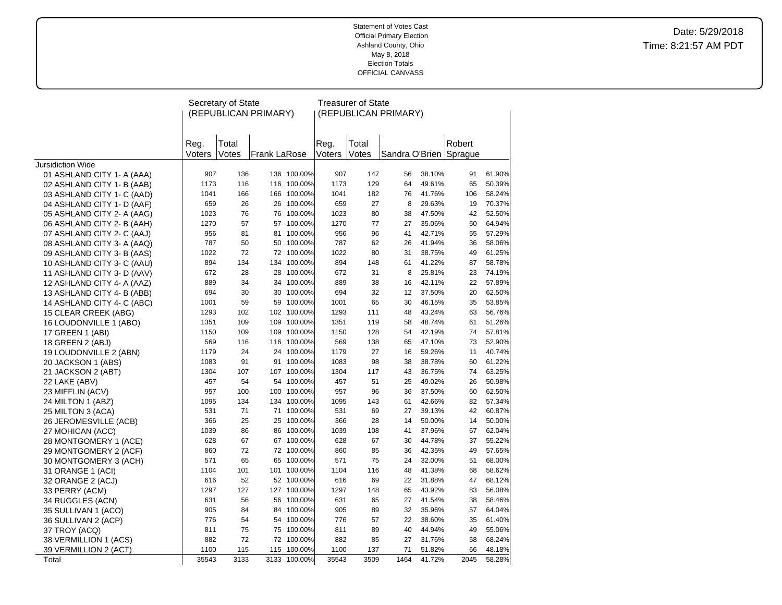|                            |                | Secretary of State |                      |              |        | <b>Treasurer of State</b> |                      |        |         |        |
|----------------------------|----------------|--------------------|----------------------|--------------|--------|---------------------------|----------------------|--------|---------|--------|
|                            |                |                    | (REPUBLICAN PRIMARY) |              |        |                           | (REPUBLICAN PRIMARY) |        |         |        |
|                            |                |                    |                      |              |        |                           |                      |        |         |        |
|                            |                | Total              |                      |              | Reg.   | Total                     |                      |        | Robert  |        |
|                            | Reg.<br>Voters | Votes              | Frank LaRose         |              | Voters | Votes                     | Sandra O'Brien       |        | Sprague |        |
| Jursidiction Wide          |                |                    |                      |              |        |                           |                      |        |         |        |
| 01 ASHLAND CITY 1- A (AAA) | 907            | 136                |                      | 136 100.00%  | 907    | 147                       | 56                   | 38.10% | 91      | 61.90% |
| 02 ASHLAND CITY 1- B (AAB) | 1173           | 116                |                      | 116 100.00%  | 1173   | 129                       | 64                   | 49.61% | 65      | 50.39% |
| 03 ASHLAND CITY 1- C (AAD) | 1041           | 166                |                      | 166 100.00%  | 1041   | 182                       | 76                   | 41.76% | 106     | 58.24% |
| 04 ASHLAND CITY 1- D (AAF) | 659            | 26                 |                      | 26 100.00%   | 659    | 27                        | 8                    | 29.63% | 19      | 70.37% |
| 05 ASHLAND CITY 2- A (AAG) | 1023           | 76                 |                      | 76 100.00%   | 1023   | 80                        | 38                   | 47.50% | 42      | 52.50% |
| 06 ASHLAND CITY 2- B (AAH) | 1270           | 57                 |                      | 57 100.00%   | 1270   | 77                        | 27                   | 35.06% | 50      | 64.94% |
| 07 ASHLAND CITY 2- C (AAJ) | 956            | 81                 |                      | 81 100.00%   | 956    | 96                        | 41                   | 42.71% | 55      | 57.29% |
| 08 ASHLAND CITY 3- A (AAQ) | 787            | 50                 |                      | 50 100.00%   | 787    | 62                        | 26                   | 41.94% | 36      | 58.06% |
| 09 ASHLAND CITY 3- B (AAS) | 1022           | 72                 |                      | 72 100.00%   | 1022   | 80                        | 31                   | 38.75% | 49      | 61.25% |
| 10 ASHLAND CITY 3- C (AAU) | 894            | 134                |                      | 134 100.00%  | 894    | 148                       | 61                   | 41.22% | 87      | 58.78% |
| 11 ASHLAND CITY 3- D (AAV) | 672            | 28                 |                      | 28 100.00%   | 672    | 31                        | 8                    | 25.81% | 23      | 74.19% |
| 12 ASHLAND CITY 4- A (AAZ) | 889            | 34                 |                      | 34 100.00%   | 889    | 38                        | 16                   | 42.11% | 22      | 57.89% |
| 13 ASHLAND CITY 4- B (ABB) | 694            | 30                 |                      | 30 100.00%   | 694    | 32                        | 12                   | 37.50% | 20      | 62.50% |
| 14 ASHLAND CITY 4- C (ABC) | 1001           | 59                 |                      | 59 100.00%   | 1001   | 65                        | 30                   | 46.15% | 35      | 53.85% |
| 15 CLEAR CREEK (ABG)       | 1293           | 102                |                      | 102 100.00%  | 1293   | 111                       | 48                   | 43.24% | 63      | 56.76% |
| 16 LOUDONVILLE 1 (ABO)     | 1351           | 109                |                      | 109 100.00%  | 1351   | 119                       | 58                   | 48.74% | 61      | 51.26% |
| 17 GREEN 1 (ABI)           | 1150           | 109                |                      | 109 100.00%  | 1150   | 128                       | 54                   | 42.19% | 74      | 57.81% |
| 18 GREEN 2 (ABJ)           | 569            | 116                |                      | 116 100.00%  | 569    | 138                       | 65                   | 47.10% | 73      | 52.90% |
| 19 LOUDONVILLE 2 (ABN)     | 1179           | 24                 |                      | 24 100.00%   | 1179   | 27                        | 16                   | 59.26% | 11      | 40.74% |
| 20 JACKSON 1 (ABS)         | 1083           | 91                 |                      | 91 100.00%   | 1083   | 98                        | 38                   | 38.78% | 60      | 61.22% |
| 21 JACKSON 2 (ABT)         | 1304           | 107                |                      | 107 100.00%  | 1304   | 117                       | 43                   | 36.75% | 74      | 63.25% |
| 22 LAKE (ABV)              | 457            | 54                 |                      | 54 100.00%   | 457    | 51                        | 25                   | 49.02% | 26      | 50.98% |
| 23 MIFFLIN (ACV)           | 957            | 100                |                      | 100 100.00%  | 957    | 96                        | 36                   | 37.50% | 60      | 62.50% |
| 24 MILTON 1 (ABZ)          | 1095           | 134                |                      | 134 100.00%  | 1095   | 143                       | 61                   | 42.66% | 82      | 57.34% |
| 25 MILTON 3 (ACA)          | 531            | 71                 |                      | 71 100.00%   | 531    | 69                        | 27                   | 39.13% | 42      | 60.87% |
| 26 JEROMESVILLE (ACB)      | 366            | 25                 |                      | 25 100.00%   | 366    | 28                        | 14                   | 50.00% | 14      | 50.00% |
| 27 MOHICAN (ACC)           | 1039           | 86                 |                      | 86 100.00%   | 1039   | 108                       | 41                   | 37.96% | 67      | 62.04% |
| 28 MONTGOMERY 1 (ACE)      | 628            | 67                 |                      | 67 100.00%   | 628    | 67                        | 30                   | 44.78% | 37      | 55.22% |
| 29 MONTGOMERY 2 (ACF)      | 860            | 72                 |                      | 72 100.00%   | 860    | 85                        | 36                   | 42.35% | 49      | 57.65% |
| 30 MONTGOMERY 3 (ACH)      | 571            | 65                 |                      | 65 100.00%   | 571    | 75                        | 24                   | 32.00% | 51      | 68.00% |
| 31 ORANGE 1 (ACI)          | 1104           | 101                |                      | 101 100.00%  | 1104   | 116                       | 48                   | 41.38% | 68      | 58.62% |
| 32 ORANGE 2 (ACJ)          | 616            | 52                 |                      | 52 100.00%   | 616    | 69                        | 22                   | 31.88% | 47      | 68.12% |
| 33 PERRY (ACM)             | 1297           | 127                |                      | 127 100.00%  | 1297   | 148                       | 65                   | 43.92% | 83      | 56.08% |
| 34 RUGGLES (ACN)           | 631            | 56                 |                      | 56 100.00%   | 631    | 65                        | 27                   | 41.54% | 38      | 58.46% |
| 35 SULLIVAN 1 (ACO)        | 905            | 84                 |                      | 84 100.00%   | 905    | 89                        | 32                   | 35.96% | 57      | 64.04% |
| 36 SULLIVAN 2 (ACP)        | 776            | 54                 |                      | 54 100.00%   | 776    | 57                        | 22                   | 38.60% | 35      | 61.40% |
| 37 TROY (ACQ)              | 811            | 75                 |                      | 75 100.00%   | 811    | 89                        | 40                   | 44.94% | 49      | 55.06% |
| 38 VERMILLION 1 (ACS)      | 882            | 72                 |                      | 72 100.00%   | 882    | 85                        | 27                   | 31.76% | 58      | 68.24% |
| 39 VERMILLION 2 (ACT)      | 1100           | 115                |                      | 115 100.00%  | 1100   | 137                       | 71                   | 51.82% | 66      | 48.18% |
| Total                      | 35543          | 3133               |                      | 3133 100.00% | 35543  | 3509                      | 1464                 | 41.72% | 2045    | 58.28% |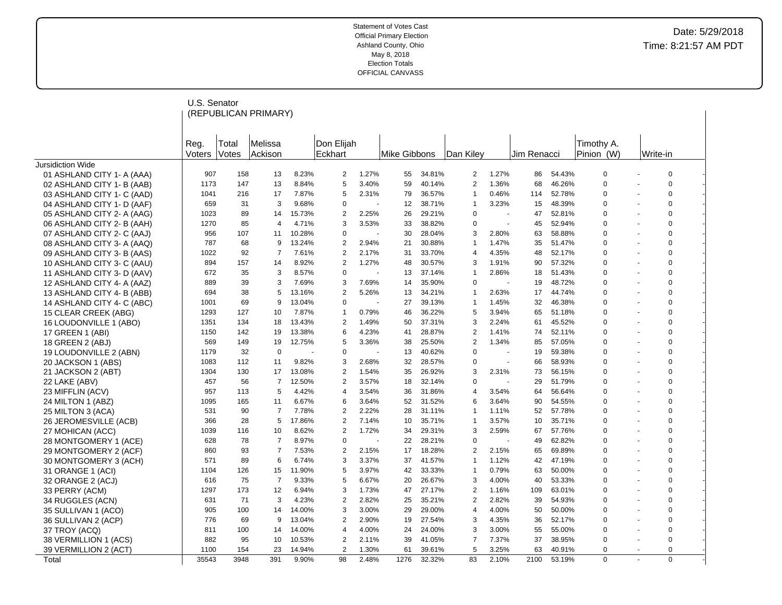|                            | U.S. Senator |       |                      |        |                |       |              |        |                |                |             |        |             |             |  |
|----------------------------|--------------|-------|----------------------|--------|----------------|-------|--------------|--------|----------------|----------------|-------------|--------|-------------|-------------|--|
|                            |              |       | (REPUBLICAN PRIMARY) |        |                |       |              |        |                |                |             |        |             |             |  |
|                            |              |       |                      |        |                |       |              |        |                |                |             |        |             |             |  |
|                            | Reg.         | Total | Melissa              |        | Don Elijah     |       |              |        |                |                |             |        | Timothy A.  |             |  |
|                            | Voters       | Votes | Ackison              |        | Eckhart        |       | Mike Gibbons |        | Dan Kiley      |                | Jim Renacci |        | Pinion (W)  | Write-in    |  |
| Jursidiction Wide          |              |       |                      |        |                |       |              |        |                |                |             |        |             |             |  |
| 01 ASHLAND CITY 1- A (AAA) | 907          | 158   | 13                   | 8.23%  | 2              | 1.27% | 55           | 34.81% | 2              | 1.27%          | 86          | 54.43% | $\mathbf 0$ | $\mathbf 0$ |  |
| 02 ASHLAND CITY 1- B (AAB) | 1173         | 147   | 13                   | 8.84%  | 5              | 3.40% | 59           | 40.14% | $\overline{2}$ | 1.36%          | 68          | 46.26% | $\mathbf 0$ | $\mathbf 0$ |  |
| 03 ASHLAND CITY 1- C (AAD) | 1041         | 216   | 17                   | 7.87%  | 5              | 2.31% | 79           | 36.57% | $\overline{1}$ | 0.46%          | 114         | 52.78% | $\mathbf 0$ | 0           |  |
| 04 ASHLAND CITY 1- D (AAF) | 659          | 31    | 3                    | 9.68%  | $\Omega$       |       | 12           | 38.71% | $\overline{1}$ | 3.23%          | 15          | 48.39% | $\mathbf 0$ | $\mathbf 0$ |  |
| 05 ASHLAND CITY 2- A (AAG) | 1023         | 89    | 14                   | 15.73% | 2              | 2.25% | 26           | 29.21% | $\mathbf 0$    | $\sim$         | 47          | 52.81% | $\Omega$    | $\Omega$    |  |
| 06 ASHLAND CITY 2- B (AAH) | 1270         | 85    | $\overline{4}$       | 4.71%  | 3              | 3.53% | 33           | 38.82% | 0              |                | 45          | 52.94% | $\mathbf 0$ | 0           |  |
| 07 ASHLAND CITY 2- C (AAJ) | 956          | 107   | 11                   | 10.28% | $\Omega$       |       | 30           | 28.04% | 3              | 2.80%          | 63          | 58.88% | $\mathbf 0$ | $\mathbf 0$ |  |
| 08 ASHLAND CITY 3- A (AAQ) | 787          | 68    | 9                    | 13.24% | 2              | 2.94% | 21           | 30.88% | $\overline{1}$ | 1.47%          | 35          | 51.47% | $\mathbf 0$ | 0           |  |
| 09 ASHLAND CITY 3- B (AAS) | 1022         | 92    | $\overline{7}$       | 7.61%  | $\overline{2}$ | 2.17% | 31           | 33.70% | $\overline{4}$ | 4.35%          | 48          | 52.17% | $\mathbf 0$ | $\mathbf 0$ |  |
| 10 ASHLAND CITY 3- C (AAU) | 894          | 157   | 14                   | 8.92%  | $\overline{2}$ | 1.27% | 48           | 30.57% | 3              | 1.91%          | 90          | 57.32% | $\Omega$    | 0           |  |
| 11 ASHLAND CITY 3- D (AAV) | 672          | 35    | 3                    | 8.57%  | $\Omega$       |       | 13           | 37.14% | $\overline{1}$ | 2.86%          | 18          | 51.43% | $\mathbf 0$ | $\mathbf 0$ |  |
| 12 ASHLAND CITY 4- A (AAZ) | 889          | 39    | 3                    | 7.69%  | 3              | 7.69% | 14           | 35.90% | $\mathbf 0$    |                | 19          | 48.72% | $\mathbf 0$ | 0           |  |
| 13 ASHLAND CITY 4- B (ABB) | 694          | 38    | 5                    | 13.16% | $\overline{2}$ | 5.26% | 13           | 34.21% | $\overline{1}$ | 2.63%          | 17          | 44.74% | $\mathbf 0$ | 0           |  |
| 14 ASHLAND CITY 4- C (ABC) | 1001         | 69    | 9                    | 13.04% | $\Omega$       |       | 27           | 39.13% | $\overline{1}$ | 1.45%          | 32          | 46.38% | $\Omega$    | $\mathbf 0$ |  |
| 15 CLEAR CREEK (ABG)       | 1293         | 127   | 10                   | 7.87%  | $\mathbf{1}$   | 0.79% | 46           | 36.22% | 5              | 3.94%          | 65          | 51.18% | $\mathbf 0$ | 0           |  |
| 16 LOUDONVILLE 1 (ABO)     | 1351         | 134   | 18                   | 13.43% | $\overline{2}$ | 1.49% | 50           | 37.31% | 3              | 2.24%          | 61          | 45.52% | $\mathbf 0$ | 0           |  |
| 17 GREEN 1 (ABI)           | 1150         | 142   | 19                   | 13.38% | 6              | 4.23% | 41           | 28.87% | 2              | 1.41%          | 74          | 52.11% | $\Omega$    | 0           |  |
| 18 GREEN 2 (ABJ)           | 569          | 149   | 19                   | 12.75% | 5              | 3.36% | 38           | 25.50% | $\overline{2}$ | 1.34%          | 85          | 57.05% | $\mathbf 0$ | $\mathbf 0$ |  |
| 19 LOUDONVILLE 2 (ABN)     | 1179         | 32    | $\Omega$             |        | 0              |       | 13           | 40.62% | $\mathbf 0$    | $\blacksquare$ | 19          | 59.38% | $\mathbf 0$ | $\mathbf 0$ |  |
| 20 JACKSON 1 (ABS)         | 1083         | 112   | 11                   | 9.82%  | 3              | 2.68% | 32           | 28.57% | 0              |                | 66          | 58.93% | $\mathbf 0$ | 0           |  |
| 21 JACKSON 2 (ABT)         | 1304         | 130   | 17                   | 13.08% | 2              | 1.54% | 35           | 26.92% | 3              | 2.31%          | 73          | 56.15% | $\mathbf 0$ | $\mathbf 0$ |  |
| 22 LAKE (ABV)              | 457          | 56    | $\overline{7}$       | 12.50% | 2              | 3.57% | 18           | 32.14% | $\mathbf 0$    |                | 29          | 51.79% | $\mathbf 0$ | 0           |  |
| 23 MIFFLIN (ACV)           | 957          | 113   | 5                    | 4.42%  | 4              | 3.54% | 36           | 31.86% | $\overline{4}$ | 3.54%          | 64          | 56.64% | $\mathbf 0$ | $\Omega$    |  |
| 24 MILTON 1 (ABZ)          | 1095         | 165   | 11                   | 6.67%  | 6              | 3.64% | 52           | 31.52% | 6              | 3.64%          | 90          | 54.55% | $\Omega$    | $\mathbf 0$ |  |
| 25 MILTON 3 (ACA)          | 531          | 90    | $\overline{7}$       | 7.78%  | 2              | 2.22% | 28           | 31.11% | $\mathbf{1}$   | 1.11%          | 52          | 57.78% | 0           | 0           |  |
| 26 JEROMESVILLE (ACB)      | 366          | 28    | 5                    | 17.86% | 2              | 7.14% | 10           | 35.71% | $\overline{1}$ | 3.57%          | 10          | 35.71% | $\mathbf 0$ | $\mathbf 0$ |  |
| 27 MOHICAN (ACC)           | 1039         | 116   | 10                   | 8.62%  | 2              | 1.72% | 34           | 29.31% | 3              | 2.59%          | 67          | 57.76% | $\mathbf 0$ | 0           |  |
| 28 MONTGOMERY 1 (ACE)      | 628          | 78    | $\overline{7}$       | 8.97%  | $\mathbf 0$    |       | 22           | 28.21% | $\mathbf 0$    |                | 49          | 62.82% | $\mathbf 0$ | $\mathbf 0$ |  |
| 29 MONTGOMERY 2 (ACF)      | 860          | 93    | 7                    | 7.53%  | 2              | 2.15% | 17           | 18.28% | 2              | 2.15%          | 65          | 69.89% | $\mathbf 0$ | 0           |  |
| 30 MONTGOMERY 3 (ACH)      | 571          | 89    | 6                    | 6.74%  | 3              | 3.37% | 37           | 41.57% | $\overline{1}$ | 1.12%          | 42          | 47.19% | $\mathbf 0$ | $\mathbf 0$ |  |
| 31 ORANGE 1 (ACI)          | 1104         | 126   | 15                   | 11.90% | 5              | 3.97% | 42           | 33.33% | $\overline{1}$ | 0.79%          | 63          | 50.00% | $\Omega$    | $\mathbf 0$ |  |
| 32 ORANGE 2 (ACJ)          | 616          | 75    | 7                    | 9.33%  | 5              | 6.67% | 20           | 26.67% | 3              | 4.00%          | 40          | 53.33% | 0           | 0           |  |
| 33 PERRY (ACM)             | 1297         | 173   | 12                   | 6.94%  | 3              | 1.73% | 47           | 27.17% | $\overline{2}$ | 1.16%          | 109         | 63.01% | $\Omega$    | $\mathbf 0$ |  |
| 34 RUGGLES (ACN)           | 631          | 71    | 3                    | 4.23%  | 2              | 2.82% | 25           | 35.21% | 2              | 2.82%          | 39          | 54.93% | $\mathbf 0$ | 0           |  |
| 35 SULLIVAN 1 (ACO)        | 905          | 100   | 14                   | 14.00% | 3              | 3.00% | 29           | 29.00% | $\overline{4}$ | 4.00%          | 50          | 50.00% | $\mathbf 0$ | 0           |  |
| 36 SULLIVAN 2 (ACP)        | 776          | 69    | 9                    | 13.04% | 2              | 2.90% | 19           | 27.54% | 3              | 4.35%          | 36          | 52.17% | $\Omega$    | $\mathbf 0$ |  |
| 37 TROY (ACQ)              | 811          | 100   | 14                   | 14.00% | 4              | 4.00% | 24           | 24.00% | 3              | 3.00%          | 55          | 55.00% | $\mathbf 0$ | 0           |  |
| 38 VERMILLION 1 (ACS)      | 882          | 95    | 10                   | 10.53% | 2              | 2.11% | 39           | 41.05% | $\overline{7}$ | 7.37%          | 37          | 38.95% | $\mathbf 0$ | $\mathbf 0$ |  |
| 39 VERMILLION 2 (ACT)      | 1100         | 154   | 23                   | 14.94% | $\overline{2}$ | 1.30% | 61           | 39.61% | 5              | 3.25%          | 63          | 40.91% | $\mathbf 0$ | $\mathbf 0$ |  |
| Total                      | 35543        | 3948  | 391                  | 9.90%  | 98             | 2.48% | 1276         | 32.32% | 83             | 2.10%          | 2100        | 53.19% | $\Omega$    | $\mathbf 0$ |  |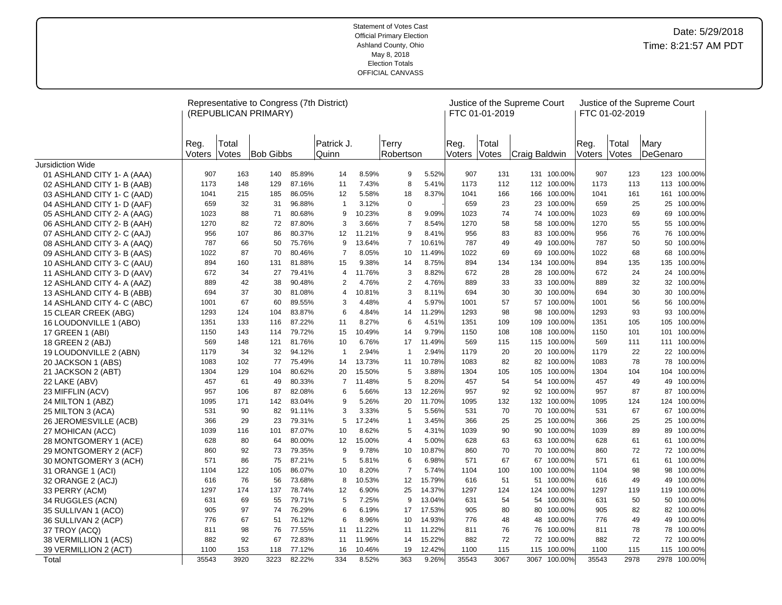|                            |                |                | Representative to Congress (7th District)<br>(REPUBLICAN PRIMARY) |        |                     |        |                    |        |                | FTC 01-01-2019 | Justice of the Supreme Court |              |                | FTC 01-02-2019 | Justice of the Supreme Court |              |
|----------------------------|----------------|----------------|-------------------------------------------------------------------|--------|---------------------|--------|--------------------|--------|----------------|----------------|------------------------------|--------------|----------------|----------------|------------------------------|--------------|
|                            | Reg.<br>Voters | Total<br>Votes | <b>Bob Gibbs</b>                                                  |        | Patrick J.<br>Quinn |        | Terry<br>Robertson |        | Reg.<br>Voters | Total<br>Votes | Craig Baldwin                |              | Reg.<br>Voters | Total<br>Votes | Mary<br>DeGenaro             |              |
| Jursidiction Wide          |                |                |                                                                   |        |                     |        |                    |        |                |                |                              |              |                |                |                              |              |
| 01 ASHLAND CITY 1- A (AAA) | 907            | 163            | 140                                                               | 85.89% | 14                  | 8.59%  | 9                  | 5.52%  | 907            | 131            |                              | 131 100.00%  | 907            | 123            |                              | 123 100.00%  |
| 02 ASHLAND CITY 1- B (AAB) | 1173           | 148            | 129                                                               | 87.16% | 11                  | 7.43%  | 8                  | 5.41%  | 1173           | 112            |                              | 112 100.00%  | 1173           | 113            |                              | 113 100.00%  |
| 03 ASHLAND CITY 1- C (AAD) | 1041           | 215            | 185                                                               | 86.05% | 12                  | 5.58%  | 18                 | 8.37%  | 1041           | 166            | 166                          | 100.00%      | 1041           | 161            | 161                          | 100.00%      |
| 04 ASHLAND CITY 1- D (AAF) | 659            | 32             | 31                                                                | 96.88% | $\mathbf{1}$        | 3.12%  | $\mathbf 0$        |        | 659            | 23             | 23                           | 100.00%      | 659            | 25             |                              | 25 100.00%   |
| 05 ASHLAND CITY 2- A (AAG) | 1023           | 88             | 71                                                                | 80.68% | 9                   | 10.23% | 8                  | 9.09%  | 1023           | 74             | 74                           | 100.00%      | 1023           | 69             |                              | 69 100.00%   |
| 06 ASHLAND CITY 2- B (AAH) | 1270           | 82             | 72                                                                | 87.80% | 3                   | 3.66%  | $\overline{7}$     | 8.54%  | 1270           | 58             | 58                           | 100.00%      | 1270           | 55             |                              | 55 100.00%   |
| 07 ASHLAND CITY 2- C (AAJ) | 956            | 107            | 86                                                                | 80.37% | 12                  | 11.21% | 9                  | 8.41%  | 956            | 83             | 83                           | 100.00%      | 956            | 76             | 76                           | 100.00%      |
| 08 ASHLAND CITY 3- A (AAQ) | 787            | 66             | 50                                                                | 75.76% | 9                   | 13.64% | $\overline{7}$     | 10.61% | 787            | 49             | 49                           | 100.00%      | 787            | 50             | 50                           | 100.00%      |
| 09 ASHLAND CITY 3- B (AAS) | 1022           | 87             | 70                                                                | 80.46% | $\overline{7}$      | 8.05%  | 10                 | 11.49% | 1022           | 69             | 69                           | 100.00%      | 1022           | 68             | 68                           | 100.00%      |
| 10 ASHLAND CITY 3- C (AAU) | 894            | 160            | 131                                                               | 81.88% | 15                  | 9.38%  | 14                 | 8.75%  | 894            | 134            | 134                          | 100.00%      | 894            | 135            | 135                          | 100.00%      |
| 11 ASHLAND CITY 3- D (AAV) | 672            | 34             | 27                                                                | 79.41% | 4                   | 11.76% | 3                  | 8.82%  | 672            | 28             | 28                           | 100.00%      | 672            | 24             |                              | 24 100.00%   |
| 12 ASHLAND CITY 4- A (AAZ) | 889            | 42             | 38                                                                | 90.48% | 2                   | 4.76%  | 2                  | 4.76%  | 889            | 33             | 33                           | 100.00%      | 889            | 32             |                              | 32 100.00%   |
| 13 ASHLAND CITY 4- B (ABB) | 694            | 37             | 30                                                                | 81.08% | 4                   | 10.81% | 3                  | 8.11%  | 694            | 30             | 30                           | 100.00%      | 694            | 30             |                              | 30 100.00%   |
| 14 ASHLAND CITY 4- C (ABC) | 1001           | 67             | 60                                                                | 89.55% | 3                   | 4.48%  | $\overline{4}$     | 5.97%  | 1001           | 57             | 57                           | 100.00%      | 1001           | 56             | 56                           | 100.00%      |
| 15 CLEAR CREEK (ABG)       | 1293           | 124            | 104                                                               | 83.87% | 6                   | 4.84%  | 14                 | 11.29% | 1293           | 98             | 98                           | 100.00%      | 1293           | 93             | 93                           | 100.00%      |
| 16 LOUDONVILLE 1 (ABO)     | 1351           | 133            | 116                                                               | 87.22% | 11                  | 8.27%  | 6                  | 4.51%  | 1351           | 109            | 109                          | 100.00%      | 1351           | 105            | 105                          | 100.00%      |
| 17 GREEN 1 (ABI)           | 1150           | 143            | 114                                                               | 79.72% | 15                  | 10.49% | 14                 | 9.79%  | 1150           | 108            | 108                          | 100.00%      | 1150           | 101            | 101                          | 100.00%      |
| 18 GREEN 2 (ABJ)           | 569            | 148            | 121                                                               | 81.76% | 10                  | 6.76%  | 17                 | 11.49% | 569            | 115            | 115                          | 100.00%      | 569            | 111            |                              | 111 100.00%  |
| 19 LOUDONVILLE 2 (ABN)     | 1179           | 34             | 32                                                                | 94.12% | $\overline{1}$      | 2.94%  | $\overline{1}$     | 2.94%  | 1179           | 20             | 20                           | 100.00%      | 1179           | 22             | 22                           | 100.00%      |
| 20 JACKSON 1 (ABS)         | 1083           | 102            | 77                                                                | 75.49% | 14                  | 13.73% | 11                 | 10.78% | 1083           | 82             | 82                           | 100.00%      | 1083           | 78             | 78                           | 100.00%      |
| 21 JACKSON 2 (ABT)         | 1304           | 129            | 104                                                               | 80.62% | 20                  | 15.50% | 5                  | 3.88%  | 1304           | 105            | 105                          | 100.00%      | 1304           | 104            | 104                          | 100.00%      |
| 22 LAKE (ABV)              | 457            | 61             | 49                                                                | 80.33% | $\overline{7}$      | 11.48% | 5                  | 8.20%  | 457            | 54             | 54                           | 100.00%      | 457            | 49             | 49                           | 100.00%      |
| 23 MIFFLIN (ACV)           | 957            | 106            | 87                                                                | 82.08% | 6                   | 5.66%  | 13                 | 12.26% | 957            | 92             | 92                           | 100.00%      | 957            | 87             | 87                           | 100.00%      |
| 24 MILTON 1 (ABZ)          | 1095           | 171            | 142                                                               | 83.04% | 9                   | 5.26%  | 20                 | 11.70% | 1095           | 132            | 132                          | 100.00%      | 1095           | 124            | 124                          | 100.00%      |
| 25 MILTON 3 (ACA)          | 531            | 90             | 82                                                                | 91.11% | 3                   | 3.33%  | 5                  | 5.56%  | 531            | 70             | 70                           | 100.00%      | 531            | 67             |                              | 67 100.00%   |
| 26 JEROMESVILLE (ACB)      | 366            | 29             | 23                                                                | 79.31% | 5                   | 17.24% | $\mathbf{1}$       | 3.45%  | 366            | 25             | 25                           | 100.00%      | 366            | 25             | 25                           | 100.00%      |
| 27 MOHICAN (ACC)           | 1039           | 116            | 101                                                               | 87.07% | 10                  | 8.62%  | 5                  | 4.31%  | 1039           | 90             | 90                           | 100.00%      | 1039           | 89             |                              | 89 100.00%   |
| 28 MONTGOMERY 1 (ACE)      | 628            | 80             | 64                                                                | 80.00% | 12                  | 15.00% | $\overline{4}$     | 5.00%  | 628            | 63             | 63                           | 100.00%      | 628            | 61             |                              | 61 100.00%   |
| 29 MONTGOMERY 2 (ACF)      | 860            | 92             | 73                                                                | 79.35% | 9                   | 9.78%  | 10                 | 10.87% | 860            | 70             | 70                           | 100.00%      | 860            | 72             |                              | 72 100.00%   |
| 30 MONTGOMERY 3 (ACH)      | 571            | 86             | 75                                                                | 87.21% | 5                   | 5.81%  | 6                  | 6.98%  | 571            | 67             | 67                           | 100.00%      | 571            | 61             |                              | 61 100.00%   |
| 31 ORANGE 1 (ACI)          | 1104           | 122            | 105                                                               | 86.07% | 10                  | 8.20%  | $\overline{7}$     | 5.74%  | 1104           | 100            | 100                          | 100.00%      | 1104           | 98             | 98                           | 100.00%      |
| 32 ORANGE 2 (ACJ)          | 616            | 76             | 56                                                                | 73.68% | 8                   | 10.53% | 12                 | 15.79% | 616            | 51             | 51                           | 100.00%      | 616            | 49             |                              | 49 100.00%   |
| 33 PERRY (ACM)             | 1297           | 174            | 137                                                               | 78.74% | 12                  | 6.90%  | 25                 | 14.37% | 1297           | 124            | 124                          | 100.00%      | 1297           | 119            |                              | 119 100.00%  |
| 34 RUGGLES (ACN)           | 631            | 69             | 55                                                                | 79.71% | 5                   | 7.25%  | 9                  | 13.04% | 631            | 54             | 54                           | 100.00%      | 631            | 50             | 50                           | 100.00%      |
| 35 SULLIVAN 1 (ACO)        | 905            | 97             | 74                                                                | 76.29% | 6                   | 6.19%  | 17                 | 17.53% | 905            | 80             | 80                           | 100.00%      | 905            | 82             |                              | 82 100.00%   |
| 36 SULLIVAN 2 (ACP)        | 776            | 67             | 51                                                                | 76.12% | 6                   | 8.96%  | 10                 | 14.93% | 776            | 48             | 48                           | 100.00%      | 776            | 49             |                              | 49 100.00%   |
| 37 TROY (ACQ)              | 811            | 98             | 76                                                                | 77.55% | 11                  | 11.22% | 11                 | 11.22% | 811            | 76             | 76                           | 100.00%      | 811            | 78             |                              | 78 100.00%   |
| 38 VERMILLION 1 (ACS)      | 882            | 92             | 67                                                                | 72.83% | 11                  | 11.96% | 14                 | 15.22% | 882            | 72             | 72                           | 100.00%      | 882            | 72             |                              | 72 100.00%   |
| 39 VERMILLION 2 (ACT)      | 1100           | 153            | 118                                                               | 77.12% | 16                  | 10.46% | 19                 | 12.42% | 1100           | 115            | 115                          | 100.00%      | 1100           | 115            |                              | 115 100.00%  |
| Total                      | 35543          | 3920           | 3223                                                              | 82.22% | 334                 | 8.52%  | 363                | 9.26%  | 35543          | 3067           |                              | 3067 100.00% | 35543          | 2978           |                              | 2978 100.00% |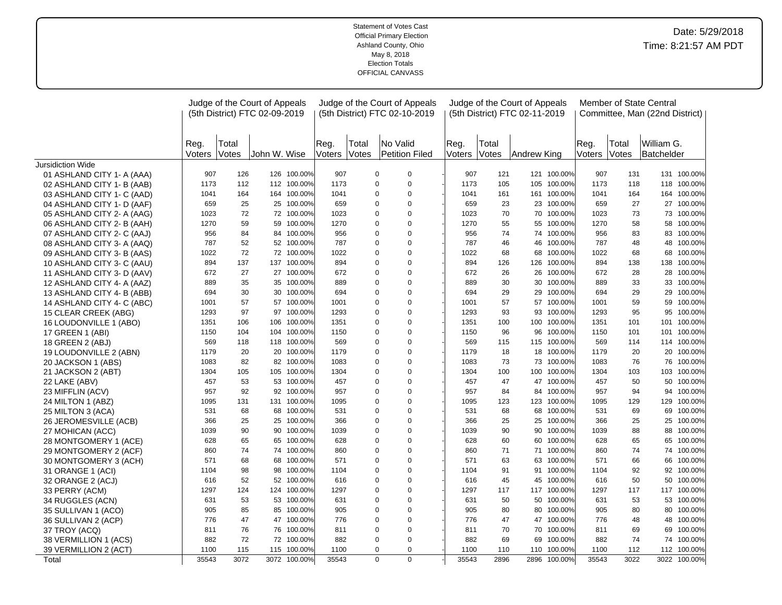|                            |                |                       | Judge of the Court of Appeals<br>(5th District) FTC 02-09-2019 |              |                      |       | Judge of the Court of Appeals<br>(5th District) FTC 02-10-2019 |                      |       | Judge of the Court of Appeals<br>(5th District) FTC 02-11-2019 |              |                |                | Member of State Central<br>Committee, Man (22nd District) |              |
|----------------------------|----------------|-----------------------|----------------------------------------------------------------|--------------|----------------------|-------|----------------------------------------------------------------|----------------------|-------|----------------------------------------------------------------|--------------|----------------|----------------|-----------------------------------------------------------|--------------|
|                            | Reg.<br>Voters | Total<br><b>Votes</b> | John W. Wise                                                   |              | Reg.<br>Voters Votes | Total | No Valid<br>Petition Filed                                     | Reg.<br>Voters Votes | Total | Andrew King                                                    |              | Reg.<br>Voters | Total<br>Votes | William G.<br>Batchelder                                  |              |
| <b>Jursidiction Wide</b>   |                |                       |                                                                |              |                      |       |                                                                |                      |       |                                                                |              |                |                |                                                           |              |
| 01 ASHLAND CITY 1- A (AAA) | 907            | 126                   |                                                                | 126 100.00%  | 907                  |       | $\mathbf 0$<br>0                                               | 907                  | 121   |                                                                | 121 100.00%  | 907            | 131            |                                                           | 131 100.00%  |
| 02 ASHLAND CITY 1- B (AAB) | 1173           | 112                   |                                                                | 112 100.00%  | 1173                 |       | $\mathbf 0$<br>$\Omega$                                        | 1173                 | 105   | 105                                                            | 100.00%      | 1173           | 118            |                                                           | 118 100.00%  |
| 03 ASHLAND CITY 1- C (AAD) | 1041           | 164                   |                                                                | 164 100.00%  | 1041                 |       | $\mathbf 0$<br>$\Omega$                                        | 1041                 | 161   | 161                                                            | 100.00%      | 1041           | 164            |                                                           | 164 100.00%  |
| 04 ASHLAND CITY 1- D (AAF) | 659            | 25                    |                                                                | 25 100.00%   | 659                  |       | $\mathbf 0$<br>$\pmb{0}$                                       | 659                  | 23    |                                                                | 23 100.00%   | 659            | 27             |                                                           | 27 100.00%   |
| 05 ASHLAND CITY 2- A (AAG) | 1023           | 72                    |                                                                | 72 100.00%   | 1023                 |       | $\mathbf 0$<br>$\Omega$                                        | 1023                 | 70    | 70                                                             | 100.00%      | 1023           | 73             |                                                           | 73 100.00%   |
| 06 ASHLAND CITY 2- B (AAH) | 1270           | 59                    |                                                                | 59 100.00%   | 1270                 |       | $\mathbf 0$<br>$\Omega$                                        | 1270                 | 55    | 55                                                             | 100.00%      | 1270           | 58             |                                                           | 58 100.00%   |
| 07 ASHLAND CITY 2- C (AAJ) | 956            | 84                    |                                                                | 84 100.00%   | 956                  |       | $\mathbf 0$<br>$\Omega$                                        | 956                  | 74    | 74                                                             | 100.00%      | 956            | 83             |                                                           | 83 100.00%   |
| 08 ASHLAND CITY 3- A (AAQ) | 787            | 52                    |                                                                | 52 100.00%   | 787                  |       | 0<br>0                                                         | 787                  | 46    | 46                                                             | 100.00%      | 787            | 48             |                                                           | 48 100.00%   |
| 09 ASHLAND CITY 3- B (AAS) | 1022           | 72                    |                                                                | 72 100.00%   | 1022                 |       | $\mathbf 0$<br>$\Omega$                                        | 1022                 | 68    | 68                                                             | 100.00%      | 1022           | 68             |                                                           | 68 100.00%   |
| 10 ASHLAND CITY 3- C (AAU) | 894            | 137                   |                                                                | 137 100.00%  | 894                  |       | $\mathbf 0$<br>$\mathbf 0$                                     | 894                  | 126   | 126                                                            | 100.00%      | 894            | 138            |                                                           | 138 100.00%  |
| 11 ASHLAND CITY 3- D (AAV) | 672            | 27                    |                                                                | 27 100.00%   | 672                  |       | $\mathbf 0$<br>$\Omega$                                        | 672                  | 26    | 26                                                             | 100.00%      | 672            | 28             |                                                           | 28 100.00%   |
| 12 ASHLAND CITY 4- A (AAZ) | 889            | 35                    |                                                                | 35 100.00%   | 889                  |       | $\pmb{0}$<br>$\Omega$                                          | 889                  | 30    | 30                                                             | 100.00%      | 889            | 33             |                                                           | 33 100.00%   |
| 13 ASHLAND CITY 4- B (ABB) | 694            | 30                    |                                                                | 30 100.00%   | 694                  |       | $\mathbf 0$<br>$\Omega$                                        | 694                  | 29    | 29                                                             | 100.00%      | 694            | 29             |                                                           | 29 100.00%   |
| 14 ASHLAND CITY 4- C (ABC) | 1001           | 57                    |                                                                | 57 100.00%   | 1001                 |       | $\mathbf 0$<br>0                                               | 1001                 | 57    | 57                                                             | 100.00%      | 1001           | 59             |                                                           | 59 100.00%   |
| 15 CLEAR CREEK (ABG)       | 1293           | 97                    |                                                                | 97 100.00%   | 1293                 |       | 0<br>$\Omega$                                                  | 1293                 | 93    | 93                                                             | 100.00%      | 1293           | 95             |                                                           | 95 100.00%   |
| 16 LOUDONVILLE 1 (ABO)     | 1351           | 106                   |                                                                | 106 100.00%  | 1351                 |       | $\mathbf 0$<br>$\Omega$                                        | 1351                 | 100   | 100                                                            | 100.00%      | 1351           | 101            |                                                           | 101 100.00%  |
| 17 GREEN 1 (ABI)           | 1150           | 104                   |                                                                | 104 100.00%  | 1150                 |       | $\mathbf 0$<br>$\Omega$                                        | 1150                 | 96    | 96                                                             | 100.00%      | 1150           | 101            | 101                                                       | 100.00%      |
| 18 GREEN 2 (ABJ)           | 569            | 118                   |                                                                | 118 100.00%  | 569                  |       | $\mathbf 0$<br>$\Omega$                                        | 569                  | 115   |                                                                | 115 100.00%  | 569            | 114            |                                                           | 114 100.00%  |
| 19 LOUDONVILLE 2 (ABN)     | 1179           | 20                    |                                                                | 20 100.00%   | 1179                 |       | 0<br>$\mathbf 0$                                               | 1179                 | 18    | 18                                                             | 100.00%      | 1179           | 20             |                                                           | 20 100.00%   |
| 20 JACKSON 1 (ABS)         | 1083           | 82                    |                                                                | 82 100.00%   | 1083                 |       | $\mathbf 0$<br>$\Omega$                                        | 1083                 | 73    | 73                                                             | 100.00%      | 1083           | 76             |                                                           | 76 100.00%   |
| 21 JACKSON 2 (ABT)         | 1304           | 105                   |                                                                | 105 100.00%  | 1304                 |       | $\Omega$<br>0                                                  | 1304                 | 100   | 100                                                            | 100.00%      | 1304           | 103            |                                                           | 103 100.00%  |
| 22 LAKE (ABV)              | 457            | 53                    |                                                                | 53 100.00%   | 457                  |       | $\mathbf 0$<br>$\Omega$                                        | 457                  | 47    | 47                                                             | 100.00%      | 457            | 50             |                                                           | 50 100.00%   |
| 23 MIFFLIN (ACV)           | 957            | 92                    |                                                                | 92 100.00%   | 957                  |       | $\mathbf 0$<br>0                                               | 957                  | 84    | 84                                                             | 100.00%      | 957            | 94             |                                                           | 94 100.00%   |
| 24 MILTON 1 (ABZ)          | 1095           | 131                   |                                                                | 131 100.00%  | 1095                 |       | $\mathbf 0$<br>$\Omega$                                        | 1095                 | 123   | 123                                                            | 100.00%      | 1095           | 129            |                                                           | 129 100.00%  |
| 25 MILTON 3 (ACA)          | 531            | 68                    |                                                                | 68 100.00%   | 531                  |       | $\mathbf 0$<br>$\Omega$                                        | 531                  | 68    | 68                                                             | 100.00%      | 531            | 69             |                                                           | 69 100.00%   |
| 26 JEROMESVILLE (ACB)      | 366            | 25                    |                                                                | 25 100.00%   | 366                  |       | $\mathbf 0$<br>$\Omega$                                        | 366                  | 25    | 25                                                             | 100.00%      | 366            | 25             |                                                           | 25 100.00%   |
| 27 MOHICAN (ACC)           | 1039           | 90                    |                                                                | 90 100.00%   | 1039                 |       | $\mathbf 0$<br>$\Omega$                                        | 1039                 | 90    | 90                                                             | 100.00%      | 1039           | 88             |                                                           | 88 100.00%   |
| 28 MONTGOMERY 1 (ACE)      | 628            | 65                    |                                                                | 65 100.00%   | 628                  |       | 0<br>0                                                         | 628                  | 60    | 60                                                             | 100.00%      | 628            | 65             |                                                           | 65 100.00%   |
| 29 MONTGOMERY 2 (ACF)      | 860            | 74                    |                                                                | 74 100.00%   | 860                  |       | $\mathbf 0$<br>$\Omega$                                        | 860                  | 71    | 71                                                             | 100.00%      | 860            | 74             |                                                           | 74 100.00%   |
| 30 MONTGOMERY 3 (ACH)      | 571            | 68                    |                                                                | 68 100.00%   | 571                  |       | $\pmb{0}$<br>$\mathbf 0$                                       | 571                  | 63    | 63                                                             | 100.00%      | 571            | 66             |                                                           | 66 100.00%   |
| 31 ORANGE 1 (ACI)          | 1104           | 98                    |                                                                | 98 100.00%   | 1104                 |       | $\mathbf 0$<br>$\Omega$                                        | 1104                 | 91    | 91                                                             | 100.00%      | 1104           | 92             |                                                           | 92 100.00%   |
| 32 ORANGE 2 (ACJ)          | 616            | 52                    |                                                                | 52 100.00%   | 616                  |       | $\Omega$<br>$\Omega$                                           | 616                  | 45    | 45                                                             | 100.00%      | 616            | 50             |                                                           | 50 100.00%   |
| 33 PERRY (ACM)             | 1297           | 124                   |                                                                | 124 100.00%  | 1297                 |       | $\mathbf 0$<br>$\mathbf 0$                                     | 1297                 | 117   | 117                                                            | 100.00%      | 1297           | 117            |                                                           | 117 100.00%  |
| 34 RUGGLES (ACN)           | 631            | 53                    |                                                                | 53 100.00%   | 631                  |       | $\mathbf 0$<br>0                                               | 631                  | 50    | 50                                                             | 100.00%      | 631            | 53             |                                                           | 53 100.00%   |
| 35 SULLIVAN 1 (ACO)        | 905            | 85                    |                                                                | 85 100.00%   | 905                  |       | 0<br>$\Omega$                                                  | 905                  | 80    | 80                                                             | 100.00%      | 905            | 80             |                                                           | 80 100.00%   |
| 36 SULLIVAN 2 (ACP)        | 776            | 47                    |                                                                | 47 100.00%   | 776                  |       | $\mathbf 0$<br>$\mathbf 0$                                     | 776                  | 47    | 47                                                             | 100.00%      | 776            | 48             |                                                           | 48 100.00%   |
| 37 TROY (ACQ)              | 811            | 76                    |                                                                | 76 100.00%   | 811                  |       | $\pmb{0}$<br>$\Omega$                                          | 811                  | 70    | 70                                                             | 100.00%      | 811            | 69             |                                                           | 69 100.00%   |
| 38 VERMILLION 1 (ACS)      | 882            | 72                    |                                                                | 72 100.00%   | 882                  |       | $\mathbf 0$<br>$\Omega$                                        | 882                  | 69    | 69                                                             | 100.00%      | 882            | 74             |                                                           | 74 100.00%   |
| 39 VERMILLION 2 (ACT)      | 1100           | 115                   |                                                                | 115 100.00%  | 1100                 |       | $\Omega$<br>$\mathbf 0$                                        | 1100                 | 110   | 110                                                            | 100.00%      | 1100           | 112            |                                                           | 112 100.00%  |
| Total                      | 35543          | 3072                  |                                                                | 3072 100.00% | 35543                |       | $\overline{0}$<br>$\Omega$                                     | 35543                | 2896  |                                                                | 2896 100.00% | 35543          | 3022           |                                                           | 3022 100.00% |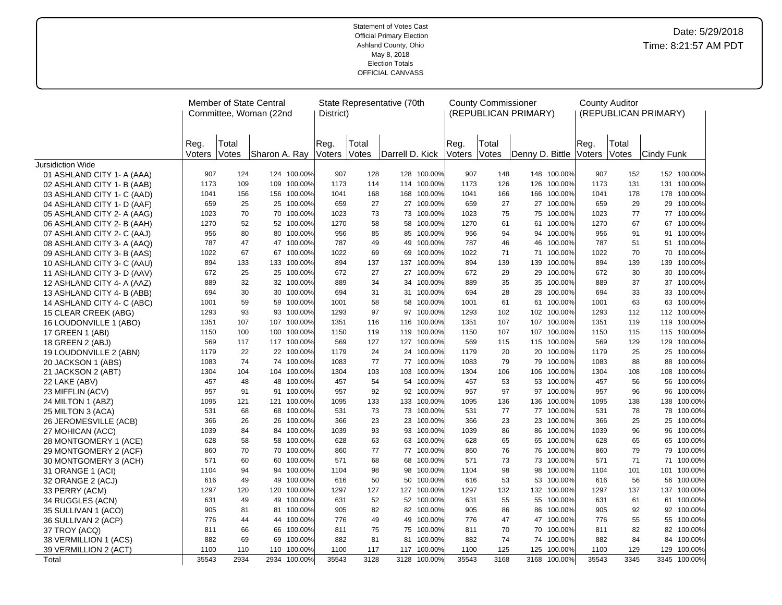|                                       |                |                | Member of State Central<br>Committee, Woman (22nd |                           | District)      |                | State Representative (70th |                        |                | <b>County Commissioner</b> | (REPUBLICAN PRIMARY) |                    |                | <b>County Auditor</b> | (REPUBLICAN PRIMARY) |                    |
|---------------------------------------|----------------|----------------|---------------------------------------------------|---------------------------|----------------|----------------|----------------------------|------------------------|----------------|----------------------------|----------------------|--------------------|----------------|-----------------------|----------------------|--------------------|
|                                       | Reg.<br>Voters | Total<br>Votes | Sharon A. Ray                                     |                           | Reg.<br>Voters | Total<br>Votes | Darrell D. Kick            |                        | Reg.<br>Voters | Total<br><b>Votes</b>      | Denny D. Bittle      |                    | Reg.<br>Voters | Total<br>Votes        | Cindy Funk           |                    |
| Jursidiction Wide                     |                |                |                                                   |                           |                |                |                            |                        |                |                            |                      |                    |                |                       |                      |                    |
| 01 ASHLAND CITY 1- A (AAA)            | 907            | 124            |                                                   | 124 100.00%               | 907            | 128            |                            | 128 100.00%            | 907            | 148                        |                      | 148 100.00%        | 907            | 152                   |                      | 152 100.00%        |
| 02 ASHLAND CITY 1- B (AAB)            | 1173           | 109            |                                                   | 109 100.00%               | 1173           | 114            |                            | 114 100.00%            | 1173           | 126                        | 126                  | 100.00%            | 1173           | 131                   |                      | 131 100.00%        |
| 03 ASHLAND CITY 1- C (AAD)            | 1041           | 156            |                                                   | 156 100.00%               | 1041           | 168            | 168                        | 100.00%                | 1041           | 166                        | 166                  | 100.00%            | 1041           | 178                   |                      | 178 100.00%        |
| 04 ASHLAND CITY 1- D (AAF)            | 659            | 25             |                                                   | 25 100.00%                | 659            | 27             |                            | 27 100.00%             | 659            | 27                         |                      | 27 100.00%         | 659            | 29                    |                      | 29 100.00%         |
| 05 ASHLAND CITY 2- A (AAG)            | 1023           | 70             |                                                   | 70 100.00%                | 1023           | 73             | 73                         | 100.00%                | 1023           | 75                         | 75                   | 100.00%            | 1023           | 77                    |                      | 77 100.00%         |
| 06 ASHLAND CITY 2- B (AAH)            | 1270           | 52             |                                                   | 52 100.00%                | 1270           | 58             | 58                         | 100.00%                | 1270           | 61                         | 61                   | 100.00%            | 1270           | 67                    |                      | 67 100.00%         |
| 07 ASHLAND CITY 2- C (AAJ)            | 956            | 80             |                                                   | 80 100.00%                | 956            | 85             | 85                         | 100.00%                | 956            | 94                         | 94                   | 100.00%            | 956            | 91                    | 91                   | 100.00%            |
| 08 ASHLAND CITY 3- A (AAQ)            | 787            | 47             |                                                   | 47 100.00%                | 787            | 49             | 49                         | 100.00%                | 787            | 46                         | 46                   | 100.00%            | 787            | 51                    |                      | 51 100.00%         |
| 09 ASHLAND CITY 3- B (AAS)            | 1022           | 67             |                                                   | 67 100.00%                | 1022           | 69             | 69                         | 100.00%                | 1022           | 71                         | 71                   | 100.00%            | 1022           | 70                    |                      | 70 100.00%         |
| 10 ASHLAND CITY 3- C (AAU)            | 894            | 133            |                                                   | 133 100.00%               | 894            | 137            | 137                        | 100.00%                | 894            | 139                        | 139                  | 100.00%            | 894            | 139                   | 139                  | 100.00%            |
| 11 ASHLAND CITY 3- D (AAV)            | 672            | 25             |                                                   | 25 100.00%                | 672            | 27             | 27                         | 100.00%                | 672            | 29                         | 29                   | 100.00%            | 672            | 30                    |                      | 30 100.00%         |
| 12 ASHLAND CITY 4- A (AAZ)            | 889            | 32             |                                                   | 32 100.00%                | 889            | 34             | 34                         | 100.00%                | 889            | 35                         | 35                   | 100.00%            | 889            | 37                    | 37                   | 100.00%            |
| 13 ASHLAND CITY 4- B (ABB)            | 694            | 30             |                                                   | 30 100.00%                | 694            | 31             | 31                         | 100.00%                | 694            | 28                         | 28                   | 100.00%            | 694            | 33                    |                      | 33 100.00%         |
| 14 ASHLAND CITY 4- C (ABC)            | 1001           | 59             |                                                   | 59 100.00%                | 1001           | 58             | 58                         | 100.00%                | 1001           | 61                         | 61                   | 100.00%            | 1001           | 63                    | 63                   | 100.00%            |
| 15 CLEAR CREEK (ABG)                  | 1293           | 93             |                                                   | 93 100.00%                | 1293           | 97             | 97                         | 100.00%                | 1293           | 102                        | 102                  | 100.00%            | 1293           | 112                   | 112                  | 100.00%            |
| 16 LOUDONVILLE 1 (ABO)                | 1351           | 107            |                                                   | 107 100.00%               | 1351           | 116            | 116                        | 100.00%                | 1351           | 107                        | 107                  | 100.00%            | 1351           | 119                   |                      | 119 100.00%        |
| 17 GREEN 1 (ABI)                      | 1150           | 100            |                                                   | 100 100.00%               | 1150           | 119            | 119                        | 100.00%                | 1150           | 107                        | 107                  | 100.00%            | 1150           | 115                   | 115                  | 100.00%            |
| 18 GREEN 2 (ABJ)                      | 569            | 117            |                                                   | 117 100.00%<br>22 100.00% | 569            | 127<br>24      | 24                         | 127 100.00%<br>100.00% | 569            | 115                        |                      | 115 100.00%        | 569            | 129                   | 25                   | 129 100.00%        |
| 19 LOUDONVILLE 2 (ABN)                | 1179           | 22             |                                                   |                           | 1179           |                |                            |                        | 1179           | 20                         | 20                   | 100.00%            | 1179           | 25                    |                      | 100.00%            |
| 20 JACKSON 1 (ABS)                    | 1083<br>1304   | 74<br>104      |                                                   | 74 100.00%<br>104 100.00% | 1083<br>1304   | 77<br>103      | 103                        | 77 100.00%<br>100.00%  | 1083<br>1304   | 79<br>106                  | 79<br>106            | 100.00%<br>100.00% | 1083<br>1304   | 88<br>108             | 88<br>108            | 100.00%<br>100.00% |
| 21 JACKSON 2 (ABT)                    | 457            | 48             |                                                   | 48 100.00%                | 457            | 54             | 54                         | 100.00%                | 457            | 53                         | 53                   | 100.00%            | 457            | 56                    | 56                   | 100.00%            |
| 22 LAKE (ABV)                         | 957            | 91             |                                                   | 91 100.00%                | 957            | 92             | 92                         | 100.00%                | 957            | 97                         | 97                   | 100.00%            | 957            | 96                    | 96                   | 100.00%            |
| 23 MIFFLIN (ACV)<br>24 MILTON 1 (ABZ) | 1095           | 121            |                                                   | 121 100.00%               | 1095           | 133            | 133                        | 100.00%                | 1095           | 136                        | 136                  | 100.00%            | 1095           | 138                   | 138                  | 100.00%            |
| 25 MILTON 3 (ACA)                     | 531            | 68             |                                                   | 68 100.00%                | 531            | 73             |                            | 73 100.00%             | 531            | 77                         |                      | 77 100.00%         | 531            | 78                    |                      | 78 100.00%         |
| 26 JEROMESVILLE (ACB)                 | 366            | 26             |                                                   | 26 100.00%                | 366            | 23             | 23                         | 100.00%                | 366            | 23                         | 23                   | 100.00%            | 366            | 25                    | 25                   | 100.00%            |
| 27 MOHICAN (ACC)                      | 1039           | 84             |                                                   | 84 100.00%                | 1039           | 93             | 93                         | 100.00%                | 1039           | 86                         | 86                   | 100.00%            | 1039           | 96                    | 96                   | 100.00%            |
| 28 MONTGOMERY 1 (ACE)                 | 628            | 58             |                                                   | 58 100.00%                | 628            | 63             | 63                         | 100.00%                | 628            | 65                         | 65                   | 100.00%            | 628            | 65                    | 65                   | 100.00%            |
| 29 MONTGOMERY 2 (ACF)                 | 860            | 70             |                                                   | 70 100.00%                | 860            | 77             | 77                         | 100.00%                | 860            | 76                         | 76                   | 100.00%            | 860            | 79                    | 79                   | 100.00%            |
| 30 MONTGOMERY 3 (ACH)                 | 571            | 60             |                                                   | 60 100.00%                | 571            | 68             | 68                         | 100.00%                | 571            | 73                         | 73                   | 100.00%            | 571            | 71                    |                      | 71 100.00%         |
| 31 ORANGE 1 (ACI)                     | 1104           | 94             |                                                   | 94 100.00%                | 1104           | 98             | 98                         | 100.00%                | 1104           | 98                         | 98                   | 100.00%            | 1104           | 101                   | 101                  | 100.00%            |
| 32 ORANGE 2 (ACJ)                     | 616            | 49             |                                                   | 49 100.00%                | 616            | 50             | 50                         | 100.00%                | 616            | 53                         | 53                   | 100.00%            | 616            | 56                    | 56                   | 100.00%            |
| 33 PERRY (ACM)                        | 1297           | 120            |                                                   | 120 100.00%               | 1297           | 127            | 127                        | 100.00%                | 1297           | 132                        | 132                  | 100.00%            | 1297           | 137                   | 137                  | 100.00%            |
| 34 RUGGLES (ACN)                      | 631            | 49             |                                                   | 49 100.00%                | 631            | 52             |                            | 52 100.00%             | 631            | 55                         | 55                   | 100.00%            | 631            | 61                    |                      | 61 100.00%         |
| 35 SULLIVAN 1 (ACO)                   | 905            | 81             |                                                   | 81 100.00%                | 905            | 82             |                            | 82 100.00%             | 905            | 86                         | 86                   | 100.00%            | 905            | 92                    | 92                   | 100.00%            |
| 36 SULLIVAN 2 (ACP)                   | 776            | 44             |                                                   | 44 100.00%                | 776            | 49             | 49                         | 100.00%                | 776            | 47                         | 47                   | 100.00%            | 776            | 55                    | 55                   | 100.00%            |
| 37 TROY (ACQ)                         | 811            | 66             |                                                   | 66 100.00%                | 811            | 75             | 75                         | 100.00%                | 811            | 70                         | 70                   | 100.00%            | 811            | 82                    |                      | 82 100.00%         |
| 38 VERMILLION 1 (ACS)                 | 882            | 69             | 69                                                | 100.00%                   | 882            | 81             | 81                         | 100.00%                | 882            | 74                         | 74                   | 100.00%            | 882            | 84                    | 84                   | 100.00%            |
| 39 VERMILLION 2 (ACT)                 | 1100           | 110            | 110                                               | 100.00%                   | 1100           | 117            | 117                        | 100.00%                | 1100           | 125                        | 125                  | 100.00%            | 1100           | 129                   | 129                  | 100.00%            |
| Total                                 | 35543          | 2934           |                                                   | 2934 100.00%              | 35543          | 3128           | 3128                       | 100.00%                | 35543          | 3168                       | 3168                 | 100.00%            | 35543          | 3345                  |                      | 3345 100.00%       |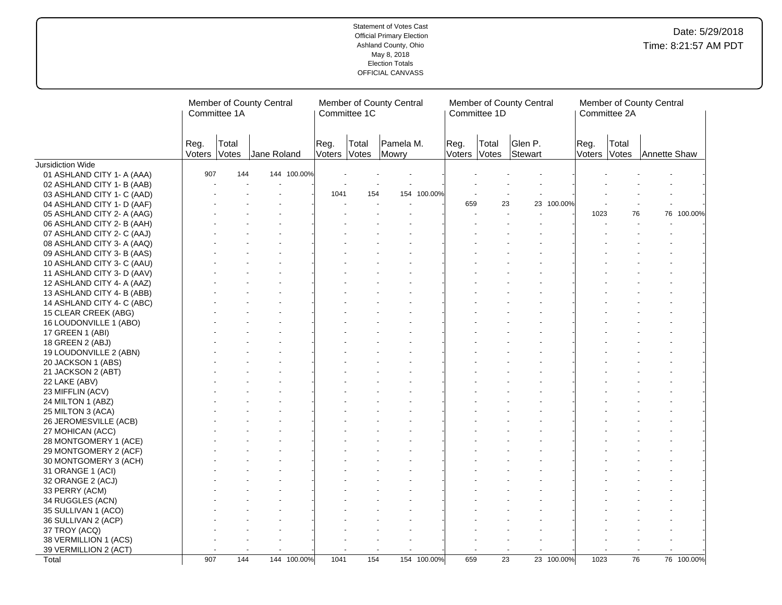|                            |                | Committee 1A   | Member of County Central |                      | Committee 1C | Member of County Central |                | Committee 1D   | Member of County Central      |                | Committee 2A    | Member of County Central |
|----------------------------|----------------|----------------|--------------------------|----------------------|--------------|--------------------------|----------------|----------------|-------------------------------|----------------|-----------------|--------------------------|
|                            | Reg.<br>Voters | Total<br>Votes | Jane Roland              | Reg.<br>Voters Votes | Total        | Pamela M.<br>Mowry       | Reg.<br>Voters | Total<br>Votes | Glen P.<br>Stewart            | Reg.<br>Voters | Total<br>Votes  | Annette Shaw             |
| Jursidiction Wide          |                |                |                          |                      |              |                          |                |                |                               |                |                 |                          |
| 01 ASHLAND CITY 1- A (AAA) | 907            | 144            | 144 100.00%              |                      |              |                          |                |                |                               |                |                 |                          |
| 02 ASHLAND CITY 1- B (AAB) |                |                |                          |                      |              |                          |                |                |                               |                |                 |                          |
| 03 ASHLAND CITY 1- C (AAD) |                |                |                          | 1041                 | 154          | 154 100.00%              |                |                |                               |                |                 |                          |
| 04 ASHLAND CITY 1- D (AAF) |                |                |                          |                      |              |                          |                | 659            | 23 100.00%<br>23              |                |                 |                          |
| 05 ASHLAND CITY 2- A (AAG) |                |                |                          |                      |              |                          |                |                |                               | 1023           | 76              | 76 100.00%               |
| 06 ASHLAND CITY 2- B (AAH) |                |                |                          |                      |              |                          |                |                |                               |                |                 |                          |
| 07 ASHLAND CITY 2- C (AAJ) |                |                |                          |                      |              |                          |                |                |                               |                |                 |                          |
| 08 ASHLAND CITY 3- A (AAQ) |                |                |                          |                      |              |                          |                |                |                               |                |                 |                          |
| 09 ASHLAND CITY 3- B (AAS) |                |                |                          |                      |              |                          |                |                |                               |                |                 |                          |
| 10 ASHLAND CITY 3- C (AAU) |                |                |                          |                      |              |                          |                |                |                               |                |                 |                          |
| 11 ASHLAND CITY 3- D (AAV) |                |                |                          |                      |              |                          |                |                |                               |                |                 |                          |
| 12 ASHLAND CITY 4- A (AAZ) |                |                |                          |                      |              |                          |                |                |                               |                |                 |                          |
| 13 ASHLAND CITY 4- B (ABB) |                |                |                          |                      |              |                          |                |                |                               |                |                 |                          |
| 14 ASHLAND CITY 4- C (ABC) |                |                |                          |                      |              |                          |                |                |                               |                |                 |                          |
| 15 CLEAR CREEK (ABG)       |                |                |                          |                      |              |                          |                |                |                               |                |                 |                          |
| 16 LOUDONVILLE 1 (ABO)     |                |                |                          |                      |              |                          |                |                |                               |                |                 |                          |
| 17 GREEN 1 (ABI)           |                |                |                          |                      |              |                          |                |                |                               |                |                 |                          |
| 18 GREEN 2 (ABJ)           |                |                |                          |                      |              |                          |                |                |                               |                |                 |                          |
| 19 LOUDONVILLE 2 (ABN)     |                |                |                          |                      |              |                          |                |                |                               |                |                 |                          |
| 20 JACKSON 1 (ABS)         |                |                |                          |                      |              |                          |                |                |                               |                |                 |                          |
| 21 JACKSON 2 (ABT)         |                |                |                          |                      |              |                          |                |                |                               |                |                 |                          |
| 22 LAKE (ABV)              |                |                |                          |                      |              |                          |                |                |                               |                |                 |                          |
| 23 MIFFLIN (ACV)           |                |                |                          |                      |              |                          |                |                |                               |                |                 |                          |
| 24 MILTON 1 (ABZ)          |                |                |                          |                      |              |                          |                |                |                               |                |                 |                          |
| 25 MILTON 3 (ACA)          |                |                |                          |                      |              |                          |                |                |                               |                |                 |                          |
| 26 JEROMESVILLE (ACB)      |                |                |                          |                      |              |                          |                |                |                               |                |                 |                          |
| 27 MOHICAN (ACC)           |                |                |                          |                      |              |                          |                |                |                               |                |                 |                          |
| 28 MONTGOMERY 1 (ACE)      |                |                |                          |                      |              |                          |                |                |                               |                |                 |                          |
| 29 MONTGOMERY 2 (ACF)      |                |                |                          |                      |              |                          |                |                |                               |                |                 |                          |
| 30 MONTGOMERY 3 (ACH)      |                |                |                          |                      |              |                          |                |                |                               |                |                 |                          |
| 31 ORANGE 1 (ACI)          |                |                |                          |                      |              |                          |                |                |                               |                |                 |                          |
| 32 ORANGE 2 (ACJ)          |                |                |                          |                      |              |                          |                |                |                               |                |                 |                          |
| 33 PERRY (ACM)             |                |                |                          |                      |              |                          |                |                |                               |                |                 |                          |
| 34 RUGGLES (ACN)           |                |                |                          |                      |              |                          |                |                |                               |                |                 |                          |
| 35 SULLIVAN 1 (ACO)        |                |                |                          |                      |              |                          |                |                |                               |                |                 |                          |
| 36 SULLIVAN 2 (ACP)        |                |                |                          |                      |              |                          |                |                |                               |                |                 |                          |
| 37 TROY (ACQ)              |                |                |                          |                      |              |                          |                |                |                               |                |                 |                          |
| 38 VERMILLION 1 (ACS)      |                |                |                          |                      |              |                          |                |                |                               |                |                 |                          |
| 39 VERMILLION 2 (ACT)      |                |                |                          |                      |              |                          |                |                |                               |                |                 |                          |
| Total                      | 907            | 144            | 144 100.00%              | 1041                 | 154          | 154 100.00%              |                | 659            | $\overline{23}$<br>23 100.00% | 1023           | $\overline{76}$ | 76 100.00%               |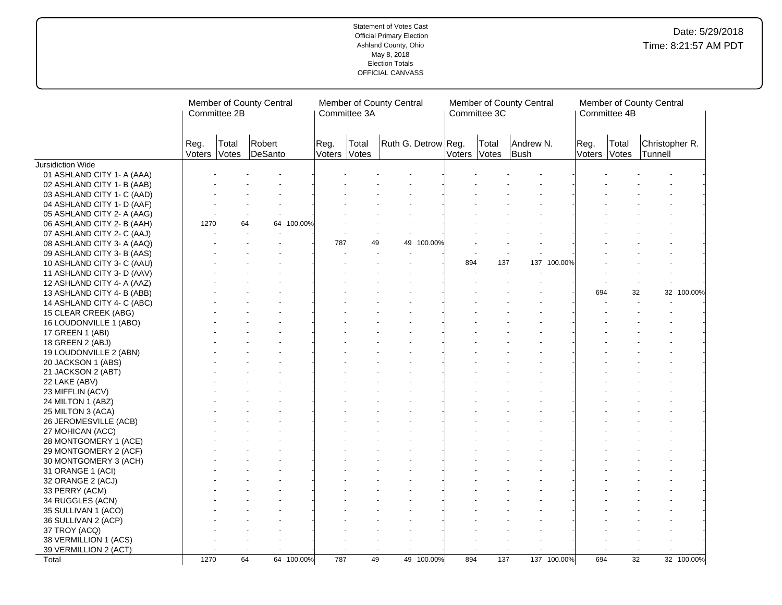|                                                |                | Committee 2B   | Member of County Central |            |                | Member of County Central<br>Committee 3A |                     |        | Committee 3C   | Member of County Central |             |                | Committee 4B    | Member of County Central  |            |
|------------------------------------------------|----------------|----------------|--------------------------|------------|----------------|------------------------------------------|---------------------|--------|----------------|--------------------------|-------------|----------------|-----------------|---------------------------|------------|
|                                                | Reg.<br>Voters | Total<br>Votes | Robert<br>DeSanto        |            | Reg.<br>Voters | Total<br>Votes                           | Ruth G. Detrow Reg. | Voters | Total<br>Votes | Andrew N.<br>Bush        |             | Reg.<br>Voters | Total<br>Votes  | Christopher R.<br>Tunnell |            |
| Jursidiction Wide                              |                |                |                          |            |                |                                          |                     |        |                |                          |             |                |                 |                           |            |
| 01 ASHLAND CITY 1- A (AAA)                     |                |                |                          |            |                |                                          |                     |        |                |                          |             |                |                 |                           |            |
| 02 ASHLAND CITY 1- B (AAB)                     |                |                |                          |            |                |                                          |                     |        |                |                          |             |                |                 |                           |            |
| 03 ASHLAND CITY 1- C (AAD)                     |                |                |                          |            |                |                                          |                     |        |                |                          |             |                |                 |                           |            |
| 04 ASHLAND CITY 1- D (AAF)                     |                |                |                          |            |                |                                          |                     |        |                |                          |             |                |                 |                           |            |
| 05 ASHLAND CITY 2- A (AAG)                     |                |                |                          |            |                |                                          |                     |        |                |                          |             |                |                 |                           |            |
| 06 ASHLAND CITY 2- B (AAH)                     | 1270           | 64             |                          | 64 100.00% |                |                                          |                     |        |                |                          |             |                |                 |                           |            |
| 07 ASHLAND CITY 2- C (AAJ)                     |                |                |                          |            |                |                                          |                     |        |                |                          |             |                |                 |                           |            |
| 08 ASHLAND CITY 3- A (AAQ)                     |                |                |                          |            | 787            | 49                                       | 49<br>100.00%       |        |                |                          |             |                |                 |                           |            |
| 09 ASHLAND CITY 3- B (AAS)                     |                |                |                          |            |                |                                          |                     |        |                |                          |             |                |                 |                           |            |
| 10 ASHLAND CITY 3- C (AAU)                     |                |                |                          |            |                |                                          |                     | 894    | 137            | 137                      | 100.00%     |                |                 |                           |            |
| 11 ASHLAND CITY 3- D (AAV)                     |                |                |                          |            |                |                                          |                     |        |                |                          |             |                |                 |                           |            |
| 12 ASHLAND CITY 4- A (AAZ)                     |                |                |                          |            |                |                                          |                     |        |                |                          |             |                |                 |                           |            |
| 13 ASHLAND CITY 4- B (ABB)                     |                |                |                          |            |                |                                          |                     |        |                |                          |             | 694            | 32              |                           | 32 100.00% |
| 14 ASHLAND CITY 4- C (ABC)                     |                |                |                          |            |                |                                          |                     |        |                |                          |             |                |                 |                           |            |
| 15 CLEAR CREEK (ABG)                           |                |                |                          |            |                |                                          |                     |        |                |                          |             |                |                 |                           |            |
| 16 LOUDONVILLE 1 (ABO)                         |                |                |                          |            |                |                                          |                     |        |                |                          |             |                |                 |                           |            |
| 17 GREEN 1 (ABI)                               |                |                |                          |            |                |                                          |                     |        |                |                          |             |                |                 |                           |            |
| 18 GREEN 2 (ABJ)                               |                |                |                          |            |                |                                          |                     |        |                |                          |             |                |                 |                           |            |
| 19 LOUDONVILLE 2 (ABN)                         |                |                |                          |            |                |                                          |                     |        |                |                          |             |                |                 |                           |            |
| 20 JACKSON 1 (ABS)                             |                |                |                          |            |                |                                          |                     |        |                |                          |             |                |                 |                           |            |
| 21 JACKSON 2 (ABT)                             |                |                |                          |            |                |                                          |                     |        |                |                          |             |                |                 |                           |            |
| 22 LAKE (ABV)                                  |                |                |                          |            |                |                                          |                     |        |                |                          |             |                |                 |                           |            |
| 23 MIFFLIN (ACV)                               |                |                |                          |            |                |                                          |                     |        |                |                          |             |                |                 |                           |            |
| 24 MILTON 1 (ABZ)                              |                |                |                          |            |                |                                          |                     |        |                |                          |             |                |                 |                           |            |
| 25 MILTON 3 (ACA)                              |                |                |                          |            |                |                                          |                     |        |                |                          |             |                |                 |                           |            |
| 26 JEROMESVILLE (ACB)                          |                |                |                          |            |                |                                          |                     |        |                |                          |             |                |                 |                           |            |
| 27 MOHICAN (ACC)                               |                |                |                          |            |                |                                          |                     |        |                |                          |             |                |                 |                           |            |
|                                                |                |                |                          |            |                |                                          |                     |        |                |                          |             |                |                 |                           |            |
| 28 MONTGOMERY 1 (ACE)<br>29 MONTGOMERY 2 (ACF) |                |                |                          |            |                |                                          |                     |        |                |                          |             |                |                 |                           |            |
|                                                |                |                |                          |            |                |                                          |                     |        |                |                          |             |                |                 |                           |            |
| 30 MONTGOMERY 3 (ACH)                          |                |                |                          |            |                |                                          |                     |        |                |                          |             |                |                 |                           |            |
| 31 ORANGE 1 (ACI)                              |                |                |                          |            |                |                                          |                     |        |                |                          |             |                |                 |                           |            |
| 32 ORANGE 2 (ACJ)                              |                |                |                          |            |                |                                          |                     |        |                |                          |             |                |                 |                           |            |
| 33 PERRY (ACM)                                 |                |                |                          |            |                |                                          |                     |        |                |                          |             |                |                 |                           |            |
| 34 RUGGLES (ACN)                               |                |                |                          |            |                |                                          |                     |        |                |                          |             |                |                 |                           |            |
| 35 SULLIVAN 1 (ACO)                            |                |                |                          |            |                |                                          |                     |        |                |                          |             |                |                 |                           |            |
| 36 SULLIVAN 2 (ACP)                            |                |                |                          |            |                |                                          |                     |        |                |                          |             |                |                 |                           |            |
| 37 TROY (ACQ)                                  |                |                |                          |            |                |                                          |                     |        |                |                          |             |                |                 |                           |            |
| 38 VERMILLION 1 (ACS)                          |                |                |                          |            |                |                                          |                     |        |                |                          |             |                |                 |                           |            |
| 39 VERMILLION 2 (ACT)                          |                |                |                          |            |                |                                          |                     |        |                |                          |             |                |                 |                           |            |
| Total                                          | 1270           |                | 64                       | 64 100.00% | 787            | 49                                       | 49 100.00%          | 894    | 137            |                          | 137 100.00% | 694            | $\overline{32}$ |                           | 32 100.00% |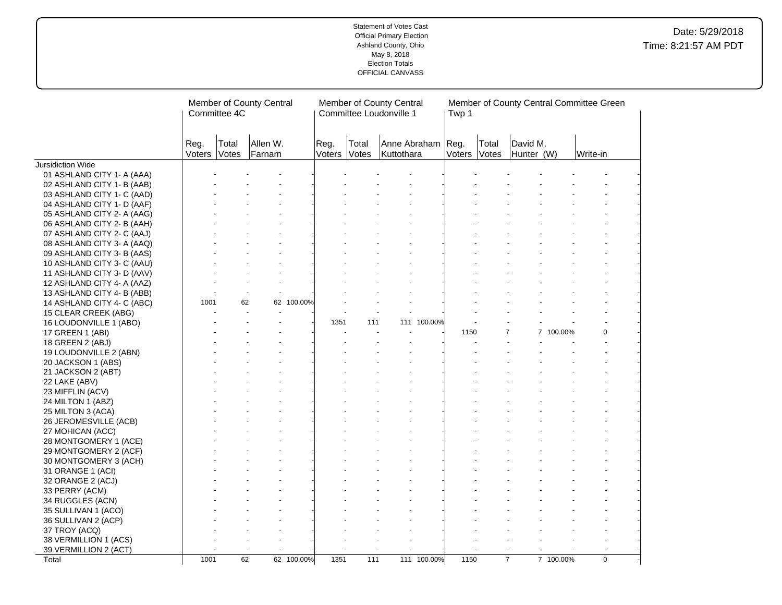|                            |                | Committee 4C   | Member of County Central |            |                      |       | Member of County Central<br>Committee Loudonville 1 |             | Twp 1  |                |                        | Member of County Central Committee Green |             |  |
|----------------------------|----------------|----------------|--------------------------|------------|----------------------|-------|-----------------------------------------------------|-------------|--------|----------------|------------------------|------------------------------------------|-------------|--|
|                            | Reg.<br>Voters | Total<br>Votes | Allen W.<br>Farnam       |            | Reg.<br>Voters Votes | Total | Anne Abraham Reg.<br>Kuttothara                     |             | Voters | Total<br>Votes | David M.<br>Hunter (W) |                                          | Write-in    |  |
| Jursidiction Wide          |                |                |                          |            |                      |       |                                                     |             |        |                |                        |                                          |             |  |
| 01 ASHLAND CITY 1- A (AAA) |                |                |                          |            |                      |       |                                                     |             |        |                |                        |                                          |             |  |
| 02 ASHLAND CITY 1- B (AAB) |                |                |                          |            |                      |       |                                                     |             |        |                |                        |                                          |             |  |
| 03 ASHLAND CITY 1- C (AAD) |                |                |                          |            |                      |       |                                                     |             |        |                |                        |                                          |             |  |
| 04 ASHLAND CITY 1- D (AAF) |                |                |                          |            |                      |       |                                                     |             |        |                |                        |                                          |             |  |
| 05 ASHLAND CITY 2- A (AAG) |                |                |                          |            |                      |       |                                                     |             |        |                |                        |                                          |             |  |
| 06 ASHLAND CITY 2- B (AAH) |                |                |                          |            |                      |       |                                                     |             |        |                |                        |                                          |             |  |
| 07 ASHLAND CITY 2- C (AAJ) |                |                |                          |            |                      |       |                                                     |             |        |                |                        |                                          |             |  |
| 08 ASHLAND CITY 3- A (AAQ) |                |                |                          |            |                      |       |                                                     |             |        |                |                        |                                          |             |  |
| 09 ASHLAND CITY 3- B (AAS) |                |                |                          |            |                      |       |                                                     |             |        |                |                        |                                          |             |  |
| 10 ASHLAND CITY 3- C (AAU) |                |                |                          |            |                      |       |                                                     |             |        |                |                        |                                          |             |  |
| 11 ASHLAND CITY 3- D (AAV) |                |                |                          |            |                      |       |                                                     |             |        |                |                        |                                          |             |  |
| 12 ASHLAND CITY 4- A (AAZ) |                |                |                          |            |                      |       |                                                     |             |        |                |                        |                                          |             |  |
| 13 ASHLAND CITY 4- B (ABB) |                |                |                          |            |                      |       |                                                     |             |        |                |                        |                                          |             |  |
| 14 ASHLAND CITY 4- C (ABC) | 1001           | 62             |                          | 62 100.00% |                      |       |                                                     |             |        |                |                        |                                          |             |  |
| 15 CLEAR CREEK (ABG)       |                |                |                          |            |                      |       |                                                     |             |        |                |                        |                                          |             |  |
| 16 LOUDONVILLE 1 (ABO)     |                |                |                          |            | 1351                 | 111   |                                                     | 111 100.00% |        |                |                        |                                          |             |  |
| 17 GREEN 1 (ABI)           |                |                |                          |            |                      |       |                                                     |             | 1150   |                |                        | 7 100.00%                                | $\Omega$    |  |
| 18 GREEN 2 (ABJ)           |                |                |                          |            |                      |       |                                                     |             |        |                |                        |                                          |             |  |
| 19 LOUDONVILLE 2 (ABN)     |                |                |                          |            |                      |       |                                                     |             |        |                |                        |                                          |             |  |
| 20 JACKSON 1 (ABS)         |                |                |                          |            |                      |       |                                                     |             |        |                |                        |                                          |             |  |
| 21 JACKSON 2 (ABT)         |                |                |                          |            |                      |       |                                                     |             |        |                |                        |                                          |             |  |
| 22 LAKE (ABV)              |                |                |                          |            |                      |       |                                                     |             |        |                |                        |                                          |             |  |
| 23 MIFFLIN (ACV)           |                |                |                          |            |                      |       |                                                     |             |        |                |                        |                                          |             |  |
| 24 MILTON 1 (ABZ)          |                |                |                          |            |                      |       |                                                     |             |        |                |                        |                                          |             |  |
| 25 MILTON 3 (ACA)          |                |                |                          |            |                      |       |                                                     |             |        |                |                        |                                          |             |  |
| 26 JEROMESVILLE (ACB)      |                |                |                          |            |                      |       |                                                     |             |        |                |                        |                                          |             |  |
| 27 MOHICAN (ACC)           |                |                |                          |            |                      |       |                                                     |             |        |                |                        |                                          |             |  |
| 28 MONTGOMERY 1 (ACE)      |                |                |                          |            |                      |       |                                                     |             |        |                |                        |                                          |             |  |
| 29 MONTGOMERY 2 (ACF)      |                |                |                          |            |                      |       |                                                     |             |        |                |                        |                                          |             |  |
| 30 MONTGOMERY 3 (ACH)      |                |                |                          |            |                      |       |                                                     |             |        |                |                        |                                          |             |  |
| 31 ORANGE 1 (ACI)          |                |                |                          |            |                      |       |                                                     |             |        |                |                        |                                          |             |  |
| 32 ORANGE 2 (ACJ)          |                |                |                          |            |                      |       |                                                     |             |        |                |                        |                                          |             |  |
| 33 PERRY (ACM)             |                |                |                          |            |                      |       |                                                     |             |        |                |                        |                                          |             |  |
| 34 RUGGLES (ACN)           |                |                |                          |            |                      |       |                                                     |             |        |                |                        |                                          |             |  |
| 35 SULLIVAN 1 (ACO)        |                |                |                          |            |                      |       |                                                     |             |        |                |                        |                                          |             |  |
| 36 SULLIVAN 2 (ACP)        |                |                |                          |            |                      |       |                                                     |             |        |                |                        |                                          |             |  |
| 37 TROY (ACQ)              |                |                |                          |            |                      |       |                                                     |             |        |                |                        |                                          |             |  |
| 38 VERMILLION 1 (ACS)      |                |                |                          |            |                      |       |                                                     |             |        |                |                        |                                          |             |  |
| 39 VERMILLION 2 (ACT)      |                |                |                          |            |                      |       |                                                     |             |        |                |                        |                                          |             |  |
| Total                      | 1001           | 62             |                          | 62 100.00% | 1351                 | 111   |                                                     | 111 100.00% | 1150   |                | $\overline{7}$         | 7 100.00%                                | $\mathbf 0$ |  |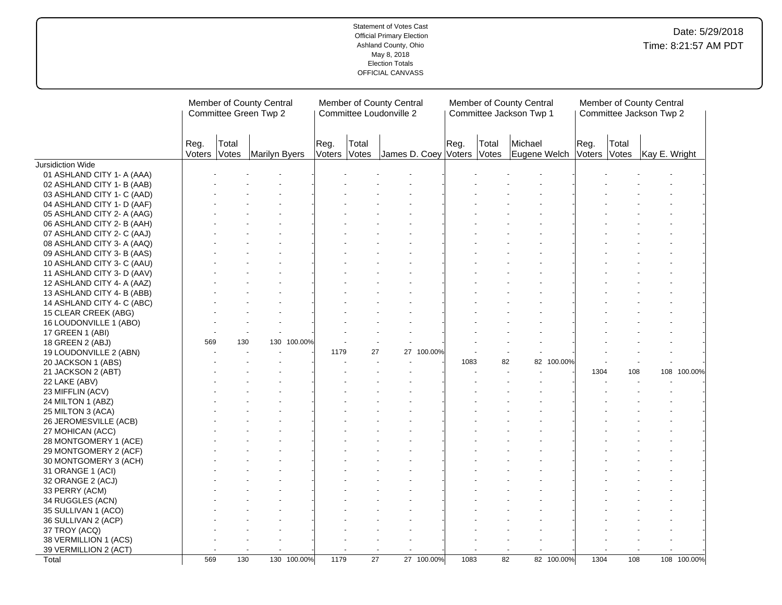|                            |                |                | Member of County Central<br>Committee Green Twp 2 |                      |                 | Member of County Central<br>Committee Loudonville 2 |            |      |                | Member of County Central<br>Committee Jackson Twp 1 |                |                | Member of County Central<br>Committee Jackson Twp 2 |             |
|----------------------------|----------------|----------------|---------------------------------------------------|----------------------|-----------------|-----------------------------------------------------|------------|------|----------------|-----------------------------------------------------|----------------|----------------|-----------------------------------------------------|-------------|
|                            | Reg.<br>Voters | Total<br>Votes | Marilyn Byers                                     | Reg.<br>Voters Votes | Total           | James D. Coey Voters                                |            | Reg. | Total<br>Votes | Michael<br>Eugene Welch                             | Reg.<br>Voters | Total<br>Votes | Kay E. Wright                                       |             |
| <b>Jursidiction Wide</b>   |                |                |                                                   |                      |                 |                                                     |            |      |                |                                                     |                |                |                                                     |             |
| 01 ASHLAND CITY 1- A (AAA) |                |                |                                                   |                      |                 |                                                     |            |      |                |                                                     |                |                |                                                     |             |
| 02 ASHLAND CITY 1- B (AAB) |                |                |                                                   |                      |                 |                                                     |            |      |                |                                                     |                |                |                                                     |             |
| 03 ASHLAND CITY 1- C (AAD) |                |                |                                                   |                      |                 |                                                     |            |      |                |                                                     |                |                |                                                     |             |
| 04 ASHLAND CITY 1- D (AAF) |                |                |                                                   |                      |                 |                                                     |            |      |                |                                                     |                |                |                                                     |             |
| 05 ASHLAND CITY 2- A (AAG) |                |                |                                                   |                      |                 |                                                     |            |      |                |                                                     |                |                |                                                     |             |
| 06 ASHLAND CITY 2- B (AAH) |                |                |                                                   |                      |                 |                                                     |            |      |                |                                                     |                |                |                                                     |             |
| 07 ASHLAND CITY 2- C (AAJ) |                |                |                                                   |                      |                 |                                                     |            |      |                |                                                     |                |                |                                                     |             |
| 08 ASHLAND CITY 3- A (AAQ) |                |                |                                                   |                      |                 |                                                     |            |      |                |                                                     |                |                |                                                     |             |
| 09 ASHLAND CITY 3- B (AAS) |                |                |                                                   |                      |                 |                                                     |            |      |                |                                                     |                |                |                                                     |             |
| 10 ASHLAND CITY 3- C (AAU) |                |                |                                                   |                      |                 |                                                     |            |      |                |                                                     |                |                |                                                     |             |
| 11 ASHLAND CITY 3- D (AAV) |                |                |                                                   |                      |                 |                                                     |            |      |                |                                                     |                |                |                                                     |             |
| 12 ASHLAND CITY 4- A (AAZ) |                |                |                                                   |                      |                 |                                                     |            |      |                |                                                     |                |                |                                                     |             |
| 13 ASHLAND CITY 4- B (ABB) |                |                |                                                   |                      |                 |                                                     |            |      |                |                                                     |                |                |                                                     |             |
| 14 ASHLAND CITY 4- C (ABC) |                |                |                                                   |                      |                 |                                                     |            |      |                |                                                     |                |                |                                                     |             |
| 15 CLEAR CREEK (ABG)       |                |                |                                                   |                      |                 |                                                     |            |      |                |                                                     |                |                |                                                     |             |
| 16 LOUDONVILLE 1 (ABO)     |                |                |                                                   |                      |                 |                                                     |            |      |                |                                                     |                |                |                                                     |             |
| 17 GREEN 1 (ABI)           |                |                |                                                   |                      |                 |                                                     |            |      |                |                                                     |                |                |                                                     |             |
| 18 GREEN 2 (ABJ)           | 569            | 130            | 130 100.00%                                       |                      |                 |                                                     |            |      |                |                                                     |                |                |                                                     |             |
| 19 LOUDONVILLE 2 (ABN)     |                |                |                                                   | 1179                 | 27              |                                                     | 27 100.00% |      |                |                                                     |                |                |                                                     |             |
| 20 JACKSON 1 (ABS)         |                |                |                                                   |                      |                 |                                                     |            | 1083 | 82             | 82 100.00%                                          |                |                |                                                     |             |
| 21 JACKSON 2 (ABT)         |                |                |                                                   |                      |                 |                                                     |            |      |                |                                                     | 1304           | 108            |                                                     | 108 100.00% |
| 22 LAKE (ABV)              |                |                |                                                   |                      |                 |                                                     |            |      |                |                                                     |                |                |                                                     |             |
|                            |                |                |                                                   |                      |                 |                                                     |            |      |                |                                                     |                |                |                                                     |             |
| 23 MIFFLIN (ACV)           |                |                |                                                   |                      |                 |                                                     |            |      |                |                                                     |                |                |                                                     |             |
| 24 MILTON 1 (ABZ)          |                |                |                                                   |                      |                 |                                                     |            |      |                |                                                     |                |                |                                                     |             |
| 25 MILTON 3 (ACA)          |                |                |                                                   |                      |                 |                                                     |            |      |                |                                                     |                |                |                                                     |             |
| 26 JEROMESVILLE (ACB)      |                |                |                                                   |                      |                 |                                                     |            |      |                |                                                     |                |                |                                                     |             |
| 27 MOHICAN (ACC)           |                |                |                                                   |                      |                 |                                                     |            |      |                |                                                     |                |                |                                                     |             |
| 28 MONTGOMERY 1 (ACE)      |                |                |                                                   |                      |                 |                                                     |            |      |                |                                                     |                |                |                                                     |             |
| 29 MONTGOMERY 2 (ACF)      |                |                |                                                   |                      |                 |                                                     |            |      |                |                                                     |                |                |                                                     |             |
| 30 MONTGOMERY 3 (ACH)      |                |                |                                                   |                      |                 |                                                     |            |      |                |                                                     |                |                |                                                     |             |
| 31 ORANGE 1 (ACI)          |                |                |                                                   |                      |                 |                                                     |            |      |                |                                                     |                |                |                                                     |             |
| 32 ORANGE 2 (ACJ)          |                |                |                                                   |                      |                 |                                                     |            |      |                |                                                     |                |                |                                                     |             |
| 33 PERRY (ACM)             |                |                |                                                   |                      |                 |                                                     |            |      |                |                                                     |                |                |                                                     |             |
| 34 RUGGLES (ACN)           |                |                |                                                   |                      |                 |                                                     |            |      |                |                                                     |                |                |                                                     |             |
| 35 SULLIVAN 1 (ACO)        |                |                |                                                   |                      |                 |                                                     |            |      |                |                                                     |                |                |                                                     |             |
| 36 SULLIVAN 2 (ACP)        |                |                |                                                   |                      |                 |                                                     |            |      |                |                                                     |                |                |                                                     |             |
| 37 TROY (ACQ)              |                |                |                                                   |                      |                 |                                                     |            |      |                |                                                     |                |                |                                                     |             |
| 38 VERMILLION 1 (ACS)      |                |                |                                                   |                      |                 |                                                     |            |      |                |                                                     |                |                |                                                     |             |
| 39 VERMILLION 2 (ACT)      |                |                |                                                   |                      |                 |                                                     |            |      |                | $\sim$                                              |                |                |                                                     |             |
| Total                      | 569            | 130            | 130 100.00%                                       | 1179                 | $\overline{27}$ |                                                     | 27 100.00% | 1083 | 82             | 82 100.00%                                          | 1304           | 108            |                                                     | 108 100.00% |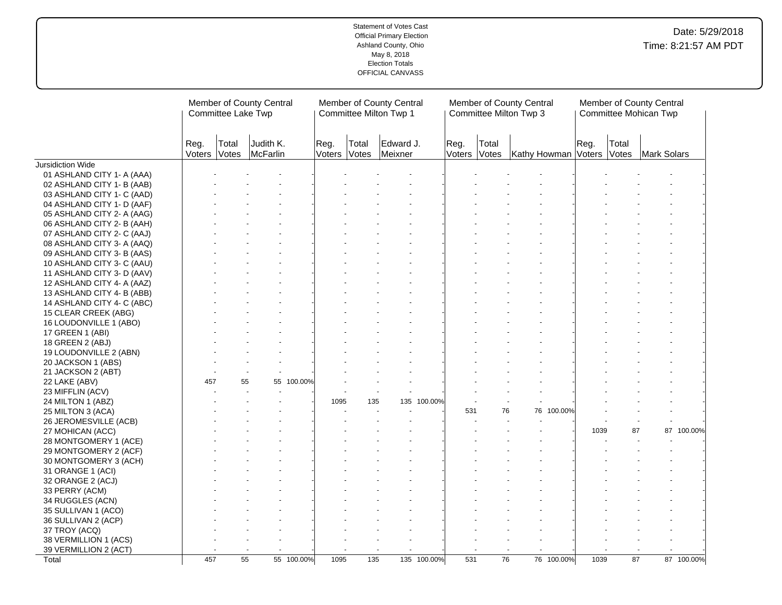|                            |      | Committee Lake Twp    | Member of County Central |            |                |                | Member of County Central<br>Committee Milton Twp 1 |             |                | Member of County Central<br>Committee Milton Twp 3 |                           |      |                 | Member of County Central<br>Committee Mohican Twp |            |
|----------------------------|------|-----------------------|--------------------------|------------|----------------|----------------|----------------------------------------------------|-------------|----------------|----------------------------------------------------|---------------------------|------|-----------------|---------------------------------------------------|------------|
|                            | Reg. | Total<br>Voters Votes | Judith K.<br>McFarlin    |            | Reg.<br>Voters | Total<br>Votes | Edward J.<br>Meixner                               |             | Reg.<br>Voters | Total<br>Votes                                     | Kathy Howman Voters Votes | Reg. | Total           | Mark Solars                                       |            |
| Jursidiction Wide          |      |                       |                          |            |                |                |                                                    |             |                |                                                    |                           |      |                 |                                                   |            |
| 01 ASHLAND CITY 1- A (AAA) |      |                       |                          |            |                |                |                                                    |             |                |                                                    |                           |      |                 |                                                   |            |
| 02 ASHLAND CITY 1- B (AAB) |      |                       |                          |            |                |                |                                                    |             |                |                                                    |                           |      |                 |                                                   |            |
| 03 ASHLAND CITY 1- C (AAD) |      |                       |                          |            |                |                |                                                    |             |                |                                                    |                           |      |                 |                                                   |            |
| 04 ASHLAND CITY 1- D (AAF) |      |                       |                          |            |                |                |                                                    |             |                |                                                    |                           |      |                 |                                                   |            |
| 05 ASHLAND CITY 2- A (AAG) |      |                       |                          |            |                |                |                                                    |             |                |                                                    |                           |      |                 |                                                   |            |
| 06 ASHLAND CITY 2- B (AAH) |      |                       |                          |            |                |                |                                                    |             |                |                                                    |                           |      |                 |                                                   |            |
| 07 ASHLAND CITY 2- C (AAJ) |      |                       |                          |            |                |                |                                                    |             |                |                                                    |                           |      |                 |                                                   |            |
| 08 ASHLAND CITY 3- A (AAQ) |      |                       |                          |            |                |                |                                                    |             |                |                                                    |                           |      |                 |                                                   |            |
| 09 ASHLAND CITY 3- B (AAS) |      |                       |                          |            |                |                |                                                    |             |                |                                                    |                           |      |                 |                                                   |            |
| 10 ASHLAND CITY 3- C (AAU) |      |                       |                          |            |                |                |                                                    |             |                |                                                    |                           |      |                 |                                                   |            |
| 11 ASHLAND CITY 3- D (AAV) |      |                       |                          |            |                |                |                                                    |             |                |                                                    |                           |      |                 |                                                   |            |
| 12 ASHLAND CITY 4- A (AAZ) |      |                       |                          |            |                |                |                                                    |             |                |                                                    |                           |      |                 |                                                   |            |
| 13 ASHLAND CITY 4- B (ABB) |      |                       |                          |            |                |                |                                                    |             |                |                                                    |                           |      |                 |                                                   |            |
| 14 ASHLAND CITY 4- C (ABC) |      |                       |                          |            |                |                |                                                    |             |                |                                                    |                           |      |                 |                                                   |            |
| 15 CLEAR CREEK (ABG)       |      |                       |                          |            |                |                |                                                    |             |                |                                                    |                           |      |                 |                                                   |            |
| 16 LOUDONVILLE 1 (ABO)     |      |                       |                          |            |                |                |                                                    |             |                |                                                    |                           |      |                 |                                                   |            |
| 17 GREEN 1 (ABI)           |      |                       |                          |            |                |                |                                                    |             |                |                                                    |                           |      |                 |                                                   |            |
| 18 GREEN 2 (ABJ)           |      |                       |                          |            |                |                |                                                    |             |                |                                                    |                           |      |                 |                                                   |            |
| 19 LOUDONVILLE 2 (ABN)     |      |                       |                          |            |                |                |                                                    |             |                |                                                    |                           |      |                 |                                                   |            |
| 20 JACKSON 1 (ABS)         |      |                       |                          |            |                |                |                                                    |             |                |                                                    |                           |      |                 |                                                   |            |
| 21 JACKSON 2 (ABT)         |      |                       |                          |            |                |                |                                                    |             |                |                                                    |                           |      |                 |                                                   |            |
| 22 LAKE (ABV)              | 457  |                       | 55<br>55                 | 100.00%    |                |                |                                                    |             |                |                                                    |                           |      |                 |                                                   |            |
| 23 MIFFLIN (ACV)           |      |                       |                          |            |                |                |                                                    |             |                |                                                    |                           |      |                 |                                                   |            |
| 24 MILTON 1 (ABZ)          |      |                       |                          |            | 1095           | 135            | 135                                                | 100.00%     |                |                                                    |                           |      |                 |                                                   |            |
| 25 MILTON 3 (ACA)          |      |                       |                          |            |                |                |                                                    |             | 531            | 76                                                 | 76 100.00%                |      |                 |                                                   |            |
| 26 JEROMESVILLE (ACB)      |      |                       |                          |            |                |                |                                                    |             |                |                                                    |                           |      |                 |                                                   |            |
| 27 MOHICAN (ACC)           |      |                       |                          |            |                |                |                                                    |             |                |                                                    |                           | 1039 | 87              |                                                   | 87 100.00% |
| 28 MONTGOMERY 1 (ACE)      |      |                       |                          |            |                |                |                                                    |             |                |                                                    |                           |      |                 |                                                   |            |
| 29 MONTGOMERY 2 (ACF)      |      |                       |                          |            |                |                |                                                    |             |                |                                                    |                           |      |                 |                                                   |            |
| 30 MONTGOMERY 3 (ACH)      |      |                       |                          |            |                |                |                                                    |             |                |                                                    |                           |      |                 |                                                   |            |
|                            |      |                       |                          |            |                |                |                                                    |             |                |                                                    |                           |      |                 |                                                   |            |
| 31 ORANGE 1 (ACI)          |      |                       |                          |            |                |                |                                                    |             |                |                                                    |                           |      |                 |                                                   |            |
| 32 ORANGE 2 (ACJ)          |      |                       |                          |            |                |                |                                                    |             |                |                                                    |                           |      |                 |                                                   |            |
| 33 PERRY (ACM)             |      |                       |                          |            |                |                |                                                    |             |                |                                                    |                           |      |                 |                                                   |            |
| 34 RUGGLES (ACN)           |      |                       |                          |            |                |                |                                                    |             |                |                                                    |                           |      |                 |                                                   |            |
| 35 SULLIVAN 1 (ACO)        |      |                       |                          |            |                |                |                                                    |             |                |                                                    |                           |      |                 |                                                   |            |
| 36 SULLIVAN 2 (ACP)        |      |                       |                          |            |                |                |                                                    |             |                |                                                    |                           |      |                 |                                                   |            |
| 37 TROY (ACQ)              |      |                       |                          |            |                |                |                                                    |             |                |                                                    |                           |      |                 |                                                   |            |
| 38 VERMILLION 1 (ACS)      |      |                       |                          |            |                |                |                                                    |             |                |                                                    |                           |      |                 |                                                   |            |
| 39 VERMILLION 2 (ACT)      |      |                       |                          |            |                |                |                                                    |             |                |                                                    |                           |      |                 |                                                   |            |
| Total                      | 457  |                       | 55                       | 55 100.00% | 1095           | 135            |                                                    | 135 100.00% | 531            | $\overline{76}$                                    | 76 100.00%                | 1039 | $\overline{87}$ |                                                   | 87 100.00% |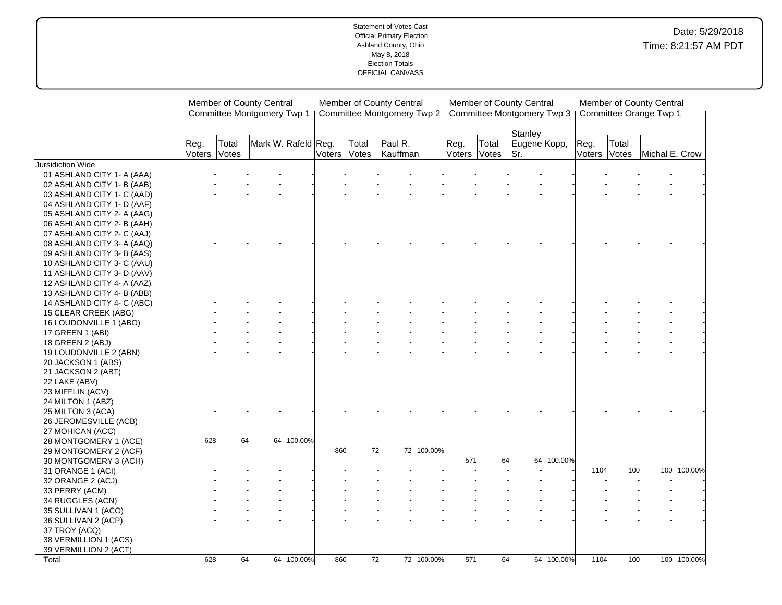|                            | Member of County Central<br>Committee Montgomery Twp 1 |                       |                     |              |       | Member of County Central<br>Committee Montgomery Twp 2 |            |                |                | Member of County Central<br>Committee Montgomery Twp 3 |            |                |                | Member of County Central<br>Committee Orange Twp 1 |             |
|----------------------------|--------------------------------------------------------|-----------------------|---------------------|--------------|-------|--------------------------------------------------------|------------|----------------|----------------|--------------------------------------------------------|------------|----------------|----------------|----------------------------------------------------|-------------|
|                            | Reg.                                                   | Total<br>Voters Votes | Mark W. Rafeld Reg. | Voters Votes | Total | Paul R.<br>Kauffman                                    |            | Reg.<br>Voters | Total<br>Votes | Stanley<br>Eugene Kopp,<br>lSr.                        |            | Reg.<br>Voters | Total<br>Votes | Michal E. Crow                                     |             |
| Jursidiction Wide          |                                                        |                       |                     |              |       |                                                        |            |                |                |                                                        |            |                |                |                                                    |             |
| 01 ASHLAND CITY 1- A (AAA) |                                                        |                       |                     |              |       |                                                        |            |                |                |                                                        |            |                |                |                                                    |             |
| 02 ASHLAND CITY 1- B (AAB) |                                                        |                       |                     |              |       |                                                        |            |                |                |                                                        |            |                |                |                                                    |             |
| 03 ASHLAND CITY 1- C (AAD) |                                                        |                       |                     |              |       |                                                        |            |                |                |                                                        |            |                |                |                                                    |             |
| 04 ASHLAND CITY 1- D (AAF) |                                                        |                       |                     |              |       |                                                        |            |                |                |                                                        |            |                |                |                                                    |             |
| 05 ASHLAND CITY 2- A (AAG) |                                                        |                       |                     |              |       |                                                        |            |                |                |                                                        |            |                |                |                                                    |             |
| 06 ASHLAND CITY 2- B (AAH) |                                                        |                       |                     |              |       |                                                        |            |                |                |                                                        |            |                |                |                                                    |             |
| 07 ASHLAND CITY 2- C (AAJ) |                                                        |                       |                     |              |       |                                                        |            |                |                |                                                        |            |                |                |                                                    |             |
| 08 ASHLAND CITY 3- A (AAQ) |                                                        |                       |                     |              |       |                                                        |            |                |                |                                                        |            |                |                |                                                    |             |
| 09 ASHLAND CITY 3- B (AAS) |                                                        |                       |                     |              |       |                                                        |            |                |                |                                                        |            |                |                |                                                    |             |
| 10 ASHLAND CITY 3- C (AAU) |                                                        |                       |                     |              |       |                                                        |            |                |                |                                                        |            |                |                |                                                    |             |
| 11 ASHLAND CITY 3- D (AAV) |                                                        |                       |                     |              |       |                                                        |            |                |                |                                                        |            |                |                |                                                    |             |
| 12 ASHLAND CITY 4- A (AAZ) |                                                        |                       |                     |              |       |                                                        |            |                |                |                                                        |            |                |                |                                                    |             |
| 13 ASHLAND CITY 4- B (ABB) |                                                        |                       |                     |              |       |                                                        |            |                |                |                                                        |            |                |                |                                                    |             |
| 14 ASHLAND CITY 4- C (ABC) |                                                        |                       |                     |              |       |                                                        |            |                |                |                                                        |            |                |                |                                                    |             |
| 15 CLEAR CREEK (ABG)       |                                                        |                       |                     |              |       |                                                        |            |                |                |                                                        |            |                |                |                                                    |             |
| 16 LOUDONVILLE 1 (ABO)     |                                                        |                       |                     |              |       |                                                        |            |                |                |                                                        |            |                |                |                                                    |             |
| 17 GREEN 1 (ABI)           |                                                        |                       |                     |              |       |                                                        |            |                |                |                                                        |            |                |                |                                                    |             |
| 18 GREEN 2 (ABJ)           |                                                        |                       |                     |              |       |                                                        |            |                |                |                                                        |            |                |                |                                                    |             |
| 19 LOUDONVILLE 2 (ABN)     |                                                        |                       |                     |              |       |                                                        |            |                |                |                                                        |            |                |                |                                                    |             |
| 20 JACKSON 1 (ABS)         |                                                        |                       |                     |              |       |                                                        |            |                |                |                                                        |            |                |                |                                                    |             |
| 21 JACKSON 2 (ABT)         |                                                        |                       |                     |              |       |                                                        |            |                |                |                                                        |            |                |                |                                                    |             |
| 22 LAKE (ABV)              |                                                        |                       |                     |              |       |                                                        |            |                |                |                                                        |            |                |                |                                                    |             |
| 23 MIFFLIN (ACV)           |                                                        |                       |                     |              |       |                                                        |            |                |                |                                                        |            |                |                |                                                    |             |
| 24 MILTON 1 (ABZ)          |                                                        |                       |                     |              |       |                                                        |            |                |                |                                                        |            |                |                |                                                    |             |
| 25 MILTON 3 (ACA)          |                                                        |                       |                     |              |       |                                                        |            |                |                |                                                        |            |                |                |                                                    |             |
| 26 JEROMESVILLE (ACB)      |                                                        |                       |                     |              |       |                                                        |            |                |                |                                                        |            |                |                |                                                    |             |
| 27 MOHICAN (ACC)           |                                                        |                       |                     |              |       |                                                        |            |                |                |                                                        |            |                |                |                                                    |             |
| 28 MONTGOMERY 1 (ACE)      | 628                                                    |                       | 64 100.00%<br>64    |              |       |                                                        |            |                |                |                                                        |            |                |                |                                                    |             |
| 29 MONTGOMERY 2 (ACF)      |                                                        |                       |                     | 860          |       | 72                                                     | 72 100.00% |                |                |                                                        |            |                |                |                                                    |             |
| 30 MONTGOMERY 3 (ACH)      |                                                        |                       |                     |              |       | $\sim$                                                 |            | 571            | 64             |                                                        | 64 100.00% |                |                |                                                    |             |
| 31 ORANGE 1 (ACI)          |                                                        |                       |                     |              |       |                                                        |            |                |                |                                                        |            | 1104           | 100            |                                                    | 100 100.00% |
| 32 ORANGE 2 (ACJ)          |                                                        |                       |                     |              |       |                                                        |            |                |                |                                                        |            |                |                |                                                    |             |
| 33 PERRY (ACM)             |                                                        |                       |                     |              |       |                                                        |            |                |                |                                                        |            |                |                |                                                    |             |
| 34 RUGGLES (ACN)           |                                                        |                       |                     |              |       |                                                        |            |                |                |                                                        |            |                |                |                                                    |             |
| 35 SULLIVAN 1 (ACO)        |                                                        |                       |                     |              |       |                                                        |            |                |                |                                                        |            |                |                |                                                    |             |
| 36 SULLIVAN 2 (ACP)        |                                                        |                       |                     |              |       |                                                        |            |                |                |                                                        |            |                |                |                                                    |             |
| 37 TROY (ACQ)              |                                                        |                       |                     |              |       |                                                        |            |                |                |                                                        |            |                |                |                                                    |             |
| 38 VERMILLION 1 (ACS)      |                                                        |                       |                     |              |       |                                                        |            |                |                |                                                        |            |                |                |                                                    |             |
| 39 VERMILLION 2 (ACT)      |                                                        |                       |                     |              |       |                                                        |            |                |                |                                                        |            |                |                |                                                    |             |
| Total                      | 628                                                    |                       | 64<br>64 100.00%    | 860          |       | $\overline{72}$                                        | 72 100.00% | 571            | 64             |                                                        | 64 100.00% | 1104           | 100            |                                                    | 100 100.00% |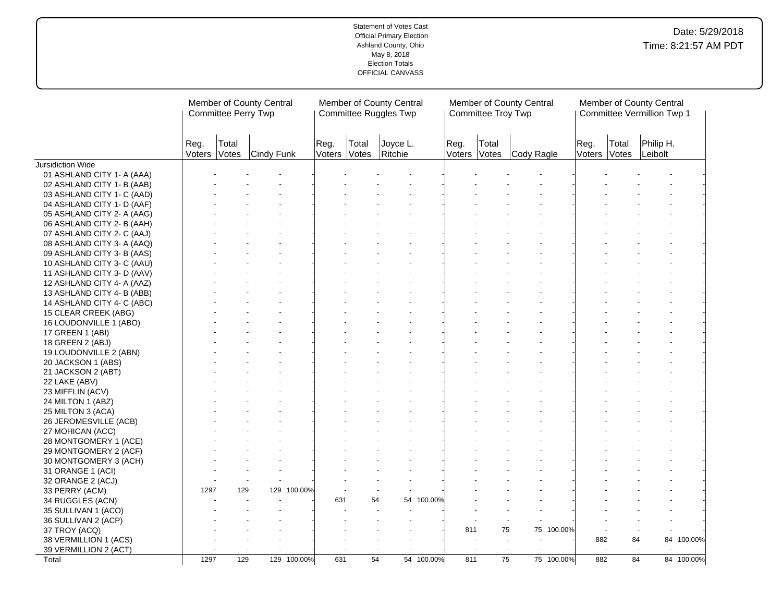|                            |      | Member of County Central<br>Committee Perry Twp |                         |             |                |                | Member of County Central<br>Committee Ruggles Twp |            |      | Committee Troy Twp    | Member of County Central |            |      |                       | Member of County Central<br>Committee Vermillion Twp 1 |            |
|----------------------------|------|-------------------------------------------------|-------------------------|-------------|----------------|----------------|---------------------------------------------------|------------|------|-----------------------|--------------------------|------------|------|-----------------------|--------------------------------------------------------|------------|
|                            | Reg. | Total                                           | Voters Votes Cindy Funk |             | Reg.<br>Voters | Total<br>Votes | Joyce L.<br>Ritchie                               |            | Reg. | Total<br>Voters Votes | Cody Ragle               |            | Reg. | Total<br>Voters Votes | Philip H.<br>Leibolt                                   |            |
| Jursidiction Wide          |      |                                                 |                         |             |                |                |                                                   |            |      |                       |                          |            |      |                       |                                                        |            |
| 01 ASHLAND CITY 1- A (AAA) |      |                                                 |                         |             |                |                |                                                   |            |      |                       |                          |            |      |                       |                                                        |            |
| 02 ASHLAND CITY 1- B (AAB) |      |                                                 |                         |             |                |                |                                                   |            |      |                       |                          |            |      |                       |                                                        |            |
| 03 ASHLAND CITY 1- C (AAD) |      |                                                 |                         |             |                |                |                                                   |            |      |                       |                          |            |      |                       |                                                        |            |
| 04 ASHLAND CITY 1- D (AAF) |      |                                                 |                         |             |                |                |                                                   |            |      |                       |                          |            |      |                       |                                                        |            |
| 05 ASHLAND CITY 2- A (AAG) |      |                                                 |                         |             |                |                |                                                   |            |      |                       |                          |            |      |                       |                                                        |            |
| 06 ASHLAND CITY 2- B (AAH) |      |                                                 |                         |             |                |                |                                                   |            |      |                       |                          |            |      |                       |                                                        |            |
| 07 ASHLAND CITY 2- C (AAJ) |      |                                                 |                         |             |                |                |                                                   |            |      |                       |                          |            |      |                       |                                                        |            |
| 08 ASHLAND CITY 3- A (AAQ) |      |                                                 |                         |             |                |                |                                                   |            |      |                       |                          |            |      |                       |                                                        |            |
| 09 ASHLAND CITY 3- B (AAS) |      |                                                 |                         |             |                |                |                                                   |            |      |                       |                          |            |      |                       |                                                        |            |
| 10 ASHLAND CITY 3- C (AAU) |      |                                                 |                         |             |                |                |                                                   |            |      |                       |                          |            |      |                       |                                                        |            |
| 11 ASHLAND CITY 3- D (AAV) |      |                                                 |                         |             |                |                |                                                   |            |      |                       |                          |            |      |                       |                                                        |            |
| 12 ASHLAND CITY 4- A (AAZ) |      |                                                 |                         |             |                |                |                                                   |            |      |                       |                          |            |      |                       |                                                        |            |
| 13 ASHLAND CITY 4- B (ABB) |      |                                                 |                         |             |                |                |                                                   |            |      |                       |                          |            |      |                       |                                                        |            |
| 14 ASHLAND CITY 4- C (ABC) |      |                                                 |                         |             |                |                |                                                   |            |      |                       |                          |            |      |                       |                                                        |            |
| 15 CLEAR CREEK (ABG)       |      |                                                 |                         |             |                |                |                                                   |            |      |                       |                          |            |      |                       |                                                        |            |
| 16 LOUDONVILLE 1 (ABO)     |      |                                                 |                         |             |                |                |                                                   |            |      |                       |                          |            |      |                       |                                                        |            |
| 17 GREEN 1 (ABI)           |      |                                                 |                         |             |                |                |                                                   |            |      |                       |                          |            |      |                       |                                                        |            |
| 18 GREEN 2 (ABJ)           |      |                                                 |                         |             |                |                |                                                   |            |      |                       |                          |            |      |                       |                                                        |            |
| 19 LOUDONVILLE 2 (ABN)     |      |                                                 |                         |             |                |                |                                                   |            |      |                       |                          |            |      |                       |                                                        |            |
| 20 JACKSON 1 (ABS)         |      |                                                 |                         |             |                |                |                                                   |            |      |                       |                          |            |      |                       |                                                        |            |
| 21 JACKSON 2 (ABT)         |      |                                                 |                         |             |                |                |                                                   |            |      |                       |                          |            |      |                       |                                                        |            |
|                            |      |                                                 |                         |             |                |                |                                                   |            |      |                       |                          |            |      |                       |                                                        |            |
| 22 LAKE (ABV)              |      |                                                 |                         |             |                |                |                                                   |            |      |                       |                          |            |      |                       |                                                        |            |
| 23 MIFFLIN (ACV)           |      |                                                 |                         |             |                |                |                                                   |            |      |                       |                          |            |      |                       |                                                        |            |
| 24 MILTON 1 (ABZ)          |      |                                                 |                         |             |                |                |                                                   |            |      |                       |                          |            |      |                       |                                                        |            |
| 25 MILTON 3 (ACA)          |      |                                                 |                         |             |                |                |                                                   |            |      |                       |                          |            |      |                       |                                                        |            |
| 26 JEROMESVILLE (ACB)      |      |                                                 |                         |             |                |                |                                                   |            |      |                       |                          |            |      |                       |                                                        |            |
| 27 MOHICAN (ACC)           |      |                                                 |                         |             |                |                |                                                   |            |      |                       |                          |            |      |                       |                                                        |            |
| 28 MONTGOMERY 1 (ACE)      |      |                                                 |                         |             |                |                |                                                   |            |      |                       |                          |            |      |                       |                                                        |            |
| 29 MONTGOMERY 2 (ACF)      |      |                                                 |                         |             |                |                |                                                   |            |      |                       |                          |            |      |                       |                                                        |            |
| 30 MONTGOMERY 3 (ACH)      |      |                                                 |                         |             |                |                |                                                   |            |      |                       |                          |            |      |                       |                                                        |            |
| 31 ORANGE 1 (ACI)          |      |                                                 |                         |             |                |                |                                                   |            |      |                       |                          |            |      |                       |                                                        |            |
| 32 ORANGE 2 (ACJ)          |      |                                                 |                         |             |                |                |                                                   |            |      |                       |                          |            |      |                       |                                                        |            |
| 33 PERRY (ACM)             | 1297 | 129                                             |                         | 129 100.00% |                |                |                                                   |            |      |                       |                          |            |      |                       |                                                        |            |
| 34 RUGGLES (ACN)           |      |                                                 |                         |             | 631            | 54             |                                                   | 54 100.00% |      |                       |                          |            |      |                       |                                                        |            |
| 35 SULLIVAN 1 (ACO)        |      |                                                 |                         |             |                |                |                                                   |            |      |                       |                          |            |      |                       |                                                        |            |
| 36 SULLIVAN 2 (ACP)        |      |                                                 |                         |             |                |                |                                                   |            |      |                       |                          |            |      |                       |                                                        |            |
| 37 TROY (ACQ)              |      |                                                 |                         |             |                |                |                                                   |            | 811  | 75                    |                          | 75 100.00% |      |                       |                                                        |            |
| 38 VERMILLION 1 (ACS)      |      |                                                 |                         |             |                |                |                                                   |            |      |                       |                          |            | 882  |                       | 84                                                     | 84 100.00% |
| 39 VERMILLION 2 (ACT)      |      |                                                 |                         |             |                |                |                                                   |            |      | $\sim$                | $\sim$<br>$\sim$         |            |      | $\sim$                | $\sim$                                                 |            |
| Total                      | 1297 | 129                                             |                         | 129 100.00% | 631            | 54             |                                                   | 54 100.00% | 811  | $\overline{75}$       |                          | 75 100.00% | 882  | 84                    |                                                        | 84 100.00% |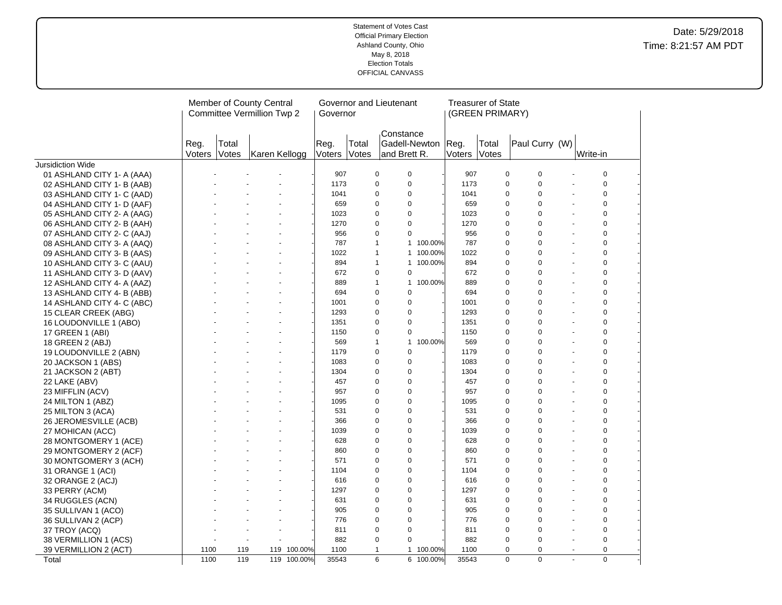|                                                          |                |                | Member of County Central<br><b>Committee Vermillion Twp 2</b> |             | Governor       | Governor and Lieutenant |                           |             |               |                | <b>Treasurer of State</b><br>(GREEN PRIMARY) |                  |                       |                |  |
|----------------------------------------------------------|----------------|----------------|---------------------------------------------------------------|-------------|----------------|-------------------------|---------------------------|-------------|---------------|----------------|----------------------------------------------|------------------|-----------------------|----------------|--|
| <b>Jursidiction Wide</b>                                 | Reg.<br>Voters | Total<br>Votes | Karen Kellogg                                                 |             | Reg.<br>Voters | Total<br>Votes          | Constance<br>and Brett R. |             | Gadell-Newton | Reg.<br>Voters | Total<br>Votes                               | Paul Curry (W)   |                       | Write-in       |  |
|                                                          |                |                |                                                               |             | 907            |                         | 0                         | 0           |               | 907            | 0                                            | 0                |                       | 0              |  |
| 01 ASHLAND CITY 1- A (AAA)                               |                |                |                                                               |             | 1173           |                         | 0                         | 0           |               | 1173           | 0                                            | $\mathbf 0$      |                       | $\mathbf 0$    |  |
| 02 ASHLAND CITY 1- B (AAB)<br>03 ASHLAND CITY 1- C (AAD) |                |                |                                                               |             | 1041           |                         | 0                         | 0           |               | 1041           | 0                                            | $\mathbf 0$      | ÷,                    | $\mathbf 0$    |  |
|                                                          |                |                |                                                               |             | 659            |                         | $\mathbf 0$               | $\mathbf 0$ |               | 659            | 0                                            | $\mathbf 0$      |                       | $\mathbf 0$    |  |
| 04 ASHLAND CITY 1- D (AAF)<br>05 ASHLAND CITY 2- A (AAG) |                |                |                                                               |             | 1023           |                         | $\mathbf 0$               | 0           |               | 1023           | 0                                            | $\pmb{0}$        |                       | $\mathbf 0$    |  |
| 06 ASHLAND CITY 2- B (AAH)                               |                |                |                                                               |             | 1270           |                         | 0                         | $\mathbf 0$ |               | 1270           | 0                                            | $\mathbf 0$      |                       | $\mathbf 0$    |  |
| 07 ASHLAND CITY 2- C (AAJ)                               |                |                |                                                               |             | 956            |                         | 0                         | 0           |               | 956            | 0                                            | $\Omega$         |                       | $\mathbf 0$    |  |
| 08 ASHLAND CITY 3- A (AAQ)                               |                |                |                                                               |             | 787            |                         | $\mathbf{1}$              |             | 1 100.00%     | 787            | 0                                            | $\mathbf 0$      |                       | $\mathbf 0$    |  |
| 09 ASHLAND CITY 3- B (AAS)                               |                |                |                                                               |             | 1022           |                         | $\mathbf{1}$              |             | 1 100.00%     | 1022           | 0                                            | $\mathbf 0$      |                       | $\mathbf 0$    |  |
| 10 ASHLAND CITY 3- C (AAU)                               |                |                |                                                               |             | 894            |                         | $\mathbf{1}$              |             | 1 100.00%     | 894            | 0                                            | $\mathbf 0$      | $\blacksquare$        | $\mathbf 0$    |  |
| 11 ASHLAND CITY 3- D (AAV)                               |                |                |                                                               |             | 672            |                         | 0                         | 0           |               | 672            | 0                                            | $\mathbf 0$      |                       | $\mathbf 0$    |  |
| 12 ASHLAND CITY 4- A (AAZ)                               |                |                |                                                               |             | 889            |                         | $\mathbf{1}$              |             | 1 100.00%     | 889            | 0                                            | $\mathbf 0$      |                       | $\mathbf 0$    |  |
| 13 ASHLAND CITY 4- B (ABB)                               |                |                |                                                               |             | 694            |                         | 0                         | 0           |               | 694            | 0                                            | $\mathbf 0$      | $\ddot{\phantom{1}}$  | $\mathbf 0$    |  |
| 14 ASHLAND CITY 4- C (ABC)                               |                |                |                                                               |             | 1001           |                         | $\mathbf 0$               | 0           |               | 1001           | 0                                            | $\Omega$         |                       | $\mathbf 0$    |  |
| 15 CLEAR CREEK (ABG)                                     |                |                |                                                               |             | 1293           |                         | 0                         | 0           |               | 1293           | 0                                            | $\mathbf 0$      | $\tilde{\phantom{a}}$ | $\mathbf 0$    |  |
| 16 LOUDONVILLE 1 (ABO)                                   |                |                |                                                               |             | 1351           |                         | 0                         | 0           |               | 1351           | 0                                            | $\mathbf 0$      |                       | $\mathbf 0$    |  |
| 17 GREEN 1 (ABI)                                         |                |                |                                                               |             | 1150           |                         | $\pmb{0}$                 | 0           |               | 1150           | 0                                            | $\mathbf 0$      |                       | $\mathbf 0$    |  |
| 18 GREEN 2 (ABJ)                                         |                |                |                                                               |             | 569            |                         | $\mathbf{1}$              |             | 1 100.00%     | 569            | 0                                            | $\mathbf 0$      |                       | $\mathbf 0$    |  |
| 19 LOUDONVILLE 2 (ABN)                                   |                |                |                                                               |             | 1179           |                         | 0                         | 0           |               | 1179           | 0                                            | $\mathbf 0$      |                       | $\mathbf 0$    |  |
| 20 JACKSON 1 (ABS)                                       |                |                |                                                               |             | 1083           |                         | 0                         | $\pmb{0}$   |               | 1083           | 0                                            | $\mathbf 0$      |                       | $\mathbf 0$    |  |
| 21 JACKSON 2 (ABT)                                       |                |                |                                                               |             | 1304           |                         | 0                         | 0           |               | 1304           | 0                                            | $\mathbf 0$      |                       | $\mathbf 0$    |  |
| 22 LAKE (ABV)                                            |                |                |                                                               |             | 457            |                         | $\mathbf 0$               | 0           |               | 457            | 0                                            | $\mathbf 0$      | $\blacksquare$        | $\mathbf 0$    |  |
| 23 MIFFLIN (ACV)                                         |                |                |                                                               |             | 957            |                         | $\mathbf 0$               | 0           |               | 957            | 0                                            | $\mathbf 0$      |                       | $\mathbf 0$    |  |
| 24 MILTON 1 (ABZ)                                        |                |                |                                                               |             | 1095           |                         | $\mathbf 0$               | 0           |               | 1095           | 0                                            | $\mathbf 0$      |                       | $\mathbf 0$    |  |
| 25 MILTON 3 (ACA)                                        |                |                |                                                               |             | 531            |                         | 0                         | 0           |               | 531            | 0                                            | $\mathbf 0$      | $\blacksquare$        | $\overline{0}$ |  |
| 26 JEROMESVILLE (ACB)                                    |                |                |                                                               |             | 366            |                         | $\Omega$                  | 0           |               | 366            | $\Omega$                                     | $\Omega$         |                       | $\mathbf 0$    |  |
| 27 MOHICAN (ACC)                                         |                |                |                                                               |             | 1039           |                         | $\Omega$                  | 0           |               | 1039           | 0                                            | $\mathbf 0$      | $\sim$                | $\overline{0}$ |  |
| 28 MONTGOMERY 1 (ACE)                                    |                |                |                                                               |             | 628            |                         | 0                         | 0           |               | 628            | 0                                            | $\mathbf 0$      |                       | $\mathbf 0$    |  |
| 29 MONTGOMERY 2 (ACF)                                    |                |                |                                                               |             | 860            |                         | $\pmb{0}$                 | 0           |               | 860            | 0                                            | $\pmb{0}$        |                       | $\mathbf 0$    |  |
| 30 MONTGOMERY 3 (ACH)                                    |                |                |                                                               |             | 571            |                         | 0                         | $\pmb{0}$   |               | 571            | 0                                            | $\mathbf 0$      |                       | $\mathbf 0$    |  |
| 31 ORANGE 1 (ACI)                                        |                |                |                                                               |             | 1104           |                         | 0                         | 0           |               | 1104           | 0                                            | $\mathbf 0$      |                       | $\overline{0}$ |  |
| 32 ORANGE 2 (ACJ)                                        |                |                |                                                               |             | 616            |                         | $\Omega$                  | $\Omega$    |               | 616            | $\Omega$                                     | $\Omega$         |                       | $\Omega$       |  |
| 33 PERRY (ACM)                                           |                |                |                                                               |             | 1297           |                         | 0                         | 0           |               | 1297           | 0                                            | $\mathbf 0$      |                       | $\mathbf 0$    |  |
| 34 RUGGLES (ACN)                                         |                |                |                                                               |             | 631            |                         | 0                         | 0           |               | 631            | 0                                            | $\mathbf 0$      | $\blacksquare$        | $\mathbf 0$    |  |
| 35 SULLIVAN 1 (ACO)                                      |                |                |                                                               |             | 905            |                         | $\Omega$                  | 0           |               | 905            | $\Omega$                                     | $\Omega$         |                       | $\mathbf 0$    |  |
| 36 SULLIVAN 2 (ACP)                                      |                |                |                                                               |             | 776            |                         | $\mathbf 0$               | 0           |               | 776            | 0                                            | $\mathbf 0$      |                       | $\mathbf 0$    |  |
| 37 TROY (ACQ)                                            |                |                |                                                               |             | 811            |                         | 0                         | 0           |               | 811            | 0                                            | $\mathbf 0$      | $\overline{a}$        | $\mathbf 0$    |  |
| 38 VERMILLION 1 (ACS)                                    |                |                |                                                               |             | 882            |                         | $\Omega$                  | $\Omega$    |               | 882            | $\Omega$                                     | $\Omega$         |                       | $\mathbf 0$    |  |
| 39 VERMILLION 2 (ACT)                                    | 1100           | 119            |                                                               | 119 100.00% | 1100           |                         | $\mathbf{1}$              |             | 1 100.00%     | 1100           |                                              | 0<br>$\mathbf 0$ | $\blacksquare$        | 0              |  |
| Total                                                    | 1100           | 119            |                                                               | 119 100.00% | 35543          |                         | 6                         |             | 6 100.00%     | 35543          | $\mathbf 0$                                  | $\mathbf 0$      | $\mathbf{r}$          | $\overline{0}$ |  |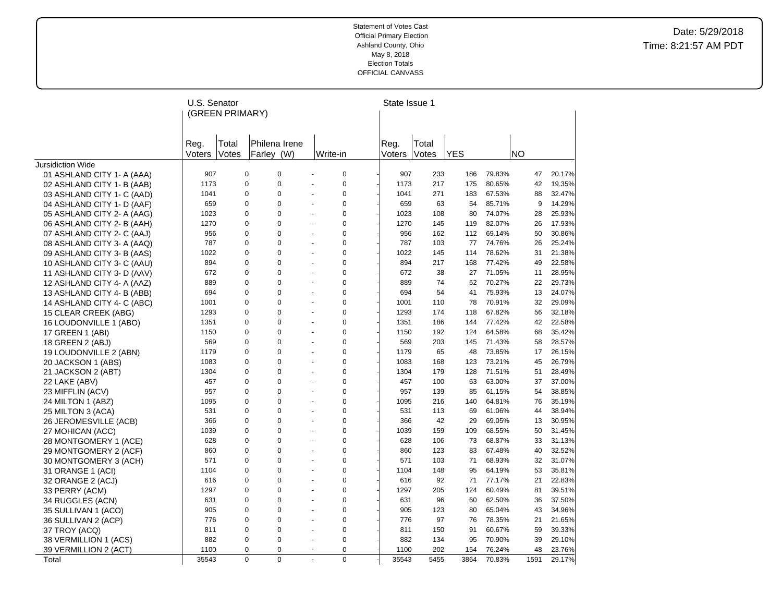| Total<br>Reg.<br>Votes<br>Voters<br>Jursidiction Wide<br>907<br>01 ASHLAND CITY 1- A (AAA)<br>1173<br>02 ASHLAND CITY 1- B (AAB)<br>03 ASHLAND CITY 1- C (AAD)<br>1041<br>659<br>04 ASHLAND CITY 1- D (AAF)<br>1023<br>05 ASHLAND CITY 2- A (AAG)<br>06 ASHLAND CITY 2- B (AAH)<br>1270<br>956<br>07 ASHLAND CITY 2- C (AAJ) | U.S. Senator<br>(GREEN PRIMARY) |                            |                                                            |  |             | State Issue 1 |            |                  |           |                  |  |
|------------------------------------------------------------------------------------------------------------------------------------------------------------------------------------------------------------------------------------------------------------------------------------------------------------------------------|---------------------------------|----------------------------|------------------------------------------------------------|--|-------------|---------------|------------|------------------|-----------|------------------|--|
|                                                                                                                                                                                                                                                                                                                              |                                 | Philena Irene              |                                                            |  | Reg.        | Total         |            |                  |           |                  |  |
|                                                                                                                                                                                                                                                                                                                              |                                 | Farley (W)                 | Write-in                                                   |  | Voters      | Votes         | <b>YES</b> |                  | <b>NO</b> |                  |  |
|                                                                                                                                                                                                                                                                                                                              |                                 |                            |                                                            |  |             |               |            |                  |           |                  |  |
|                                                                                                                                                                                                                                                                                                                              | 0                               | 0                          | $\mathbf 0$<br>$\blacksquare$                              |  | 907         | 233           | 186        | 79.83%           | 47        | 20.17%           |  |
|                                                                                                                                                                                                                                                                                                                              | 0                               | $\mathbf 0$                | $\mathbf 0$                                                |  | 1173        | 217           | 175        | 80.65%           | 42        | 19.35%           |  |
|                                                                                                                                                                                                                                                                                                                              | 0                               | 0                          | $\pmb{0}$<br>ä,                                            |  | 1041        | 271           | 183        | 67.53%           | 88        | 32.47%           |  |
|                                                                                                                                                                                                                                                                                                                              | 0                               | $\mathbf 0$                | $\pmb{0}$<br>$\blacksquare$                                |  | 659         | 63            | 54         | 85.71%           | 9         | 14.29%           |  |
|                                                                                                                                                                                                                                                                                                                              | 0                               | $\Omega$                   | $\mathbf 0$                                                |  | 1023        | 108           | 80         | 74.07%           | 28        | 25.93%           |  |
|                                                                                                                                                                                                                                                                                                                              | 0                               | $\mathbf 0$                | $\mathbf 0$<br>÷,                                          |  | 1270        | 145           | 119        | 82.07%           | 26        | 17.93%           |  |
|                                                                                                                                                                                                                                                                                                                              | 0                               | $\Omega$                   | $\mathbf 0$                                                |  | 956         | 162           | 112        | 69.14%           | 50        | 30.86%           |  |
| 787<br>08 ASHLAND CITY 3- A (AAQ)                                                                                                                                                                                                                                                                                            | 0                               | $\mathbf 0$                | $\pmb{0}$<br>$\blacksquare$                                |  | 787         | 103           | 77         | 74.76%           | 26        | 25.24%           |  |
| 1022<br>09 ASHLAND CITY 3- B (AAS)                                                                                                                                                                                                                                                                                           | 0                               | $\Omega$                   | $\mathbf 0$<br>÷.                                          |  | 1022        | 145           | 114        | 78.62%           | 31        | 21.38%           |  |
| 894<br>10 ASHLAND CITY 3- C (AAU)                                                                                                                                                                                                                                                                                            | 0                               | $\mathbf 0$                | $\pmb{0}$<br>÷.                                            |  | 894         | 217           | 168        | 77.42%           | 49        | 22.58%           |  |
| 672<br>11 ASHLAND CITY 3- D (AAV)                                                                                                                                                                                                                                                                                            | 0                               | $\mathbf 0$                | $\mathbf 0$<br>÷,                                          |  | 672         | 38            | 27         | 71.05%           | 11        | 28.95%           |  |
| 12 ASHLAND CITY 4- A (AAZ)<br>889                                                                                                                                                                                                                                                                                            | 0                               | $\mathbf 0$                | $\pmb{0}$                                                  |  | 889         | 74            | 52         | 70.27%           | 22        | 29.73%           |  |
| 694<br>13 ASHLAND CITY 4- B (ABB)                                                                                                                                                                                                                                                                                            | 0                               | $\mathbf 0$                | $\mathbf 0$<br>$\tilde{\phantom{a}}$                       |  | 694         | 54            | 41         | 75.93%           | 13        | 24.07%           |  |
| 1001<br>14 ASHLAND CITY 4- C (ABC)                                                                                                                                                                                                                                                                                           | 0                               | $\Omega$                   | $\mathbf 0$<br>÷.                                          |  | 1001        | 110           | 78         | 70.91%           | 32        | 29.09%           |  |
| 15 CLEAR CREEK (ABG)<br>1293                                                                                                                                                                                                                                                                                                 | 0                               | $\mathbf 0$                | $\pmb{0}$<br>÷,                                            |  | 1293        | 174           | 118        | 67.82%           | 56        | 32.18%           |  |
| 1351<br>16 LOUDONVILLE 1 (ABO)                                                                                                                                                                                                                                                                                               | 0                               | $\Omega$                   | $\mathbf 0$<br>÷.                                          |  | 1351        | 186           | 144        | 77.42%           | 42        | 22.58%           |  |
| 1150<br>17 GREEN 1 (ABI)                                                                                                                                                                                                                                                                                                     | 0                               | $\mathbf 0$                | $\pmb{0}$<br>$\blacksquare$                                |  | 1150        | 192           | 124        | 64.58%           | 68        | 35.42%           |  |
| 18 GREEN 2 (ABJ)<br>569                                                                                                                                                                                                                                                                                                      | 0                               | $\Omega$                   | $\mathbf 0$<br>$\blacksquare$                              |  | 569         | 203           | 145        | 71.43%           | 58        | 28.57%           |  |
| 1179<br>19 LOUDONVILLE 2 (ABN)                                                                                                                                                                                                                                                                                               | 0                               | $\mathbf 0$                | $\pmb{0}$                                                  |  | 1179        | 65            | 48         | 73.85%           | 17        | 26.15%           |  |
| 1083<br>20 JACKSON 1 (ABS)                                                                                                                                                                                                                                                                                                   | 0                               | $\mathbf 0$                | $\mathbf 0$<br>÷.                                          |  | 1083        | 168           | 123        | 73.21%           | 45        | 26.79%           |  |
| 1304<br>21 JACKSON 2 (ABT)                                                                                                                                                                                                                                                                                                   | 0                               | $\mathbf 0$                | $\pmb{0}$                                                  |  | 1304        | 179           | 128        | 71.51%           | 51        | 28.49%           |  |
| 457<br>22 LAKE (ABV)                                                                                                                                                                                                                                                                                                         | 0                               | $\mathbf 0$                | $\mathbf 0$<br>÷,                                          |  | 457         | 100           | 63         | 63.00%           | 37        | 37.00%           |  |
| 957<br>23 MIFFLIN (ACV)                                                                                                                                                                                                                                                                                                      | 0                               | $\Omega$                   | $\mathbf 0$<br>$\blacksquare$                              |  | 957         | 139           | 85         | 61.15%           | 54        | 38.85%           |  |
| 1095<br>24 MILTON 1 (ABZ)                                                                                                                                                                                                                                                                                                    | 0                               | $\mathbf 0$                | $\mathbf 0$                                                |  | 1095        | 216           | 140        | 64.81%           | 76        | 35.19%           |  |
| 531<br>25 MILTON 3 (ACA)                                                                                                                                                                                                                                                                                                     | $\Omega$                        | $\Omega$                   | $\mathbf 0$<br>ä,                                          |  | 531         | 113           | 69         | 61.06%           | 44        | 38.94%           |  |
| 366<br>26 JEROMESVILLE (ACB)                                                                                                                                                                                                                                                                                                 | 0                               | $\mathbf 0$                | $\pmb{0}$                                                  |  | 366         | 42            | 29         | 69.05%           | 13        | 30.95%           |  |
| 1039<br>27 MOHICAN (ACC)                                                                                                                                                                                                                                                                                                     | 0                               | $\Omega$                   | $\mathbf 0$<br>$\sim$                                      |  | 1039        | 159           | 109        | 68.55%           | 50        | 31.45%           |  |
| 628<br>28 MONTGOMERY 1 (ACE)                                                                                                                                                                                                                                                                                                 | 0                               | $\mathbf 0$                | $\pmb{0}$<br>$\ddot{\phantom{a}}$                          |  | 628         | 106           | 73         | 68.87%           | 33        | 31.13%           |  |
| 860<br>29 MONTGOMERY 2 (ACF)                                                                                                                                                                                                                                                                                                 | 0                               | $\mathbf 0$                | $\mathbf 0$                                                |  | 860         | 123           | 83         | 67.48%           | 40        | 32.52%           |  |
| 571<br>30 MONTGOMERY 3 (ACH)                                                                                                                                                                                                                                                                                                 | 0<br>0                          | $\mathbf 0$<br>$\mathbf 0$ | $\pmb{0}$<br>$\overline{\phantom{a}}$<br>$\mathbf 0$<br>÷, |  | 571         | 103           | 71         | 68.93%           | 32        | 31.07%           |  |
| 1104<br>31 ORANGE 1 (ACI)                                                                                                                                                                                                                                                                                                    |                                 |                            |                                                            |  | 1104        | 148           | 95         | 64.19%           | 53        | 35.81%           |  |
| 616<br>32 ORANGE 2 (ACJ)                                                                                                                                                                                                                                                                                                     | $\Omega$                        | $\Omega$                   | $\Omega$<br>÷,                                             |  | 616         | 92            | 71         | 77.17%           | 21        | 22.83%           |  |
| 1297<br>33 PERRY (ACM)                                                                                                                                                                                                                                                                                                       | 0<br>0                          | $\mathbf 0$                | $\pmb{0}$                                                  |  | 1297<br>631 | 205<br>96     | 124<br>60  | 60.49%           | 81        | 39.51%           |  |
| 631<br>34 RUGGLES (ACN)                                                                                                                                                                                                                                                                                                      |                                 |                            |                                                            |  |             |               |            | 62.50%           | 36        | 37.50%           |  |
| 905<br>35 SULLIVAN 1 (ACO)                                                                                                                                                                                                                                                                                                   |                                 | $\mathbf 0$                | $\mathbf 0$<br>$\overline{\phantom{a}}$                    |  |             |               |            |                  |           |                  |  |
| 776<br>36 SULLIVAN 2 (ACP)                                                                                                                                                                                                                                                                                                   | 0                               | $\mathbf 0$                | $\pmb{0}$                                                  |  | 905         | 123           | 80         | 65.04%           | 43        | 34.96%           |  |
| 811<br>37 TROY (ACQ)<br>882                                                                                                                                                                                                                                                                                                  | 0                               | $\mathbf 0$                | $\mathbf 0$<br>÷.                                          |  | 776         | 97            | 76         | 78.35%           | 21        | 21.65%           |  |
| 38 VERMILLION 1 (ACS)<br>1100                                                                                                                                                                                                                                                                                                | 0                               | $\mathbf 0$                | $\pmb{0}$<br>٠                                             |  | 811         | 150           | 91         | 60.67%           | 59        | 39.33%           |  |
| 39 VERMILLION 2 (ACT)<br>35543<br>Total                                                                                                                                                                                                                                                                                      | 0<br>0                          | $\Omega$<br>$\mathbf 0$    | $\mathbf 0$<br>$\mathbf 0$<br>$\blacksquare$               |  | 882<br>1100 | 134<br>202    | 95<br>154  | 70.90%<br>76.24% | 39<br>48  | 29.10%<br>23.76% |  |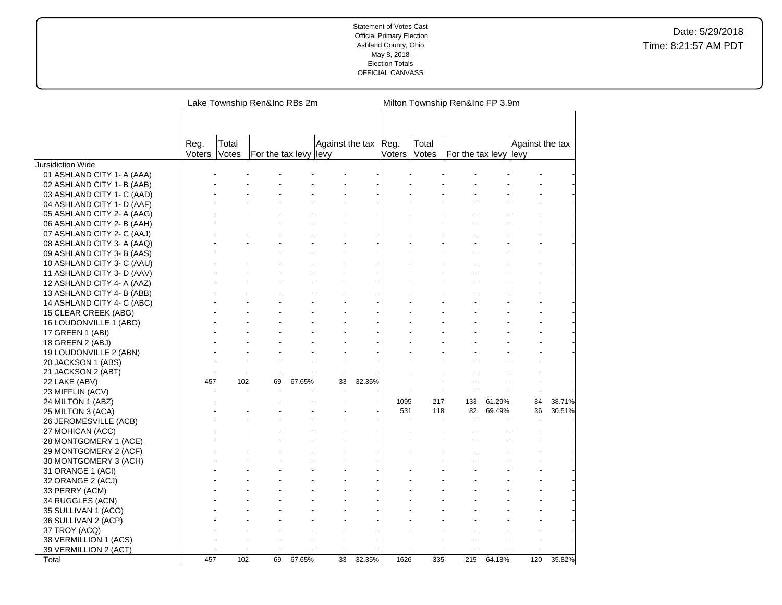|                            |                | Lake Township Ren&Inc RBs 2m |                       |        |                 |        |                | Milton Township Ren&Inc FP 3.9m |                       |        |                 |        |  |  |
|----------------------------|----------------|------------------------------|-----------------------|--------|-----------------|--------|----------------|---------------------------------|-----------------------|--------|-----------------|--------|--|--|
|                            | Reg.<br>Voters | Total<br>Votes               | For the tax levy levy |        | Against the tax |        | Reg.<br>Voters | Total<br>Votes                  | For the tax levy levy |        | Against the tax |        |  |  |
| <b>Jursidiction Wide</b>   |                |                              |                       |        |                 |        |                |                                 |                       |        |                 |        |  |  |
| 01 ASHLAND CITY 1- A (AAA) |                |                              |                       |        |                 |        |                |                                 |                       |        |                 |        |  |  |
| 02 ASHLAND CITY 1- B (AAB) |                |                              |                       |        |                 |        |                |                                 |                       |        |                 |        |  |  |
| 03 ASHLAND CITY 1- C (AAD) |                |                              |                       |        |                 |        |                |                                 |                       |        |                 |        |  |  |
| 04 ASHLAND CITY 1- D (AAF) |                |                              |                       |        |                 |        |                |                                 |                       |        |                 |        |  |  |
| 05 ASHLAND CITY 2- A (AAG) |                |                              |                       |        |                 |        |                |                                 |                       |        |                 |        |  |  |
| 06 ASHLAND CITY 2- B (AAH) |                |                              |                       |        |                 |        |                |                                 |                       |        |                 |        |  |  |
| 07 ASHLAND CITY 2- C (AAJ) |                |                              |                       |        |                 |        |                |                                 |                       |        |                 |        |  |  |
| 08 ASHLAND CITY 3- A (AAQ) |                |                              |                       |        |                 |        |                |                                 |                       |        |                 |        |  |  |
| 09 ASHLAND CITY 3- B (AAS) |                |                              |                       |        |                 |        |                |                                 |                       |        |                 |        |  |  |
| 10 ASHLAND CITY 3- C (AAU) |                |                              |                       |        |                 |        |                |                                 |                       |        |                 |        |  |  |
| 11 ASHLAND CITY 3- D (AAV) |                |                              |                       |        |                 |        |                |                                 |                       |        |                 |        |  |  |
| 12 ASHLAND CITY 4- A (AAZ) |                |                              |                       |        |                 |        |                |                                 |                       |        |                 |        |  |  |
| 13 ASHLAND CITY 4- B (ABB) |                |                              |                       |        |                 |        |                |                                 |                       |        |                 |        |  |  |
| 14 ASHLAND CITY 4- C (ABC) |                |                              |                       |        |                 |        |                |                                 |                       |        |                 |        |  |  |
| 15 CLEAR CREEK (ABG)       |                |                              |                       |        |                 |        |                |                                 |                       |        |                 |        |  |  |
| 16 LOUDONVILLE 1 (ABO)     |                |                              |                       |        |                 |        |                |                                 |                       |        |                 |        |  |  |
| 17 GREEN 1 (ABI)           |                |                              |                       |        |                 |        |                |                                 |                       |        |                 |        |  |  |
| 18 GREEN 2 (ABJ)           |                |                              |                       |        |                 |        |                |                                 |                       |        |                 |        |  |  |
| 19 LOUDONVILLE 2 (ABN)     |                |                              |                       |        |                 |        |                |                                 |                       |        |                 |        |  |  |
| 20 JACKSON 1 (ABS)         |                |                              |                       |        |                 |        |                |                                 |                       |        |                 |        |  |  |
| 21 JACKSON 2 (ABT)         |                |                              |                       |        |                 |        |                |                                 |                       |        |                 |        |  |  |
| 22 LAKE (ABV)              | 457            | 102                          | 69                    | 67.65% | 33              | 32.35% |                |                                 |                       |        |                 |        |  |  |
| 23 MIFFLIN (ACV)           |                |                              |                       |        |                 |        |                |                                 |                       |        |                 |        |  |  |
| 24 MILTON 1 (ABZ)          |                |                              |                       |        |                 |        | 1095           | 217                             | 133                   | 61.29% | 84              | 38.71% |  |  |
| 25 MILTON 3 (ACA)          |                |                              |                       |        |                 |        | 531            | 118                             | 82                    | 69.49% | 36              | 30.51% |  |  |
| 26 JEROMESVILLE (ACB)      |                |                              |                       |        |                 |        |                |                                 |                       |        |                 |        |  |  |
| 27 MOHICAN (ACC)           |                |                              |                       |        |                 |        |                |                                 |                       |        |                 |        |  |  |
| 28 MONTGOMERY 1 (ACE)      |                |                              |                       |        |                 |        |                |                                 |                       |        |                 |        |  |  |
| 29 MONTGOMERY 2 (ACF)      |                |                              |                       |        |                 |        |                |                                 |                       |        |                 |        |  |  |
| 30 MONTGOMERY 3 (ACH)      |                |                              |                       |        |                 |        |                |                                 |                       |        |                 |        |  |  |
| 31 ORANGE 1 (ACI)          |                |                              |                       |        |                 |        |                |                                 |                       |        |                 |        |  |  |
| 32 ORANGE 2 (ACJ)          |                |                              |                       |        |                 |        |                |                                 |                       |        |                 |        |  |  |
| 33 PERRY (ACM)             |                |                              |                       |        |                 |        |                |                                 |                       |        |                 |        |  |  |
| 34 RUGGLES (ACN)           |                |                              |                       |        |                 |        |                |                                 |                       |        |                 |        |  |  |
| 35 SULLIVAN 1 (ACO)        |                |                              |                       |        |                 |        |                |                                 |                       |        |                 |        |  |  |
| 36 SULLIVAN 2 (ACP)        |                |                              |                       |        |                 |        |                |                                 |                       |        |                 |        |  |  |
| 37 TROY (ACQ)              |                |                              |                       |        |                 |        |                |                                 |                       |        |                 |        |  |  |
| 38 VERMILLION 1 (ACS)      |                |                              |                       |        |                 |        |                |                                 |                       |        |                 |        |  |  |
| 39 VERMILLION 2 (ACT)      |                |                              |                       |        |                 |        |                |                                 |                       |        |                 |        |  |  |
| Total                      | 457            | 102                          | 69                    | 67.65% | 33              | 32.35% | 1626           | 335                             | 215                   | 64.18% | 120             | 35.82% |  |  |